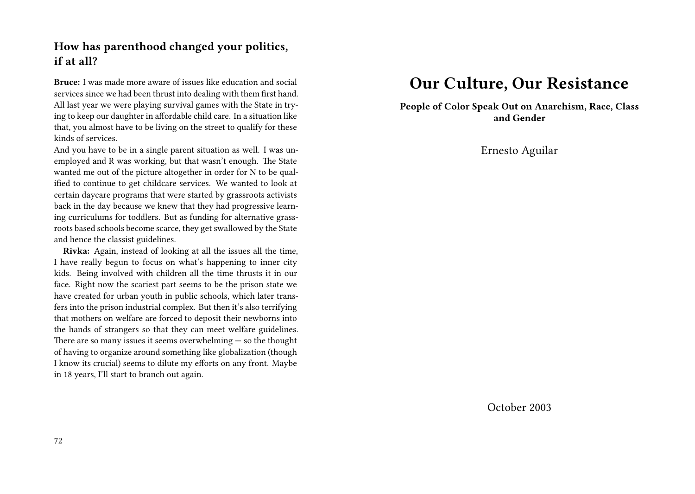#### **How has parenthood changed your politics, if at all?**

**Bruce:** I was made more aware of issues like education and social services since we had been thrust into dealing with them first hand. All last year we were playing survival games with the State in trying to keep our daughter in affordable child care. In a situation like that, you almost have to be living on the street to qualify for these kinds of services.

And you have to be in a single parent situation as well. I was unemployed and R was working, but that wasn't enough. The State wanted me out of the picture altogether in order for N to be qualified to continue to get childcare services. We wanted to look at certain daycare programs that were started by grassroots activists back in the day because we knew that they had progressive learning curriculums for toddlers. But as funding for alternative grassroots based schools become scarce, they get swallowed by the State and hence the classist guidelines.

**Rivka:** Again, instead of looking at all the issues all the time, I have really begun to focus on what's happening to inner city kids. Being involved with children all the time thrusts it in our face. Right now the scariest part seems to be the prison state we have created for urban youth in public schools, which later transfers into the prison industrial complex. But then it's also terrifying that mothers on welfare are forced to deposit their newborns into the hands of strangers so that they can meet welfare guidelines. There are so many issues it seems overwhelming  $-$  so the thought of having to organize around something like globalization (though I know its crucial) seems to dilute my efforts on any front. Maybe in 18 years, I'll start to branch out again.

### **Our Culture, Our Resistance**

**People of Color Speak Out on Anarchism, Race, Class and Gender**

Ernesto Aguilar

October 2003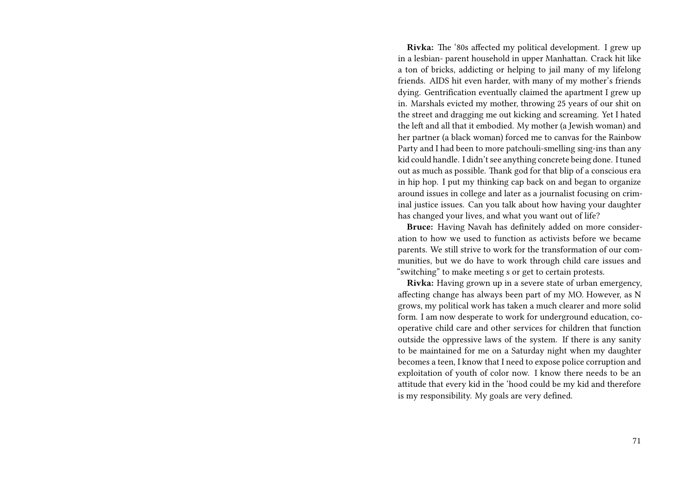**Rivka:** The '80s affected my political development. I grew up in a lesbian- parent household in upper Manhattan. Crack hit like a ton of bricks, addicting or helping to jail many of my lifelong friends. AIDS hit even harder, with many of my mother's friends dying. Gentrification eventually claimed the apartment I grew up in. Marshals evicted my mother, throwing 25 years of our shit on the street and dragging me out kicking and screaming. Yet I hated the left and all that it embodied. My mother (a Jewish woman) and her partner (a black woman) forced me to canvas for the Rainbow Party and I had been to more patchouli-smelling sing-ins than any kid could handle. I didn't see anything concrete being done. I tuned out as much as possible. Thank god for that blip of a conscious era in hip hop. I put my thinking cap back on and began to organize around issues in college and later as a journalist focusing on criminal justice issues. Can you talk about how having your daughter has changed your lives, and what you want out of life?

**Bruce:** Having Navah has definitely added on more consideration to how we used to function as activists before we became parents. We still strive to work for the transformation of our communities, but we do have to work through child care issues and "switching" to make meeting s or get to certain protests.

**Rivka:** Having grown up in a severe state of urban emergency, affecting change has always been part of my MO. However, as N grows, my political work has taken a much clearer and more solid form. I am now desperate to work for underground education, cooperative child care and other services for children that function outside the oppressive laws of the system. If there is any sanity to be maintained for me on a Saturday night when my daughter becomes a teen, I know that I need to expose police corruption and exploitation of youth of color now. I know there needs to be an attitude that every kid in the 'hood could be my kid and therefore is my responsibility. My goals are very defined.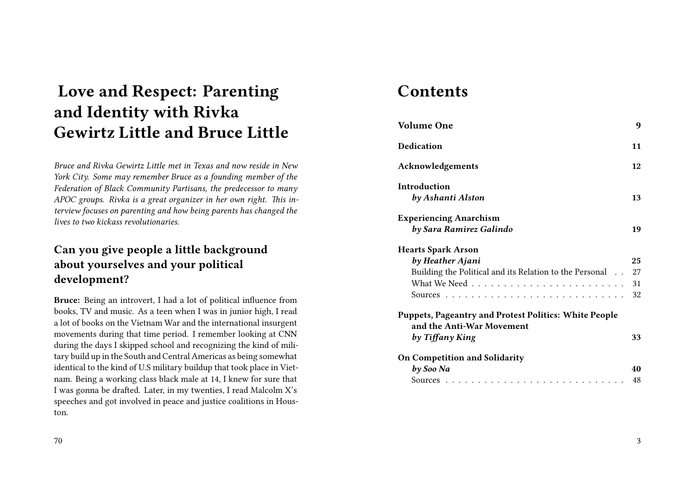# **Love and Respect: Parenting and Identity with Rivka Gewirtz Little and Bruce Little**

*Bruce and Rivka Gewirtz Little met in Texas and now reside in New York City. Some may remember Bruce as a founding member of the Federation of Black Community Partisans, the predecessor to many APOC groups. Rivka is a great organizer in her own right. This interview focuses on parenting and how being parents has changed the lives to two kickass revolutionaries.*

### **Can you give people a little background about yourselves and your political development?**

**Bruce:** Being an introvert, I had a lot of political influence from books, TV and music. As a teen when I was in junior high, I read a lot of books on the Vietnam War and the international insurgent movements during that time period. I remember looking at CNN during the days I skipped school and recognizing the kind of military build up in the South and Central Americas as being somewhat identical to the kind of U.S military buildup that took place in Vietnam. Being a working class black male at 14, I knew for sure that I was gonna be drafted. Later, in my twenties, I read Malcolm X's speeches and got involved in peace and justice coalitions in Houston.

### 70

### **Contents**

| <b>Volume One</b>                                            | 9  |
|--------------------------------------------------------------|----|
| <b>Dedication</b>                                            | 11 |
| Acknowledgements                                             | 12 |
| Introduction                                                 |    |
| by Ashanti Alston                                            | 13 |
| <b>Experiencing Anarchism</b>                                |    |
| by Sara Ramirez Galindo                                      | 19 |
| <b>Hearts Spark Arson</b>                                    |    |
| by Heather Ajani                                             | 25 |
| Building the Political and its Relation to the Personal      | 27 |
|                                                              | 31 |
|                                                              | 32 |
| <b>Puppets, Pageantry and Protest Politics: White People</b> |    |
| and the Anti-War Movement                                    |    |
| by Tiffany King                                              | 33 |
| <b>On Competition and Solidarity</b>                         |    |
| by Soo Na                                                    | 40 |
|                                                              | 48 |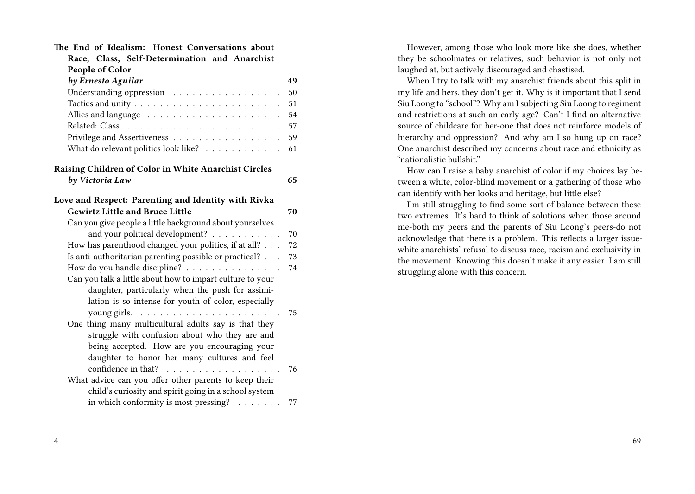| The End of Idealism: Honest Conversations about           |    |
|-----------------------------------------------------------|----|
| Race, Class, Self-Determination and Anarchist             |    |
| People of Color                                           |    |
| by Ernesto Aguilar                                        | 49 |
| Understanding oppression                                  | 50 |
|                                                           | 51 |
|                                                           | 54 |
|                                                           | 57 |
| Privilege and Assertiveness                               | 59 |
| What do relevant politics look like?                      | 61 |
| Raising Children of Color in White Anarchist Circles      |    |
| by Victoria Law                                           | 65 |
| Love and Respect: Parenting and Identity with Rivka       |    |
| <b>Gewirtz Little and Bruce Little</b>                    | 70 |
| Can you give people a little background about yourselves  |    |
| and your political development?                           | 70 |
| How has parenthood changed your politics, if at all?      | 72 |
| Is anti-authoritarian parenting possible or practical?    | 73 |
| How do you handle discipline?                             | 74 |
| Can you talk a little about how to impart culture to your |    |
| daughter, particularly when the push for assimi-          |    |
| lation is so intense for youth of color, especially       |    |
| young girls. $\ldots \ldots \ldots \ldots \ldots$         | 75 |
| One thing many multicultural adults say is that they      |    |
| struggle with confusion about who they are and            |    |
| being accepted. How are you encouraging your              |    |
| daughter to honor her many cultures and feel              |    |
| confidence in that?<br>.                                  | 76 |
| What advice can you offer other parents to keep their     |    |
| child's curiosity and spirit going in a school system     |    |
| in which conformity is most pressing? $\ldots \ldots$     | 77 |

However, among those who look more like she does, whether they be schoolmates or relatives, such behavior is not only not laughed at, but actively discouraged and chastised.

When I try to talk with my anarchist friends about this split in my life and hers, they don't get it. Why is it important that I send Siu Loong to "school"? Why am I subjecting Siu Loong to regiment and restrictions at such an early age? Can't I find an alternative source of childcare for her-one that does not reinforce models of hierarchy and oppression? And why am I so hung up on race? One anarchist described my concerns about race and ethnicity as "nationalistic bullshit."

How can I raise a baby anarchist of color if my choices lay between a white, color-blind movement or a gathering of those who can identify with her looks and heritage, but little else?

I'm still struggling to find some sort of balance between these two extremes. It's hard to think of solutions when those around me-both my peers and the parents of Siu Loong's peers-do not acknowledge that there is a problem. This reflects a larger issuewhite anarchists' refusal to discuss race, racism and exclusivity in the movement. Knowing this doesn't make it any easier. I am still struggling alone with this concern.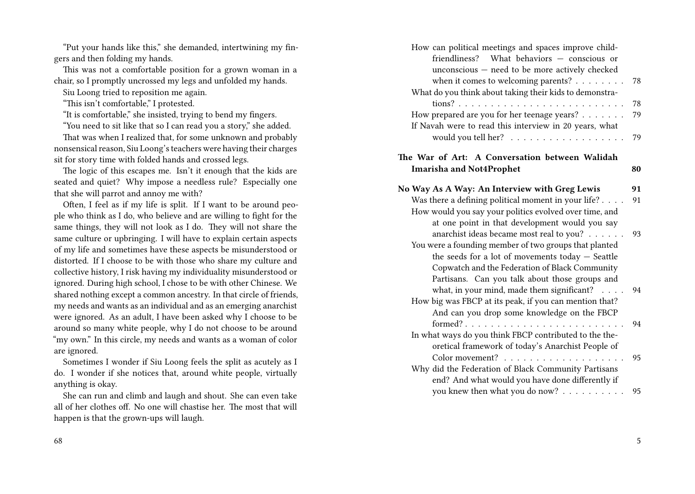"Put your hands like this," she demanded, intertwining my fingers and then folding my hands.

This was not a comfortable position for a grown woman in a chair, so I promptly uncrossed my legs and unfolded my hands.

Siu Loong tried to reposition me again.

"This isn't comfortable," I protested.

"It is comfortable," she insisted, trying to bend my fingers.

"You need to sit like that so I can read you a story," she added.

That was when I realized that, for some unknown and probably nonsensical reason, Siu Loong's teachers were having their charges sit for story time with folded hands and crossed legs.

The logic of this escapes me. Isn't it enough that the kids are seated and quiet? Why impose a needless rule? Especially one that she will parrot and annoy me with?

Often, I feel as if my life is split. If I want to be around people who think as I do, who believe and are willing to fight for the same things, they will not look as I do. They will not share the same culture or upbringing. I will have to explain certain aspects of my life and sometimes have these aspects be misunderstood or distorted. If I choose to be with those who share my culture and collective history, I risk having my individuality misunderstood or ignored. During high school, I chose to be with other Chinese. We shared nothing except a common ancestry. In that circle of friends, my needs and wants as an individual and as an emerging anarchist were ignored. As an adult, I have been asked why I choose to be around so many white people, why I do not choose to be around "my own." In this circle, my needs and wants as a woman of color are ignored.

Sometimes I wonder if Siu Loong feels the split as acutely as I do. I wonder if she notices that, around white people, virtually anything is okay.

She can run and climb and laugh and shout. She can even take all of her clothes off. No one will chastise her. The most that will happen is that the grown-ups will laugh.

| How can political meetings and spaces improve child-<br>friendliness?<br>What behaviors - conscious or<br>$unconscious - need to be more actively checked$<br>when it comes to welcoming parents? $\dots \dots$<br>What do you think about taking their kids to demonstra- | 78 |
|----------------------------------------------------------------------------------------------------------------------------------------------------------------------------------------------------------------------------------------------------------------------------|----|
| tions?                                                                                                                                                                                                                                                                     | 78 |
| How prepared are you for her teenage years?                                                                                                                                                                                                                                | 79 |
| If Navah were to read this interview in 20 years, what                                                                                                                                                                                                                     |    |
| would you tell her?                                                                                                                                                                                                                                                        | 79 |
| The War of Art: A Conversation between Walidah                                                                                                                                                                                                                             |    |
| <b>Imarisha and Not4Prophet</b>                                                                                                                                                                                                                                            | 80 |
| No Way As A Way: An Interview with Greg Lewis                                                                                                                                                                                                                              | 91 |
| Was there a defining political moment in your life? $\dots$                                                                                                                                                                                                                | 91 |
| How would you say your politics evolved over time, and                                                                                                                                                                                                                     |    |
| at one point in that development would you say                                                                                                                                                                                                                             |    |
| anarchist ideas became most real to you?                                                                                                                                                                                                                                   | 93 |
| You were a founding member of two groups that planted                                                                                                                                                                                                                      |    |
| the seeds for a lot of movements today $-$ Seattle                                                                                                                                                                                                                         |    |
| Copwatch and the Federation of Black Community                                                                                                                                                                                                                             |    |
| Partisans. Can you talk about those groups and                                                                                                                                                                                                                             |    |
| what, in your mind, made them significant? $\ldots$ .                                                                                                                                                                                                                      | 94 |
| How big was FBCP at its peak, if you can mention that?                                                                                                                                                                                                                     |    |
| And can you drop some knowledge on the FBCP                                                                                                                                                                                                                                |    |
| formed?<br>$\overline{1}$ $\overline{1}$ $\overline{1}$ $\overline{1}$ $\overline{1}$ $\overline{1}$ $\overline{1}$                                                                                                                                                        | 94 |
| In what ways do you think FBCP contributed to the the-                                                                                                                                                                                                                     |    |
| oretical framework of today's Anarchist People of                                                                                                                                                                                                                          |    |
| Color movement? $\ldots$ , $\ldots$ , $\ldots$                                                                                                                                                                                                                             | 95 |
| Why did the Federation of Black Community Partisans                                                                                                                                                                                                                        |    |
| end? And what would you have done differently if                                                                                                                                                                                                                           |    |
| you knew then what you do now?                                                                                                                                                                                                                                             | 95 |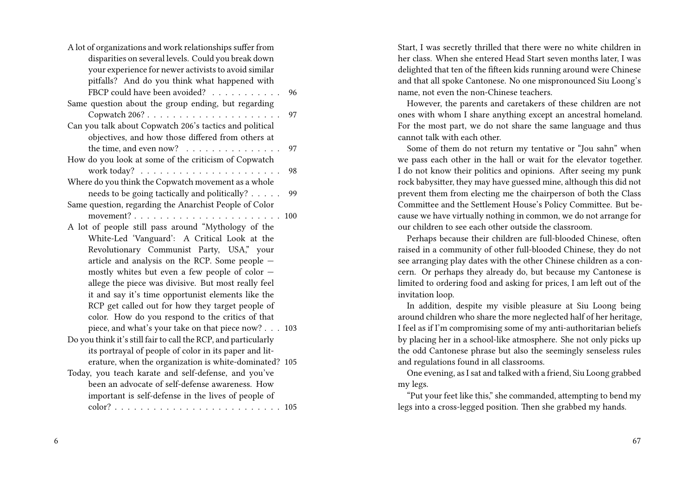| A lot of organizations and work relationships suffer from      |     |
|----------------------------------------------------------------|-----|
| disparities on several levels. Could you break down            |     |
| your experience for newer activists to avoid similar           |     |
| pitfalls? And do you think what happened with                  |     |
| FBCP could have been avoided?                                  | 96  |
| Same question about the group ending, but regarding            |     |
|                                                                | 97  |
| Can you talk about Copwatch 206's tactics and political        |     |
| objectives, and how those differed from others at              |     |
| the time, and even now? $\ldots \ldots \ldots$                 | 97  |
| How do you look at some of the criticism of Copwatch           |     |
|                                                                | 98  |
| Where do you think the Copwatch movement as a whole            |     |
| needs to be going tactically and politically?                  | 99  |
| Same question, regarding the Anarchist People of Color         |     |
|                                                                | 100 |
| A lot of people still pass around "Mythology of the            |     |
| White-Led 'Vanguard': A Critical Look at the                   |     |
| Revolutionary Communist Party, USA," your                      |     |
| article and analysis on the RCP. Some people -                 |     |
| mostly whites but even a few people of color -                 |     |
| allege the piece was divisive. But most really feel            |     |
| it and say it's time opportunist elements like the             |     |
| RCP get called out for how they target people of               |     |
| color. How do you respond to the critics of that               |     |
| piece, and what's your take on that piece now? 103             |     |
| Do you think it's still fair to call the RCP, and particularly |     |
| its portrayal of people of color in its paper and lit-         |     |
| erature, when the organization is white-dominated? 105         |     |
| Today, you teach karate and self-defense, and you've           |     |
| been an advocate of self-defense awareness. How                |     |
| important is self-defense in the lives of people of            |     |
|                                                                |     |

Start, I was secretly thrilled that there were no white children in her class. When she entered Head Start seven months later, I was delighted that ten of the fifteen kids running around were Chinese and that all spoke Cantonese. No one mispronounced Siu Loong's name, not even the non-Chinese teachers.

However, the parents and caretakers of these children are not ones with whom I share anything except an ancestral homeland. For the most part, we do not share the same language and thus cannot talk with each other.

Some of them do not return my tentative or "Jou sahn" when we pass each other in the hall or wait for the elevator together. I do not know their politics and opinions. After seeing my punk rock babysitter, they may have guessed mine, although this did not prevent them from electing me the chairperson of both the Class Committee and the Settlement House's Policy Committee. But because we have virtually nothing in common, we do not arrange for our children to see each other outside the classroom.

Perhaps because their children are full-blooded Chinese, often raised in a community of other full-blooded Chinese, they do not see arranging play dates with the other Chinese children as a concern. Or perhaps they already do, but because my Cantonese is limited to ordering food and asking for prices, I am left out of the invitation loop.

In addition, despite my visible pleasure at Siu Loong being around children who share the more neglected half of her heritage, I feel as if I'm compromising some of my anti-authoritarian beliefs by placing her in a school-like atmosphere. She not only picks up the odd Cantonese phrase but also the seemingly senseless rules and regulations found in all classrooms.

One evening, as I sat and talked with a friend, Siu Loong grabbed my legs.

"Put your feet like this," she commanded, attempting to bend my legs into a cross-legged position. Then she grabbed my hands.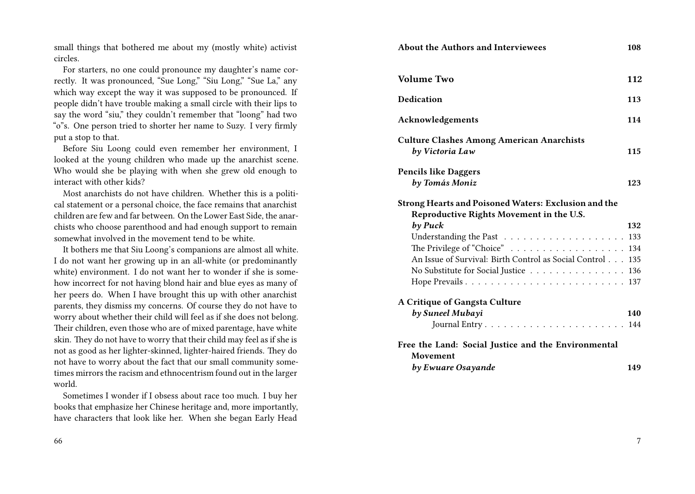small things that bothered me about my (mostly white) activist circles.

For starters, no one could pronounce my daughter's name correctly. It was pronounced, "Sue Long," "Siu Long," "Sue La," any which way except the way it was supposed to be pronounced. If people didn't have trouble making a small circle with their lips to say the word "siu," they couldn't remember that "loong" had two "o"s. One person tried to shorter her name to Suzy. I very firmly put a stop to that.

Before Siu Loong could even remember her environment, I looked at the young children who made up the anarchist scene. Who would she be playing with when she grew old enough to interact with other kids?

Most anarchists do not have children. Whether this is a political statement or a personal choice, the face remains that anarchist children are few and far between. On the Lower East Side, the anarchists who choose parenthood and had enough support to remain somewhat involved in the movement tend to be white.

It bothers me that Siu Loong's companions are almost all white. I do not want her growing up in an all-white (or predominantly white) environment. I do not want her to wonder if she is somehow incorrect for not having blond hair and blue eyes as many of her peers do. When I have brought this up with other anarchist parents, they dismiss my concerns. Of course they do not have to worry about whether their child will feel as if she does not belong. Their children, even those who are of mixed parentage, have white skin. They do not have to worry that their child may feel as if she is not as good as her lighter-skinned, lighter-haired friends. They do not have to worry about the fact that our small community sometimes mirrors the racism and ethnocentrism found out in the larger world.

Sometimes I wonder if I obsess about race too much. I buy her books that emphasize her Chinese heritage and, more importantly, have characters that look like her. When she began Early Head

| <b>About the Authors and Interviewees</b> | 108 |
|-------------------------------------------|-----|
|                                           |     |

| <b>Volume Two</b>                                                                                       | 112 |
|---------------------------------------------------------------------------------------------------------|-----|
| Dedication                                                                                              | 113 |
| Acknowledgements                                                                                        | 114 |
| <b>Culture Clashes Among American Anarchists</b><br>by Victoria Law                                     | 115 |
| <b>Pencils like Daggers</b>                                                                             |     |
| by Tomás Moniz                                                                                          | 123 |
| <b>Strong Hearts and Poisoned Waters: Exclusion and the</b><br>Reproductive Rights Movement in the U.S. |     |
| by Puck                                                                                                 | 132 |
|                                                                                                         |     |
| The Privilege of "Choice" 134                                                                           |     |
| An Issue of Survival: Birth Control as Social Control 135                                               |     |
| No Substitute for Social Justice 136                                                                    |     |
|                                                                                                         |     |
| A Critique of Gangsta Culture                                                                           |     |
| by Suneel Mubayi                                                                                        | 140 |
|                                                                                                         |     |
| Free the Land: Social Justice and the Environmental                                                     |     |
| Movement                                                                                                |     |
| by Ewuare Osayande                                                                                      | 149 |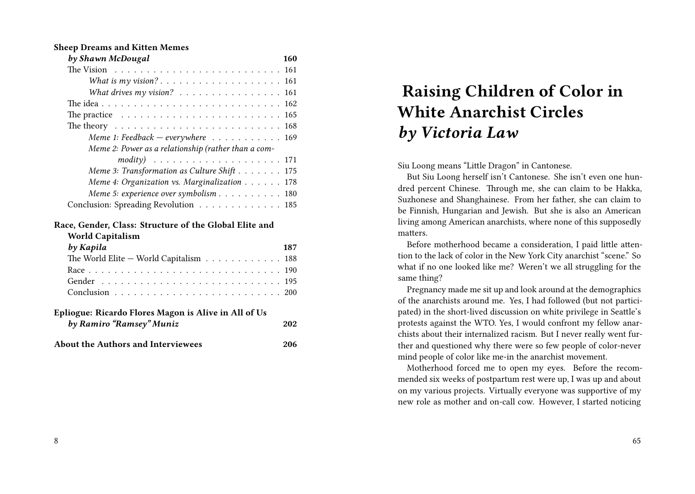#### **Sheep Dreams and Kitten Memes**

| by Shawn McDougal                                                                      | 160 |
|----------------------------------------------------------------------------------------|-----|
| The Vision $\ldots \ldots \ldots \ldots \ldots \ldots \ldots \ldots \ldots \ldots 161$ |     |
|                                                                                        |     |
| What drives my vision? $\ldots \ldots \ldots \ldots \ldots \ldots 161$                 |     |
|                                                                                        |     |
| The practice $\ldots \ldots \ldots \ldots \ldots \ldots \ldots \ldots \ldots 165$      |     |
| The theory $\ldots \ldots \ldots \ldots \ldots \ldots \ldots \ldots \ldots$            | 168 |
| Meme 1: Feedback - everywhere $\ldots \ldots \ldots \ldots 169$                        |     |
| Meme 2: Power as a relationship (rather than a com-                                    |     |
|                                                                                        |     |
| Meme 3: Transformation as Culture Shift                                                | 175 |
| Meme 4: Organization vs. Marginalization                                               | 178 |
| Meme 5: experience over symbolism 180                                                  |     |
| Conclusion: Spreading Revolution 185                                                   |     |
| Race, Gender, Class: Structure of the Global Elite and                                 |     |
| <b>World Capitalism</b>                                                                |     |
| by Kapila                                                                              | 187 |
| The World Elite $-$ World Capitalism $\ldots \ldots \ldots \ldots \ldots$ 188          |     |
|                                                                                        |     |
|                                                                                        |     |
|                                                                                        |     |
| Epliogue: Ricardo Flores Magon is Alive in All of Us                                   |     |
| by Ramiro "Ramsey" Muniz                                                               | 202 |
| <b>About the Authors and Interviewees</b>                                              | 206 |
|                                                                                        |     |

# **Raising Children of Color in White Anarchist Circles** *by Victoria Law*

Siu Loong means "Little Dragon" in Cantonese.

But Siu Loong herself isn't Cantonese. She isn't even one hundred percent Chinese. Through me, she can claim to be Hakka, Suzhonese and Shanghainese. From her father, she can claim to be Finnish, Hungarian and Jewish. But she is also an American living among American anarchists, where none of this supposedly matters.

Before motherhood became a consideration, I paid little attention to the lack of color in the New York City anarchist "scene." So what if no one looked like me? Weren't we all struggling for the same thing?

Pregnancy made me sit up and look around at the demographics of the anarchists around me. Yes, I had followed (but not participated) in the short-lived discussion on white privilege in Seattle's protests against the WTO. Yes, I would confront my fellow anarchists about their internalized racism. But I never really went further and questioned why there were so few people of color-never mind people of color like me-in the anarchist movement.

Motherhood forced me to open my eyes. Before the recommended six weeks of postpartum rest were up, I was up and about on my various projects. Virtually everyone was supportive of my new role as mother and on-call cow. However, I started noticing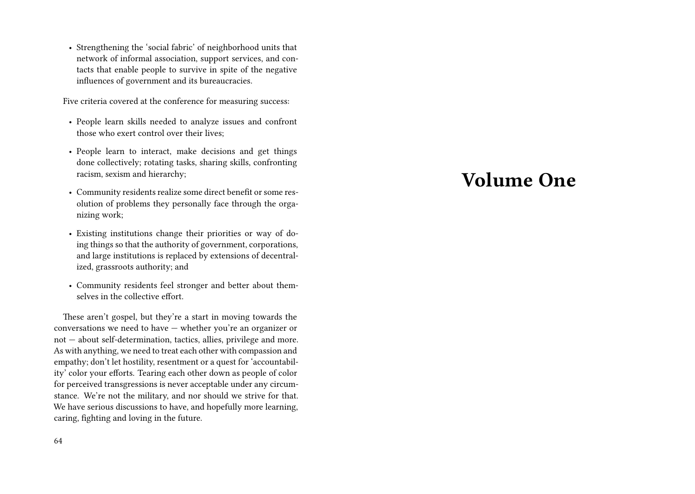• Strengthening the 'social fabric' of neighborhood units that network of informal association, support services, and contacts that enable people to survive in spite of the negative influences of government and its bureaucracies.

Five criteria covered at the conference for measuring success:

- People learn skills needed to analyze issues and confront those who exert control over their lives;
- People learn to interact, make decisions and get things done collectively; rotating tasks, sharing skills, confronting racism, sexism and hierarchy;
- Community residents realize some direct benefit or some resolution of problems they personally face through the organizing work;
- Existing institutions change their priorities or way of doing things so that the authority of government, corporations, and large institutions is replaced by extensions of decentralized, grassroots authority; and
- Community residents feel stronger and better about themselves in the collective effort.

These aren't gospel, but they're a start in moving towards the conversations we need to have — whether you're an organizer or not — about self-determination, tactics, allies, privilege and more. As with anything, we need to treat each other with compassion and empathy; don't let hostility, resentment or a quest for 'accountability' color your efforts. Tearing each other down as people of color for perceived transgressions is never acceptable under any circumstance. We're not the military, and nor should we strive for that. We have serious discussions to have, and hopefully more learning, caring, fighting and loving in the future.

# **Volume One**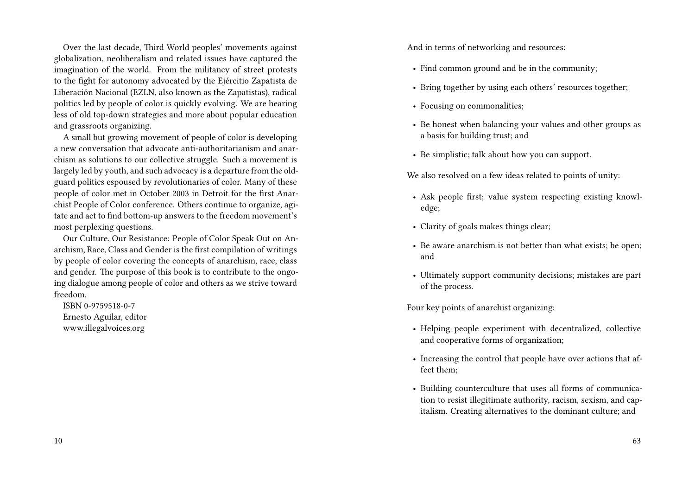Over the last decade, Third World peoples' movements against globalization, neoliberalism and related issues have captured the imagination of the world. From the militancy of street protests to the fight for autonomy advocated by the Ejércitio Zapatista de Liberación Nacional (EZLN, also known as the Zapatistas), radical politics led by people of color is quickly evolving. We are hearing less of old top-down strategies and more about popular education and grassroots organizing.

A small but growing movement of people of color is developing a new conversation that advocate anti-authoritarianism and anarchism as solutions to our collective struggle. Such a movement is largely led by youth, and such advocacy is a departure from the oldguard politics espoused by revolutionaries of color. Many of these people of color met in October 2003 in Detroit for the first Anarchist People of Color conference. Others continue to organize, agitate and act to find bottom-up answers to the freedom movement's most perplexing questions.

Our Culture, Our Resistance: People of Color Speak Out on Anarchism, Race, Class and Gender is the first compilation of writings by people of color covering the concepts of anarchism, race, class and gender. The purpose of this book is to contribute to the ongoing dialogue among people of color and others as we strive toward freedom.

ISBN 0-9759518-0-7 Ernesto Aguilar, editor www.illegalvoices.org

And in terms of networking and resources:

- Find common ground and be in the community;
- Bring together by using each others' resources together;
- Focusing on commonalities;
- Be honest when balancing your values and other groups as a basis for building trust; and
- Be simplistic; talk about how you can support.

We also resolved on a few ideas related to points of unity:

- Ask people first; value system respecting existing knowledge;
- Clarity of goals makes things clear;
- Be aware anarchism is not better than what exists; be open; and
- Ultimately support community decisions; mistakes are part of the process.

Four key points of anarchist organizing:

- Helping people experiment with decentralized, collective and cooperative forms of organization;
- Increasing the control that people have over actions that affect them;
- Building counterculture that uses all forms of communication to resist illegitimate authority, racism, sexism, and capitalism. Creating alternatives to the dominant culture; and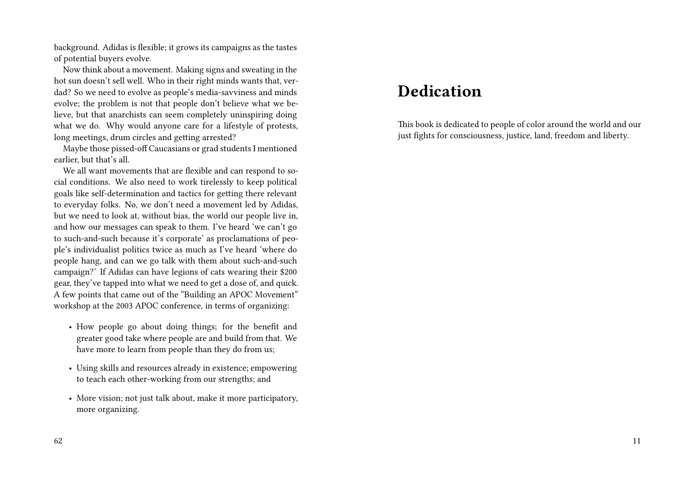background. Adidas is flexible; it grows its campaigns as the tastes of potential buyers evolve.

Now think about a movement. Making signs and sweating in the hot sun doesn't sell well. Who in their right minds wants that, verdad? So we need to evolve as people's media-savviness and minds evolve; the problem is not that people don't believe what we believe, but that anarchists can seem completely uninspiring doing what we do. Why would anyone care for a lifestyle of protests, long meetings, drum circles and getting arrested?

Maybe those pissed-off Caucasians or grad students I mentioned earlier, but that's all.

We all want movements that are flexible and can respond to social conditions. We also need to work tirelessly to keep political goals like self-determination and tactics for getting there relevant to everyday folks. No, we don't need a movement led by Adidas, but we need to look at, without bias, the world our people live in, and how our messages can speak to them. I've heard 'we can't go to such-and-such because it's corporate' as proclamations of people's individualist politics twice as much as I've heard 'where do people hang, and can we go talk with them about such-and-such campaign?' If Adidas can have legions of cats wearing their \$200 gear, they've tapped into what we need to get a dose of, and quick. A few points that came out of the "Building an APOC Movement" workshop at the 2003 APOC conference, in terms of organizing:

- How people go about doing things; for the benefit and greater good take where people are and build from that. We have more to learn from people than they do from us;
- Using skills and resources already in existence; empowering to teach each other-working from our strengths; and
- More vision; not just talk about, make it more participatory, more organizing.

### **Dedication**

This book is dedicated to people of color around the world and our just fights for consciousness, justice, land, freedom and liberty.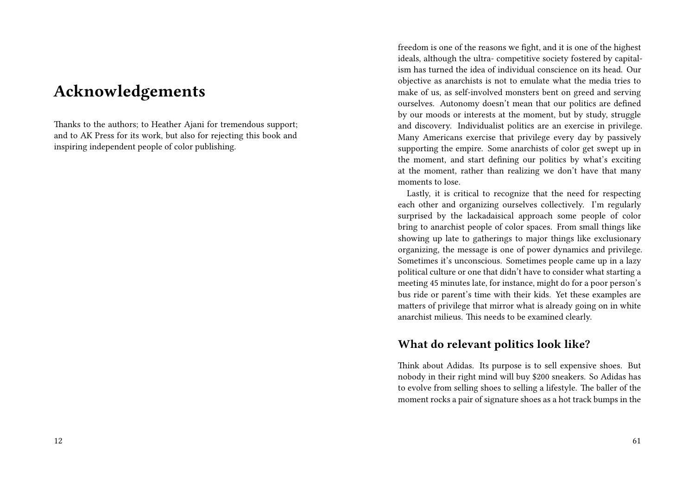### **Acknowledgements**

Thanks to the authors; to Heather Ajani for tremendous support; and to AK Press for its work, but also for rejecting this book and inspiring independent people of color publishing.

freedom is one of the reasons we fight, and it is one of the highest ideals, although the ultra- competitive society fostered by capitalism has turned the idea of individual conscience on its head. Our objective as anarchists is not to emulate what the media tries to make of us, as self-involved monsters bent on greed and serving ourselves. Autonomy doesn't mean that our politics are defined by our moods or interests at the moment, but by study, struggle and discovery. Individualist politics are an exercise in privilege. Many Americans exercise that privilege every day by passively supporting the empire. Some anarchists of color get swept up in the moment, and start defining our politics by what's exciting at the moment, rather than realizing we don't have that many moments to lose.

Lastly, it is critical to recognize that the need for respecting each other and organizing ourselves collectively. I'm regularly surprised by the lackadaisical approach some people of color bring to anarchist people of color spaces. From small things like showing up late to gatherings to major things like exclusionary organizing, the message is one of power dynamics and privilege. Sometimes it's unconscious. Sometimes people came up in a lazy political culture or one that didn't have to consider what starting a meeting 45 minutes late, for instance, might do for a poor person's bus ride or parent's time with their kids. Yet these examples are matters of privilege that mirror what is already going on in white anarchist milieus. This needs to be examined clearly.

#### **What do relevant politics look like?**

Think about Adidas. Its purpose is to sell expensive shoes. But nobody in their right mind will buy \$200 sneakers. So Adidas has to evolve from selling shoes to selling a lifestyle. The baller of the moment rocks a pair of signature shoes as a hot track bumps in the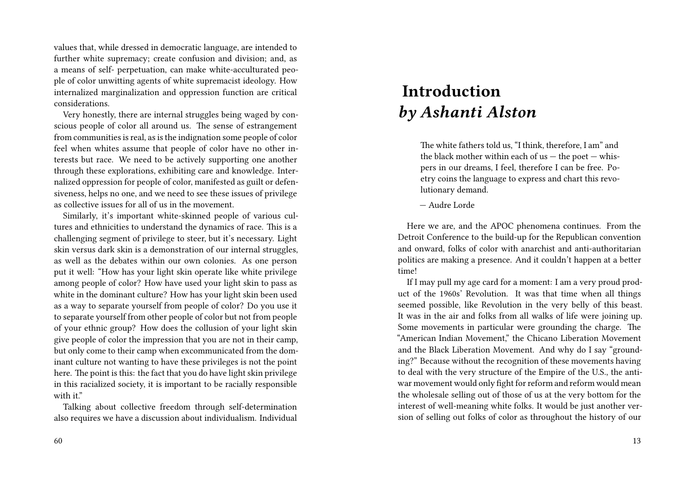values that, while dressed in democratic language, are intended to further white supremacy; create confusion and division; and, as a means of self- perpetuation, can make white-acculturated people of color unwitting agents of white supremacist ideology. How internalized marginalization and oppression function are critical considerations.

Very honestly, there are internal struggles being waged by conscious people of color all around us. The sense of estrangement from communities is real, as is the indignation some people of color feel when whites assume that people of color have no other interests but race. We need to be actively supporting one another through these explorations, exhibiting care and knowledge. Internalized oppression for people of color, manifested as guilt or defensiveness, helps no one, and we need to see these issues of privilege as collective issues for all of us in the movement.

Similarly, it's important white-skinned people of various cultures and ethnicities to understand the dynamics of race. This is a challenging segment of privilege to steer, but it's necessary. Light skin versus dark skin is a demonstration of our internal struggles, as well as the debates within our own colonies. As one person put it well: "How has your light skin operate like white privilege among people of color? How have used your light skin to pass as white in the dominant culture? How has your light skin been used as a way to separate yourself from people of color? Do you use it to separate yourself from other people of color but not from people of your ethnic group? How does the collusion of your light skin give people of color the impression that you are not in their camp, but only come to their camp when excommunicated from the dominant culture not wanting to have these privileges is not the point here. The point is this: the fact that you do have light skin privilege in this racialized society, it is important to be racially responsible with it."

Talking about collective freedom through self-determination also requires we have a discussion about individualism. Individual

#### 60

## **Introduction** *by Ashanti Alston*

The white fathers told us, "I think, therefore, I am" and the black mother within each of  $us$  – the poet – whispers in our dreams, I feel, therefore I can be free. Poetry coins the language to express and chart this revolutionary demand.

— Audre Lorde

Here we are, and the APOC phenomena continues. From the Detroit Conference to the build-up for the Republican convention and onward, folks of color with anarchist and anti-authoritarian politics are making a presence. And it couldn't happen at a better time!

If I may pull my age card for a moment: I am a very proud product of the 1960s' Revolution. It was that time when all things seemed possible, like Revolution in the very belly of this beast. It was in the air and folks from all walks of life were joining up. Some movements in particular were grounding the charge. The "American Indian Movement," the Chicano Liberation Movement and the Black Liberation Movement. And why do I say "grounding?" Because without the recognition of these movements having to deal with the very structure of the Empire of the U.S., the antiwar movement would only fight for reform and reform would mean the wholesale selling out of those of us at the very bottom for the interest of well-meaning white folks. It would be just another version of selling out folks of color as throughout the history of our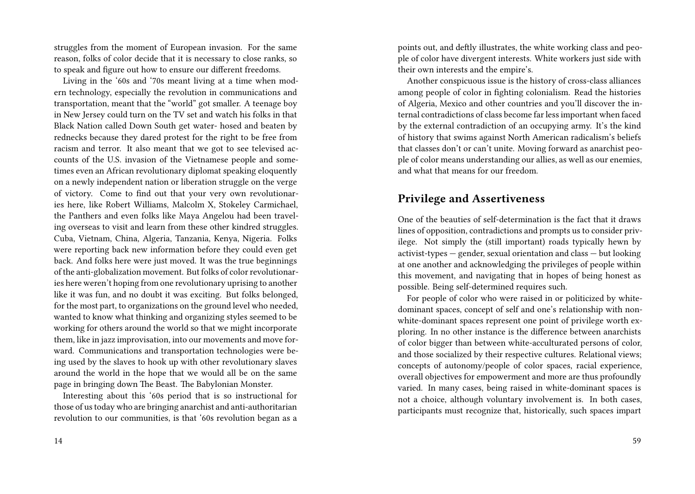struggles from the moment of European invasion. For the same reason, folks of color decide that it is necessary to close ranks, so to speak and figure out how to ensure our different freedoms.

Living in the '60s and '70s meant living at a time when modern technology, especially the revolution in communications and transportation, meant that the "world" got smaller. A teenage boy in New Jersey could turn on the TV set and watch his folks in that Black Nation called Down South get water- hosed and beaten by rednecks because they dared protest for the right to be free from racism and terror. It also meant that we got to see televised accounts of the U.S. invasion of the Vietnamese people and sometimes even an African revolutionary diplomat speaking eloquently on a newly independent nation or liberation struggle on the verge of victory. Come to find out that your very own revolutionaries here, like Robert Williams, Malcolm X, Stokeley Carmichael, the Panthers and even folks like Maya Angelou had been traveling overseas to visit and learn from these other kindred struggles. Cuba, Vietnam, China, Algeria, Tanzania, Kenya, Nigeria. Folks were reporting back new information before they could even get back. And folks here were just moved. It was the true beginnings of the anti-globalization movement. But folks of color revolutionaries here weren't hoping from one revolutionary uprising to another like it was fun, and no doubt it was exciting. But folks belonged, for the most part, to organizations on the ground level who needed, wanted to know what thinking and organizing styles seemed to be working for others around the world so that we might incorporate them, like in jazz improvisation, into our movements and move forward. Communications and transportation technologies were being used by the slaves to hook up with other revolutionary slaves around the world in the hope that we would all be on the same page in bringing down The Beast. The Babylonian Monster.

Interesting about this '60s period that is so instructional for those of us today who are bringing anarchist and anti-authoritarian revolution to our communities, is that '60s revolution began as a

points out, and deftly illustrates, the white working class and people of color have divergent interests. White workers just side with their own interests and the empire's.

Another conspicuous issue is the history of cross-class alliances among people of color in fighting colonialism. Read the histories of Algeria, Mexico and other countries and you'll discover the internal contradictions of class become far less important when faced by the external contradiction of an occupying army. It's the kind of history that swims against North American radicalism's beliefs that classes don't or can't unite. Moving forward as anarchist people of color means understanding our allies, as well as our enemies, and what that means for our freedom.

#### **Privilege and Assertiveness**

One of the beauties of self-determination is the fact that it draws lines of opposition, contradictions and prompts us to consider privilege. Not simply the (still important) roads typically hewn by activist-types — gender, sexual orientation and class — but looking at one another and acknowledging the privileges of people within this movement, and navigating that in hopes of being honest as possible. Being self-determined requires such.

For people of color who were raised in or politicized by whitedominant spaces, concept of self and one's relationship with nonwhite-dominant spaces represent one point of privilege worth exploring. In no other instance is the difference between anarchists of color bigger than between white-acculturated persons of color, and those socialized by their respective cultures. Relational views; concepts of autonomy/people of color spaces, racial experience, overall objectives for empowerment and more are thus profoundly varied. In many cases, being raised in white-dominant spaces is not a choice, although voluntary involvement is. In both cases, participants must recognize that, historically, such spaces impart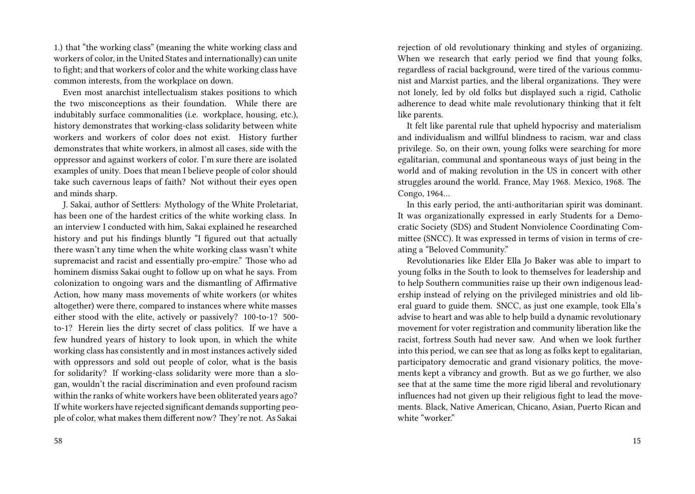1.) that "the working class" (meaning the white working class and workers of color, in the United States and internationally) can unite to fight; and that workers of color and the white working class have common interests, from the workplace on down.

Even most anarchist intellectualism stakes positions to which the two misconceptions as their foundation. While there are indubitably surface commonalities (i.e. workplace, housing, etc.), history demonstrates that working-class solidarity between white workers and workers of color does not exist. History further demonstrates that white workers, in almost all cases, side with the oppressor and against workers of color. I'm sure there are isolated examples of unity. Does that mean I believe people of color should take such cavernous leaps of faith? Not without their eyes open and minds sharp.

J. Sakai, author of Settlers: Mythology of the White Proletariat, has been one of the hardest critics of the white working class. In an interview I conducted with him, Sakai explained he researched history and put his findings bluntly "I figured out that actually there wasn't any time when the white working class wasn't white supremacist and racist and essentially pro-empire." Those who ad hominem dismiss Sakai ought to follow up on what he says. From colonization to ongoing wars and the dismantling of Affirmative Action, how many mass movements of white workers (or whites altogether) were there, compared to instances where white masses either stood with the elite, actively or passively? 100-to-1? 500 to-1? Herein lies the dirty secret of class politics. If we have a few hundred years of history to look upon, in which the white working class has consistently and in most instances actively sided with oppressors and sold out people of color, what is the basis for solidarity? If working-class solidarity were more than a slogan, wouldn't the racial discrimination and even profound racism within the ranks of white workers have been obliterated years ago? If white workers have rejected significant demands supporting people of color, what makes them different now? They're not. As Sakai

rejection of old revolutionary thinking and styles of organizing. When we research that early period we find that young folks, regardless of racial background, were tired of the various communist and Marxist parties, and the liberal organizations. They were not lonely, led by old folks but displayed such a rigid, Catholic adherence to dead white male revolutionary thinking that it felt like parents.

It felt like parental rule that upheld hypocrisy and materialism and individualism and willful blindness to racism, war and class privilege. So, on their own, young folks were searching for more egalitarian, communal and spontaneous ways of just being in the world and of making revolution in the US in concert with other struggles around the world. France, May 1968. Mexico, 1968. The Congo, 1964…

In this early period, the anti-authoritarian spirit was dominant. It was organizationally expressed in early Students for a Democratic Society (SDS) and Student Nonviolence Coordinating Committee (SNCC). It was expressed in terms of vision in terms of creating a "Beloved Community."

Revolutionaries like Elder Ella Jo Baker was able to impart to young folks in the South to look to themselves for leadership and to help Southern communities raise up their own indigenous leadership instead of relying on the privileged ministries and old liberal guard to guide them. SNCC, as just one example, took Ella's advise to heart and was able to help build a dynamic revolutionary movement for voter registration and community liberation like the racist, fortress South had never saw. And when we look further into this period, we can see that as long as folks kept to egalitarian, participatory democratic and grand visionary politics, the movements kept a vibrancy and growth. But as we go further, we also see that at the same time the more rigid liberal and revolutionary influences had not given up their religious fight to lead the movements. Black, Native American, Chicano, Asian, Puerto Rican and white "worker"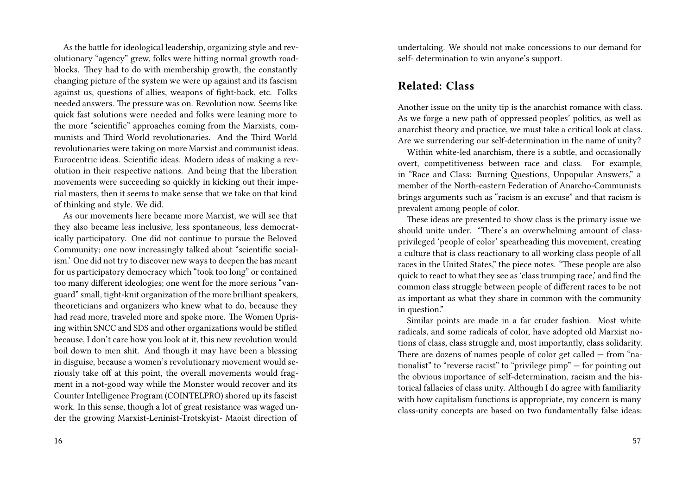As the battle for ideological leadership, organizing style and revolutionary "agency" grew, folks were hitting normal growth roadblocks. They had to do with membership growth, the constantly changing picture of the system we were up against and its fascism against us, questions of allies, weapons of fight-back, etc. Folks needed answers. The pressure was on. Revolution now. Seems like quick fast solutions were needed and folks were leaning more to the more "scientific" approaches coming from the Marxists, communists and Third World revolutionaries. And the Third World revolutionaries were taking on more Marxist and communist ideas. Eurocentric ideas. Scientific ideas. Modern ideas of making a revolution in their respective nations. And being that the liberation movements were succeeding so quickly in kicking out their imperial masters, then it seems to make sense that we take on that kind of thinking and style. We did.

As our movements here became more Marxist, we will see that they also became less inclusive, less spontaneous, less democratically participatory. One did not continue to pursue the Beloved Community; one now increasingly talked about "scientific socialism.' One did not try to discover new ways to deepen the has meant for us participatory democracy which "took too long" or contained too many different ideologies; one went for the more serious "vanguard" small, tight-knit organization of the more brilliant speakers, theoreticians and organizers who knew what to do, because they had read more, traveled more and spoke more. The Women Uprising within SNCC and SDS and other organizations would be stifled because, I don't care how you look at it, this new revolution would boil down to men shit. And though it may have been a blessing in disguise, because a women's revolutionary movement would seriously take off at this point, the overall movements would fragment in a not-good way while the Monster would recover and its Counter Intelligence Program (COINTELPRO) shored up its fascist work. In this sense, though a lot of great resistance was waged under the growing Marxist-Leninist-Trotskyist- Maoist direction of undertaking. We should not make concessions to our demand for self- determination to win anyone's support.

#### **Related: Class**

Another issue on the unity tip is the anarchist romance with class. As we forge a new path of oppressed peoples' politics, as well as anarchist theory and practice, we must take a critical look at class. Are we surrendering our self-determination in the name of unity?

Within white-led anarchism, there is a subtle, and occasionally overt, competitiveness between race and class. For example, in "Race and Class: Burning Questions, Unpopular Answers," a member of the North-eastern Federation of Anarcho-Communists brings arguments such as "racism is an excuse" and that racism is prevalent among people of color.

These ideas are presented to show class is the primary issue we should unite under. "There's an overwhelming amount of classprivileged 'people of color' spearheading this movement, creating a culture that is class reactionary to all working class people of all races in the United States," the piece notes. "These people are also quick to react to what they see as 'class trumping race,' and find the common class struggle between people of different races to be not as important as what they share in common with the community in question."

Similar points are made in a far cruder fashion. Most white radicals, and some radicals of color, have adopted old Marxist notions of class, class struggle and, most importantly, class solidarity. There are dozens of names people of color get called — from "nationalist" to "reverse racist" to "privilege pimp" — for pointing out the obvious importance of self-determination, racism and the historical fallacies of class unity. Although I do agree with familiarity with how capitalism functions is appropriate, my concern is many class-unity concepts are based on two fundamentally false ideas: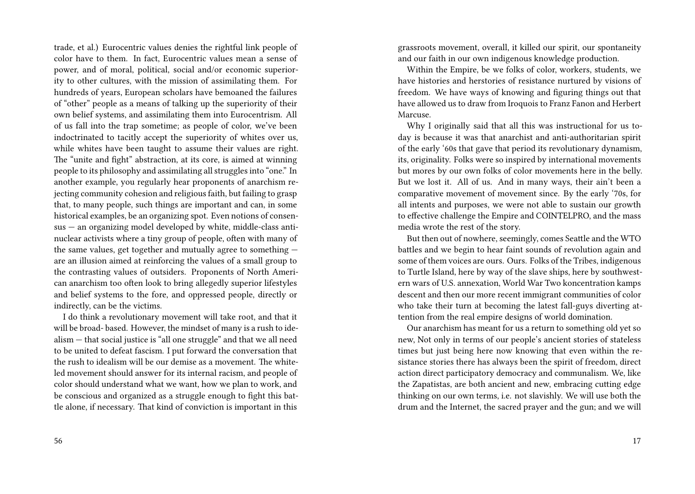trade, et al.) Eurocentric values denies the rightful link people of color have to them. In fact, Eurocentric values mean a sense of power, and of moral, political, social and/or economic superiority to other cultures, with the mission of assimilating them. For hundreds of years, European scholars have bemoaned the failures of "other" people as a means of talking up the superiority of their own belief systems, and assimilating them into Eurocentrism. All of us fall into the trap sometime; as people of color, we've been indoctrinated to tacitly accept the superiority of whites over us, while whites have been taught to assume their values are right. The "unite and fight" abstraction, at its core, is aimed at winning people to its philosophy and assimilating all struggles into "one." In another example, you regularly hear proponents of anarchism rejecting community cohesion and religious faith, but failing to grasp that, to many people, such things are important and can, in some historical examples, be an organizing spot. Even notions of consensus — an organizing model developed by white, middle-class antinuclear activists where a tiny group of people, often with many of the same values, get together and mutually agree to something are an illusion aimed at reinforcing the values of a small group to the contrasting values of outsiders. Proponents of North American anarchism too often look to bring allegedly superior lifestyles and belief systems to the fore, and oppressed people, directly or indirectly, can be the victims.

I do think a revolutionary movement will take root, and that it will be broad- based. However, the mindset of many is a rush to idealism — that social justice is "all one struggle" and that we all need to be united to defeat fascism. I put forward the conversation that the rush to idealism will be our demise as a movement. The whiteled movement should answer for its internal racism, and people of color should understand what we want, how we plan to work, and be conscious and organized as a struggle enough to fight this battle alone, if necessary. That kind of conviction is important in this

56

grassroots movement, overall, it killed our spirit, our spontaneity and our faith in our own indigenous knowledge production.

Within the Empire, be we folks of color, workers, students, we have histories and herstories of resistance nurtured by visions of freedom. We have ways of knowing and figuring things out that have allowed us to draw from Iroquois to Franz Fanon and Herbert Marcuse.

Why I originally said that all this was instructional for us today is because it was that anarchist and anti-authoritarian spirit of the early '60s that gave that period its revolutionary dynamism, its, originality. Folks were so inspired by international movements but mores by our own folks of color movements here in the belly. But we lost it. All of us. And in many ways, their ain't been a comparative movement of movement since. By the early '70s, for all intents and purposes, we were not able to sustain our growth to effective challenge the Empire and COINTELPRO, and the mass media wrote the rest of the story.

But then out of nowhere, seemingly, comes Seattle and the WTO battles and we begin to hear faint sounds of revolution again and some of them voices are ours. Ours. Folks of the Tribes, indigenous to Turtle Island, here by way of the slave ships, here by southwestern wars of U.S. annexation, World War Two koncentration kamps descent and then our more recent immigrant communities of color who take their turn at becoming the latest fall-guys diverting attention from the real empire designs of world domination.

Our anarchism has meant for us a return to something old yet so new, Not only in terms of our people's ancient stories of stateless times but just being here now knowing that even within the resistance stories there has always been the spirit of freedom, direct action direct participatory democracy and communalism. We, like the Zapatistas, are both ancient and new, embracing cutting edge thinking on our own terms, i.e. not slavishly. We will use both the drum and the Internet, the sacred prayer and the gun; and we will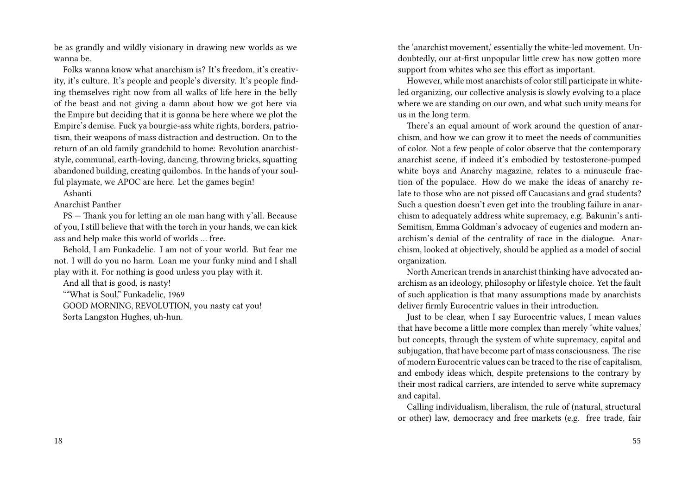be as grandly and wildly visionary in drawing new worlds as we wanna be.

Folks wanna know what anarchism is? It's freedom, it's creativity, it's culture. It's people and people's diversity. It's people finding themselves right now from all walks of life here in the belly of the beast and not giving a damn about how we got here via the Empire but deciding that it is gonna be here where we plot the Empire's demise. Fuck ya bourgie-ass white rights, borders, patriotism, their weapons of mass distraction and destruction. On to the return of an old family grandchild to home: Revolution anarchiststyle, communal, earth-loving, dancing, throwing bricks, squatting abandoned building, creating quilombos. In the hands of your soulful playmate, we APOC are here. Let the games begin!

Ashanti

Anarchist Panther

PS — Thank you for letting an ole man hang with y'all. Because of you, I still believe that with the torch in your hands, we can kick ass and help make this world of worlds … free.

Behold, I am Funkadelic. I am not of your world. But fear me not. I will do you no harm. Loan me your funky mind and I shall play with it. For nothing is good unless you play with it.

And all that is good, is nasty!

""What is Soul," Funkadelic, 1969 GOOD MORNING, REVOLUTION, you nasty cat you! Sorta Langston Hughes, uh-hun.

the 'anarchist movement,' essentially the white-led movement. Undoubtedly, our at-first unpopular little crew has now gotten more support from whites who see this effort as important.

However, while most anarchists of color still participate in whiteled organizing, our collective analysis is slowly evolving to a place where we are standing on our own, and what such unity means for us in the long term.

There's an equal amount of work around the question of anarchism, and how we can grow it to meet the needs of communities of color. Not a few people of color observe that the contemporary anarchist scene, if indeed it's embodied by testosterone-pumped white boys and Anarchy magazine, relates to a minuscule fraction of the populace. How do we make the ideas of anarchy relate to those who are not pissed off Caucasians and grad students? Such a question doesn't even get into the troubling failure in anarchism to adequately address white supremacy, e.g. Bakunin's anti-Semitism, Emma Goldman's advocacy of eugenics and modern anarchism's denial of the centrality of race in the dialogue. Anarchism, looked at objectively, should be applied as a model of social organization.

North American trends in anarchist thinking have advocated anarchism as an ideology, philosophy or lifestyle choice. Yet the fault of such application is that many assumptions made by anarchists deliver firmly Eurocentric values in their introduction.

Just to be clear, when I say Eurocentric values, I mean values that have become a little more complex than merely 'white values,' but concepts, through the system of white supremacy, capital and subjugation, that have become part of mass consciousness. The rise of modern Eurocentric values can be traced to the rise of capitalism, and embody ideas which, despite pretensions to the contrary by their most radical carriers, are intended to serve white supremacy and capital.

Calling individualism, liberalism, the rule of (natural, structural or other) law, democracy and free markets (e.g. free trade, fair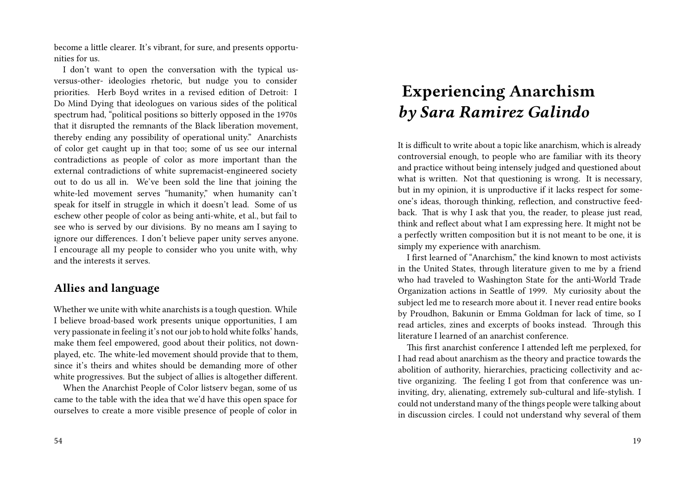become a little clearer. It's vibrant, for sure, and presents opportunities for us.

I don't want to open the conversation with the typical usversus-other- ideologies rhetoric, but nudge you to consider priorities. Herb Boyd writes in a revised edition of Detroit: I Do Mind Dying that ideologues on various sides of the political spectrum had, "political positions so bitterly opposed in the 1970s that it disrupted the remnants of the Black liberation movement, thereby ending any possibility of operational unity." Anarchists of color get caught up in that too; some of us see our internal contradictions as people of color as more important than the external contradictions of white supremacist-engineered society out to do us all in. We've been sold the line that joining the white-led movement serves "humanity," when humanity can't speak for itself in struggle in which it doesn't lead. Some of us eschew other people of color as being anti-white, et al., but fail to see who is served by our divisions. By no means am I saying to ignore our differences. I don't believe paper unity serves anyone. I encourage all my people to consider who you unite with, why and the interests it serves.

#### **Allies and language**

Whether we unite with white anarchists is a tough question. While I believe broad-based work presents unique opportunities, I am very passionate in feeling it's not our job to hold white folks' hands, make them feel empowered, good about their politics, not downplayed, etc. The white-led movement should provide that to them, since it's theirs and whites should be demanding more of other white progressives. But the subject of allies is altogether different.

When the Anarchist People of Color listserv began, some of us came to the table with the idea that we'd have this open space for ourselves to create a more visible presence of people of color in

## **Experiencing Anarchism** *by Sara Ramirez Galindo*

It is difficult to write about a topic like anarchism, which is already controversial enough, to people who are familiar with its theory and practice without being intensely judged and questioned about what is written. Not that questioning is wrong. It is necessary, but in my opinion, it is unproductive if it lacks respect for someone's ideas, thorough thinking, reflection, and constructive feedback. That is why I ask that you, the reader, to please just read, think and reflect about what I am expressing here. It might not be a perfectly written composition but it is not meant to be one, it is simply my experience with anarchism.

I first learned of "Anarchism," the kind known to most activists in the United States, through literature given to me by a friend who had traveled to Washington State for the anti-World Trade Organization actions in Seattle of 1999. My curiosity about the subject led me to research more about it. I never read entire books by Proudhon, Bakunin or Emma Goldman for lack of time, so I read articles, zines and excerpts of books instead. Through this literature I learned of an anarchist conference.

This first anarchist conference I attended left me perplexed, for I had read about anarchism as the theory and practice towards the abolition of authority, hierarchies, practicing collectivity and active organizing. The feeling I got from that conference was uninviting, dry, alienating, extremely sub-cultural and life-stylish. I could not understand many of the things people were talking about in discussion circles. I could not understand why several of them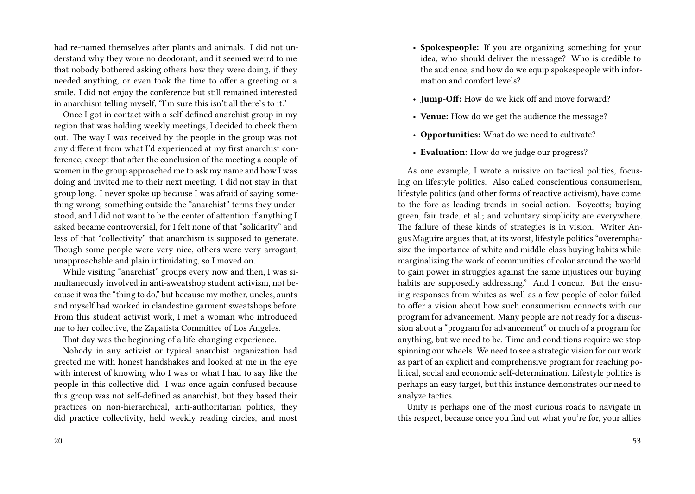had re-named themselves after plants and animals. I did not understand why they wore no deodorant; and it seemed weird to me that nobody bothered asking others how they were doing, if they needed anything, or even took the time to offer a greeting or a smile. I did not enjoy the conference but still remained interested in anarchism telling myself, "I'm sure this isn't all there's to it."

Once I got in contact with a self-defined anarchist group in my region that was holding weekly meetings, I decided to check them out. The way I was received by the people in the group was not any different from what I'd experienced at my first anarchist conference, except that after the conclusion of the meeting a couple of women in the group approached me to ask my name and how I was doing and invited me to their next meeting. I did not stay in that group long. I never spoke up because I was afraid of saying something wrong, something outside the "anarchist" terms they understood, and I did not want to be the center of attention if anything I asked became controversial, for I felt none of that "solidarity" and less of that "collectivity" that anarchism is supposed to generate. Though some people were very nice, others were very arrogant, unapproachable and plain intimidating, so I moved on.

While visiting "anarchist" groups every now and then, I was simultaneously involved in anti-sweatshop student activism, not because it was the "thing to do," but because my mother, uncles, aunts and myself had worked in clandestine garment sweatshops before. From this student activist work, I met a woman who introduced me to her collective, the Zapatista Committee of Los Angeles.

That day was the beginning of a life-changing experience.

Nobody in any activist or typical anarchist organization had greeted me with honest handshakes and looked at me in the eye with interest of knowing who I was or what I had to say like the people in this collective did. I was once again confused because this group was not self-defined as anarchist, but they based their practices on non-hierarchical, anti-authoritarian politics, they did practice collectivity, held weekly reading circles, and most

- **Spokespeople:** If you are organizing something for your idea, who should deliver the message? Who is credible to the audience, and how do we equip spokespeople with information and comfort levels?
- **Jump-Off:** How do we kick off and move forward?
- **Venue:** How do we get the audience the message?
- **Opportunities:** What do we need to cultivate?
- **Evaluation:** How do we judge our progress?

As one example, I wrote a missive on tactical politics, focusing on lifestyle politics. Also called conscientious consumerism, lifestyle politics (and other forms of reactive activism), have come to the fore as leading trends in social action. Boycotts; buying green, fair trade, et al.; and voluntary simplicity are everywhere. The failure of these kinds of strategies is in vision. Writer Angus Maguire argues that, at its worst, lifestyle politics "overemphasize the importance of white and middle-class buying habits while marginalizing the work of communities of color around the world to gain power in struggles against the same injustices our buying habits are supposedly addressing." And I concur. But the ensuing responses from whites as well as a few people of color failed to offer a vision about how such consumerism connects with our program for advancement. Many people are not ready for a discussion about a "program for advancement" or much of a program for anything, but we need to be. Time and conditions require we stop spinning our wheels. We need to see a strategic vision for our work as part of an explicit and comprehensive program for reaching political, social and economic self-determination. Lifestyle politics is perhaps an easy target, but this instance demonstrates our need to analyze tactics.

Unity is perhaps one of the most curious roads to navigate in this respect, because once you find out what you're for, your allies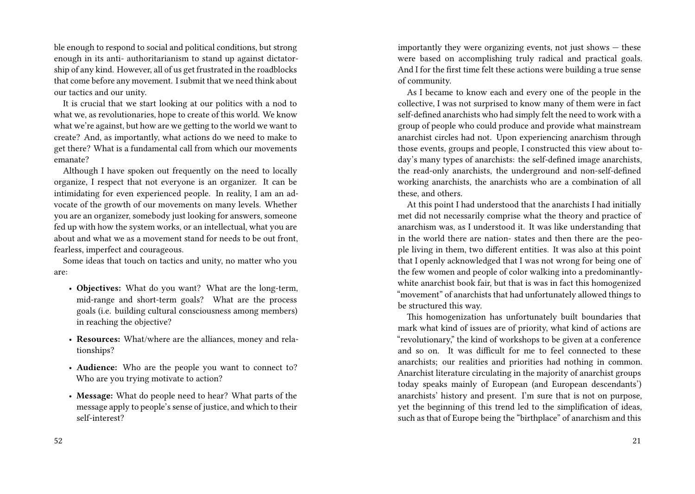ble enough to respond to social and political conditions, but strong enough in its anti- authoritarianism to stand up against dictatorship of any kind. However, all of us get frustrated in the roadblocks that come before any movement. I submit that we need think about our tactics and our unity.

It is crucial that we start looking at our politics with a nod to what we, as revolutionaries, hope to create of this world. We know what we're against, but how are we getting to the world we want to create? And, as importantly, what actions do we need to make to get there? What is a fundamental call from which our movements emanate?

Although I have spoken out frequently on the need to locally organize, I respect that not everyone is an organizer. It can be intimidating for even experienced people. In reality, I am an advocate of the growth of our movements on many levels. Whether you are an organizer, somebody just looking for answers, someone fed up with how the system works, or an intellectual, what you are about and what we as a movement stand for needs to be out front, fearless, imperfect and courageous.

Some ideas that touch on tactics and unity, no matter who you are:

- **Objectives:** What do you want? What are the long-term, mid-range and short-term goals? What are the process goals (i.e. building cultural consciousness among members) in reaching the objective?
- **Resources:** What/where are the alliances, money and relationships?
- **Audience:** Who are the people you want to connect to? Who are you trying motivate to action?
- **Message:** What do people need to hear? What parts of the message apply to people's sense of justice, and which to their self-interest?

importantly they were organizing events, not just shows — these were based on accomplishing truly radical and practical goals. And I for the first time felt these actions were building a true sense of community.

As I became to know each and every one of the people in the collective, I was not surprised to know many of them were in fact self-defined anarchists who had simply felt the need to work with a group of people who could produce and provide what mainstream anarchist circles had not. Upon experiencing anarchism through those events, groups and people, I constructed this view about today's many types of anarchists: the self-defined image anarchists, the read-only anarchists, the underground and non-self-defined working anarchists, the anarchists who are a combination of all these, and others.

At this point I had understood that the anarchists I had initially met did not necessarily comprise what the theory and practice of anarchism was, as I understood it. It was like understanding that in the world there are nation- states and then there are the people living in them, two different entities. It was also at this point that I openly acknowledged that I was not wrong for being one of the few women and people of color walking into a predominantlywhite anarchist book fair, but that is was in fact this homogenized "movement" of anarchists that had unfortunately allowed things to be structured this way.

This homogenization has unfortunately built boundaries that mark what kind of issues are of priority, what kind of actions are "revolutionary," the kind of workshops to be given at a conference and so on. It was difficult for me to feel connected to these anarchists; our realities and priorities had nothing in common. Anarchist literature circulating in the majority of anarchist groups today speaks mainly of European (and European descendants') anarchists' history and present. I'm sure that is not on purpose, yet the beginning of this trend led to the simplification of ideas, such as that of Europe being the "birthplace" of anarchism and this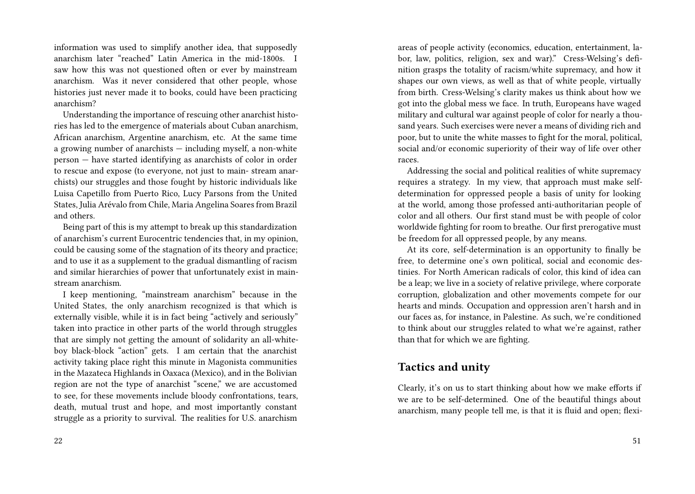information was used to simplify another idea, that supposedly anarchism later "reached" Latin America in the mid-1800s. I saw how this was not questioned often or ever by mainstream anarchism. Was it never considered that other people, whose histories just never made it to books, could have been practicing anarchism?

Understanding the importance of rescuing other anarchist histories has led to the emergence of materials about Cuban anarchism, African anarchism, Argentine anarchism, etc. At the same time a growing number of anarchists — including myself, a non-white person — have started identifying as anarchists of color in order to rescue and expose (to everyone, not just to main- stream anarchists) our struggles and those fought by historic individuals like Luisa Capetillo from Puerto Rico, Lucy Parsons from the United States, Julia Arévalo from Chile, Maria Angelina Soares from Brazil and others.

Being part of this is my attempt to break up this standardization of anarchism's current Eurocentric tendencies that, in my opinion, could be causing some of the stagnation of its theory and practice; and to use it as a supplement to the gradual dismantling of racism and similar hierarchies of power that unfortunately exist in mainstream anarchism.

I keep mentioning, "mainstream anarchism" because in the United States, the only anarchism recognized is that which is externally visible, while it is in fact being "actively and seriously" taken into practice in other parts of the world through struggles that are simply not getting the amount of solidarity an all-whiteboy black-block "action" gets. I am certain that the anarchist activity taking place right this minute in Magonista communities in the Mazateca Highlands in Oaxaca (Mexico), and in the Bolivian region are not the type of anarchist "scene," we are accustomed to see, for these movements include bloody confrontations, tears, death, mutual trust and hope, and most importantly constant struggle as a priority to survival. The realities for U.S. anarchism

areas of people activity (economics, education, entertainment, labor, law, politics, religion, sex and war)." Cress-Welsing's definition grasps the totality of racism/white supremacy, and how it shapes our own views, as well as that of white people, virtually from birth. Cress-Welsing's clarity makes us think about how we got into the global mess we face. In truth, Europeans have waged military and cultural war against people of color for nearly a thousand years. Such exercises were never a means of dividing rich and poor, but to unite the white masses to fight for the moral, political, social and/or economic superiority of their way of life over other races.

Addressing the social and political realities of white supremacy requires a strategy. In my view, that approach must make selfdetermination for oppressed people a basis of unity for looking at the world, among those professed anti-authoritarian people of color and all others. Our first stand must be with people of color worldwide fighting for room to breathe. Our first prerogative must be freedom for all oppressed people, by any means.

At its core, self-determination is an opportunity to finally be free, to determine one's own political, social and economic destinies. For North American radicals of color, this kind of idea can be a leap; we live in a society of relative privilege, where corporate corruption, globalization and other movements compete for our hearts and minds. Occupation and oppression aren't harsh and in our faces as, for instance, in Palestine. As such, we're conditioned to think about our struggles related to what we're against, rather than that for which we are fighting.

#### **Tactics and unity**

Clearly, it's on us to start thinking about how we make efforts if we are to be self-determined. One of the beautiful things about anarchism, many people tell me, is that it is fluid and open; flexi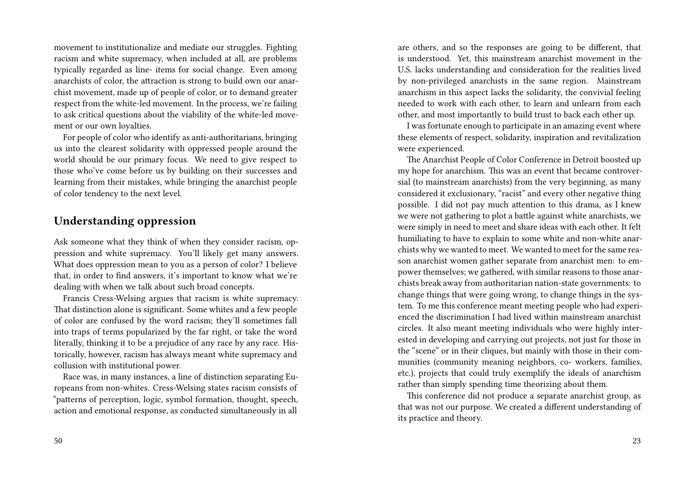movement to institutionalize and mediate our struggles. Fighting racism and white supremacy, when included at all, are problems typically regarded as line- items for social change. Even among anarchists of color, the attraction is strong to build own our anarchist movement, made up of people of color, or to demand greater respect from the white-led movement. In the process, we're failing to ask critical questions about the viability of the white-led movement or our own loyalties.

For people of color who identify as anti-authoritarians, bringing us into the clearest solidarity with oppressed people around the world should be our primary focus. We need to give respect to those who've come before us by building on their successes and learning from their mistakes, while bringing the anarchist people of color tendency to the next level.

#### **Understanding oppression**

Ask someone what they think of when they consider racism, oppression and white supremacy. You'll likely get many answers. What does oppression mean to you as a person of color? I believe that, in order to find answers, it's important to know what we're dealing with when we talk about such broad concepts.

Francis Cress-Welsing argues that racism is white supremacy. That distinction alone is significant. Some whites and a few people of color are confused by the word racism; they'll sometimes fall into traps of terms popularized by the far right, or take the word literally, thinking it to be a prejudice of any race by any race. Historically, however, racism has always meant white supremacy and collusion with institutional power.

Race was, in many instances, a line of distinction separating Europeans from non-whites. Cress-Welsing states racism consists of "patterns of perception, logic, symbol formation, thought, speech, action and emotional response, as conducted simultaneously in all

are others, and so the responses are going to be different, that is understood. Yet, this mainstream anarchist movement in the U.S. lacks understanding and consideration for the realities lived by non-privileged anarchists in the same region. Mainstream anarchism in this aspect lacks the solidarity, the convivial feeling needed to work with each other, to learn and unlearn from each other, and most importantly to build trust to back each other up.

I was fortunate enough to participate in an amazing event where these elements of respect, solidarity, inspiration and revitalization were experienced.

The Anarchist People of Color Conference in Detroit boosted up my hope for anarchism. This was an event that became controversial (to mainstream anarchists) from the very beginning, as many considered it exclusionary, "racist" and every other negative thing possible. I did not pay much attention to this drama, as I knew we were not gathering to plot a battle against white anarchists, we were simply in need to meet and share ideas with each other. It felt humiliating to have to explain to some white and non-white anarchists why we wanted to meet. We wanted to meet for the same reason anarchist women gather separate from anarchist men: to empower themselves; we gathered, with similar reasons to those anarchists break away from authoritarian nation-state governments: to change things that were going wrong, to change things in the system. To me this conference meant meeting people who had experienced the discrimination I had lived within mainstream anarchist circles. It also meant meeting individuals who were highly interested in developing and carrying out projects, not just for those in the "scene" or in their cliques, but mainly with those in their communities (community meaning neighbors, co- workers, families, etc.), projects that could truly exemplify the ideals of anarchism rather than simply spending time theorizing about them.

This conference did not produce a separate anarchist group, as that was not our purpose. We created a different understanding of its practice and theory.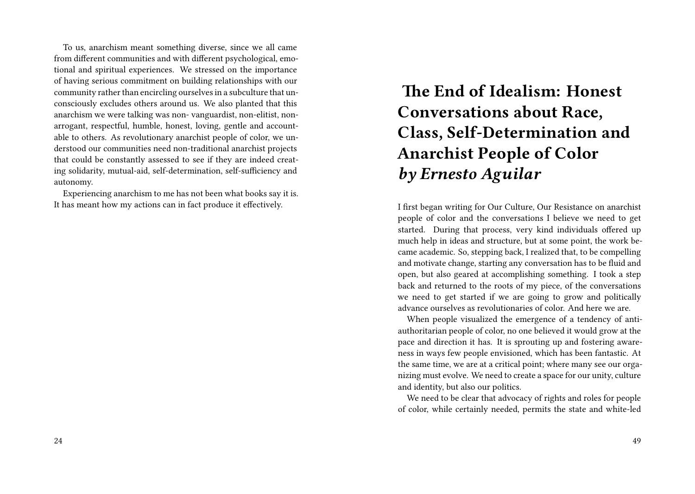To us, anarchism meant something diverse, since we all came from different communities and with different psychological, emotional and spiritual experiences. We stressed on the importance of having serious commitment on building relationships with our community rather than encircling ourselves in a subculture that unconsciously excludes others around us. We also planted that this anarchism we were talking was non- vanguardist, non-elitist, nonarrogant, respectful, humble, honest, loving, gentle and accountable to others. As revolutionary anarchist people of color, we understood our communities need non-traditional anarchist projects that could be constantly assessed to see if they are indeed creating solidarity, mutual-aid, self-determination, self-sufficiency and autonomy.

Experiencing anarchism to me has not been what books say it is. It has meant how my actions can in fact produce it effectively.

# **The End of Idealism: Honest Conversations about Race, Class, Self-Determination and Anarchist People of Color** *by Ernesto Aguilar*

I first began writing for Our Culture, Our Resistance on anarchist people of color and the conversations I believe we need to get started. During that process, very kind individuals offered up much help in ideas and structure, but at some point, the work became academic. So, stepping back, I realized that, to be compelling and motivate change, starting any conversation has to be fluid and open, but also geared at accomplishing something. I took a step back and returned to the roots of my piece, of the conversations we need to get started if we are going to grow and politically advance ourselves as revolutionaries of color. And here we are.

When people visualized the emergence of a tendency of antiauthoritarian people of color, no one believed it would grow at the pace and direction it has. It is sprouting up and fostering awareness in ways few people envisioned, which has been fantastic. At the same time, we are at a critical point; where many see our organizing must evolve. We need to create a space for our unity, culture and identity, but also our politics.

We need to be clear that advocacy of rights and roles for people of color, while certainly needed, permits the state and white-led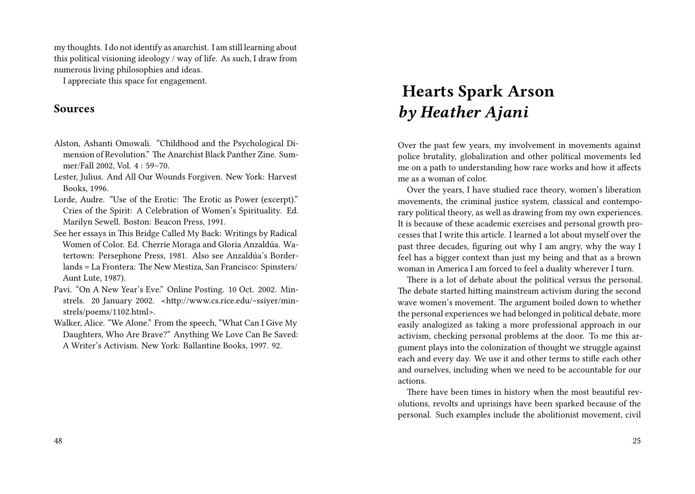my thoughts. I do not identify as anarchist. I am still learning about this political visioning ideology / way of life. As such, I draw from numerous living philosophies and ideas.

I appreciate this space for engagement.

#### **Sources**

- Alston, Ashanti Omowali. "Childhood and the Psychological Dimension of Revolution." The Anarchist Black Panther Zine. Summer/Fall 2002, Vol. 4 : 59–70.
- Lester, Julius. And All Our Wounds Forgiven. New York: Harvest Books, 1996.
- Lorde, Audre. "Use of the Erotic: The Erotic as Power (excerpt)." Cries of the Spirit: A Celebration of Women's Spirituality. Ed. Marilyn Sewell. Boston: Beacon Press, 1991.
- See her essays in This Bridge Called My Back: Writings by Radical Women of Color. Ed. Cherríe Moraga and Gloria Anzaldúa. Watertown: Persephone Press, 1981. Also see Anzaldúa's Borderlands = La Frontera: The New Mestiza, San Francisco: Spinsters/ Aunt Lute, 1987).
- Pavi. "On A New Year's Eve." Online Posting. 10 Oct. 2002. Minstrels. 20 January 2002. <http://www.cs.rice.edu/~ssiyer/minstrels/poems/1102.html>.
- Walker, Alice. "We Alone." From the speech, "What Can I Give My Daughters, Who Are Brave?" Anything We Love Can Be Saved: A Writer's Activism. New York: Ballantine Books, 1997. 92.

# **Hearts Spark Arson** *by Heather Ajani*

Over the past few years, my involvement in movements against police brutality, globalization and other political movements led me on a path to understanding how race works and how it affects me as a woman of color.

Over the years, I have studied race theory, women's liberation movements, the criminal justice system, classical and contemporary political theory, as well as drawing from my own experiences. It is because of these academic exercises and personal growth processes that I write this article. I learned a lot about myself over the past three decades, figuring out why I am angry, why the way I feel has a bigger context than just my being and that as a brown woman in America I am forced to feel a duality wherever I turn.

There is a lot of debate about the political versus the personal. The debate started hitting mainstream activism during the second wave women's movement. The argument boiled down to whether the personal experiences we had belonged in political debate, more easily analogized as taking a more professional approach in our activism, checking personal problems at the door. To me this argument plays into the colonization of thought we struggle against each and every day. We use it and other terms to stifle each other and ourselves, including when we need to be accountable for our actions.

There have been times in history when the most beautiful revolutions, revolts and uprisings have been sparked because of the personal. Such examples include the abolitionist movement, civil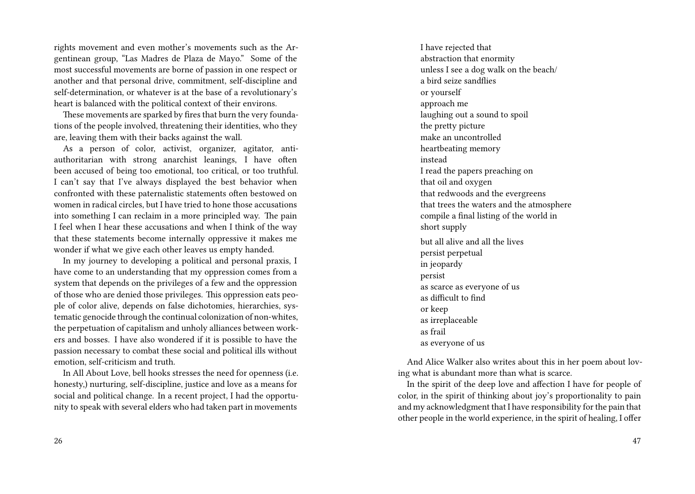rights movement and even mother's movements such as the Argentinean group, "Las Madres de Plaza de Mayo." Some of the most successful movements are borne of passion in one respect or another and that personal drive, commitment, self-discipline and self-determination, or whatever is at the base of a revolutionary's heart is balanced with the political context of their environs.

These movements are sparked by fires that burn the very foundations of the people involved, threatening their identities, who they are, leaving them with their backs against the wall.

As a person of color, activist, organizer, agitator, antiauthoritarian with strong anarchist leanings, I have often been accused of being too emotional, too critical, or too truthful. I can't say that I've always displayed the best behavior when confronted with these paternalistic statements often bestowed on women in radical circles, but I have tried to hone those accusations into something I can reclaim in a more principled way. The pain I feel when I hear these accusations and when I think of the way that these statements become internally oppressive it makes me wonder if what we give each other leaves us empty handed.

In my journey to developing a political and personal praxis, I have come to an understanding that my oppression comes from a system that depends on the privileges of a few and the oppression of those who are denied those privileges. This oppression eats people of color alive, depends on false dichotomies, hierarchies, systematic genocide through the continual colonization of non-whites, the perpetuation of capitalism and unholy alliances between workers and bosses. I have also wondered if it is possible to have the passion necessary to combat these social and political ills without emotion, self-criticism and truth.

In All About Love, bell hooks stresses the need for openness (i.e. honesty,) nurturing, self-discipline, justice and love as a means for social and political change. In a recent project, I had the opportunity to speak with several elders who had taken part in movements I have rejected that abstraction that enormity unless I see a dog walk on the beach/ a bird seize sandflies or yourself approach me laughing out a sound to spoil the pretty picture make an uncontrolled heartbeating memory instead I read the papers preaching on that oil and oxygen that redwoods and the evergreens that trees the waters and the atmosphere compile a final listing of the world in short supply but all alive and all the lives persist perpetual in jeopardy persist as scarce as everyone of us as difficult to find or keep as irreplaceable as frail

And Alice Walker also writes about this in her poem about loving what is abundant more than what is scarce.

as everyone of us

In the spirit of the deep love and affection I have for people of color, in the spirit of thinking about joy's proportionality to pain and my acknowledgment that I have responsibility for the pain that other people in the world experience, in the spirit of healing, I offer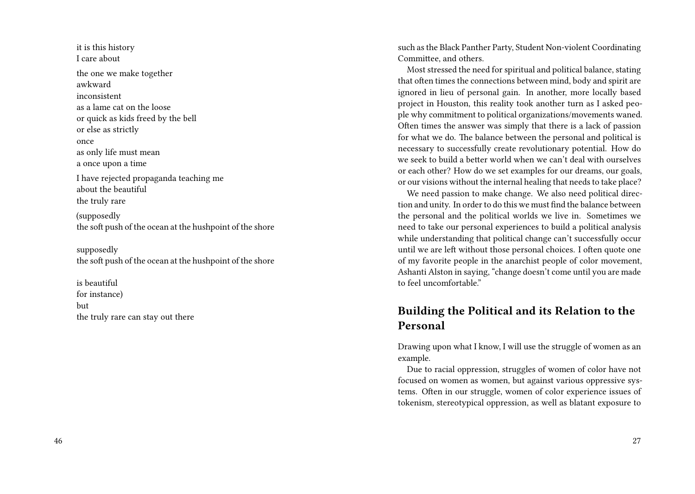it is this history I care about the one we make together awkward inconsistent as a lame cat on the loose or quick as kids freed by the bell or else as strictly once as only life must mean a once upon a time I have rejected propaganda teaching me about the beautiful the truly rare (supposedly the soft push of the ocean at the hushpoint of the shore

supposedly the soft push of the ocean at the hushpoint of the shore

is beautiful for instance) but the truly rare can stay out there such as the Black Panther Party, Student Non-violent Coordinating Committee, and others.

Most stressed the need for spiritual and political balance, stating that often times the connections between mind, body and spirit are ignored in lieu of personal gain. In another, more locally based project in Houston, this reality took another turn as I asked people why commitment to political organizations/movements waned. Often times the answer was simply that there is a lack of passion for what we do. The balance between the personal and political is necessary to successfully create revolutionary potential. How do we seek to build a better world when we can't deal with ourselves or each other? How do we set examples for our dreams, our goals, or our visions without the internal healing that needs to take place?

We need passion to make change. We also need political direction and unity. In order to do this we must find the balance between the personal and the political worlds we live in. Sometimes we need to take our personal experiences to build a political analysis while understanding that political change can't successfully occur until we are left without those personal choices. I often quote one of my favorite people in the anarchist people of color movement, Ashanti Alston in saying, "change doesn't come until you are made to feel uncomfortable"

#### **Building the Political and its Relation to the Personal**

Drawing upon what I know, I will use the struggle of women as an example.

Due to racial oppression, struggles of women of color have not focused on women as women, but against various oppressive systems. Often in our struggle, women of color experience issues of tokenism, stereotypical oppression, as well as blatant exposure to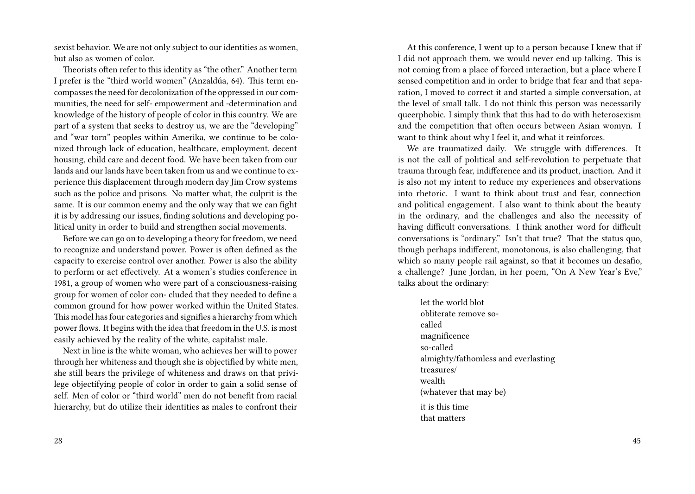sexist behavior. We are not only subject to our identities as women, but also as women of color.

Theorists often refer to this identity as "the other." Another term I prefer is the "third world women" (Anzaldúa, 64). This term encompasses the need for decolonization of the oppressed in our communities, the need for self- empowerment and -determination and knowledge of the history of people of color in this country. We are part of a system that seeks to destroy us, we are the "developing" and "war torn" peoples within Amerika, we continue to be colonized through lack of education, healthcare, employment, decent housing, child care and decent food. We have been taken from our lands and our lands have been taken from us and we continue to experience this displacement through modern day Jim Crow systems such as the police and prisons. No matter what, the culprit is the same. It is our common enemy and the only way that we can fight it is by addressing our issues, finding solutions and developing political unity in order to build and strengthen social movements.

Before we can go on to developing a theory for freedom, we need to recognize and understand power. Power is often defined as the capacity to exercise control over another. Power is also the ability to perform or act effectively. At a women's studies conference in 1981, a group of women who were part of a consciousness-raising group for women of color con- cluded that they needed to define a common ground for how power worked within the United States. This model has four categories and signifies a hierarchy from which power flows. It begins with the idea that freedom in the U.S. is most easily achieved by the reality of the white, capitalist male.

Next in line is the white woman, who achieves her will to power through her whiteness and though she is objectified by white men, she still bears the privilege of whiteness and draws on that privilege objectifying people of color in order to gain a solid sense of self. Men of color or "third world" men do not benefit from racial hierarchy, but do utilize their identities as males to confront their

At this conference, I went up to a person because I knew that if I did not approach them, we would never end up talking. This is not coming from a place of forced interaction, but a place where I sensed competition and in order to bridge that fear and that separation, I moved to correct it and started a simple conversation, at the level of small talk. I do not think this person was necessarily queerphobic. I simply think that this had to do with heterosexism and the competition that often occurs between Asian womyn. I want to think about why I feel it, and what it reinforces.

We are traumatized daily. We struggle with differences. It is not the call of political and self-revolution to perpetuate that trauma through fear, indifference and its product, inaction. And it is also not my intent to reduce my experiences and observations into rhetoric. I want to think about trust and fear, connection and political engagement. I also want to think about the beauty in the ordinary, and the challenges and also the necessity of having difficult conversations. I think another word for difficult conversations is "ordinary." Isn't that true? That the status quo, though perhaps indifferent, monotonous, is also challenging, that which so many people rail against, so that it becomes un desafio, a challenge? June Jordan, in her poem, "On A New Year's Eve," talks about the ordinary:

let the world blot obliterate remove socalled magnificence so-called almighty/fathomless and everlasting treasures/ wealth (whatever that may be) it is this time that matters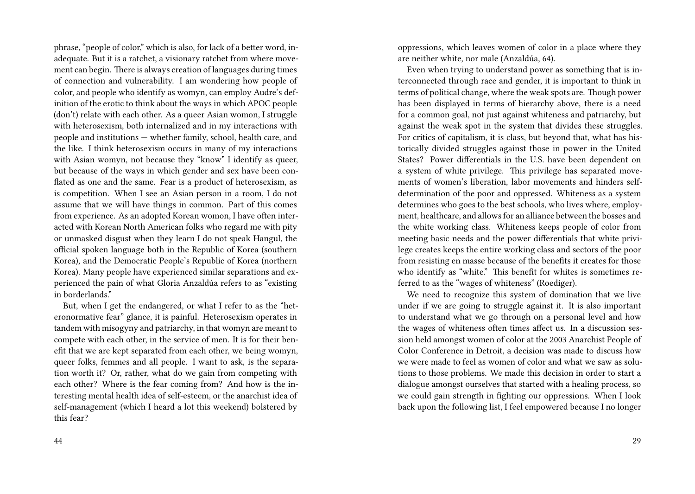phrase, "people of color," which is also, for lack of a better word, inadequate. But it is a ratchet, a visionary ratchet from where movement can begin. There is always creation of languages during times of connection and vulnerability. I am wondering how people of color, and people who identify as womyn, can employ Audre's definition of the erotic to think about the ways in which APOC people (don't) relate with each other. As a queer Asian womon, I struggle with heterosexism, both internalized and in my interactions with people and institutions — whether family, school, health care, and the like. I think heterosexism occurs in many of my interactions with Asian womyn, not because they "know" I identify as queer, but because of the ways in which gender and sex have been conflated as one and the same. Fear is a product of heterosexism, as is competition. When I see an Asian person in a room, I do not assume that we will have things in common. Part of this comes from experience. As an adopted Korean womon, I have often interacted with Korean North American folks who regard me with pity or unmasked disgust when they learn I do not speak Hangul, the official spoken language both in the Republic of Korea (southern Korea), and the Democratic People's Republic of Korea (northern Korea). Many people have experienced similar separations and experienced the pain of what Gloria Anzaldúa refers to as "existing in borderlands."

But, when I get the endangered, or what I refer to as the "heteronormative fear" glance, it is painful. Heterosexism operates in tandem with misogyny and patriarchy, in that womyn are meant to compete with each other, in the service of men. It is for their benefit that we are kept separated from each other, we being womyn, queer folks, femmes and all people. I want to ask, is the separation worth it? Or, rather, what do we gain from competing with each other? Where is the fear coming from? And how is the interesting mental health idea of self-esteem, or the anarchist idea of self-management (which I heard a lot this weekend) bolstered by this fear?

oppressions, which leaves women of color in a place where they are neither white, nor male (Anzaldúa, 64).

Even when trying to understand power as something that is interconnected through race and gender, it is important to think in terms of political change, where the weak spots are. Though power has been displayed in terms of hierarchy above, there is a need for a common goal, not just against whiteness and patriarchy, but against the weak spot in the system that divides these struggles. For critics of capitalism, it is class, but beyond that, what has historically divided struggles against those in power in the United States? Power differentials in the U.S. have been dependent on a system of white privilege. This privilege has separated movements of women's liberation, labor movements and hinders selfdetermination of the poor and oppressed. Whiteness as a system determines who goes to the best schools, who lives where, employment, healthcare, and allows for an alliance between the bosses and the white working class. Whiteness keeps people of color from meeting basic needs and the power differentials that white privilege creates keeps the entire working class and sectors of the poor from resisting en masse because of the benefits it creates for those who identify as "white." This benefit for whites is sometimes referred to as the "wages of whiteness" (Roediger).

We need to recognize this system of domination that we live under if we are going to struggle against it. It is also important to understand what we go through on a personal level and how the wages of whiteness often times affect us. In a discussion session held amongst women of color at the 2003 Anarchist People of Color Conference in Detroit, a decision was made to discuss how we were made to feel as women of color and what we saw as solutions to those problems. We made this decision in order to start a dialogue amongst ourselves that started with a healing process, so we could gain strength in fighting our oppressions. When I look back upon the following list, I feel empowered because I no longer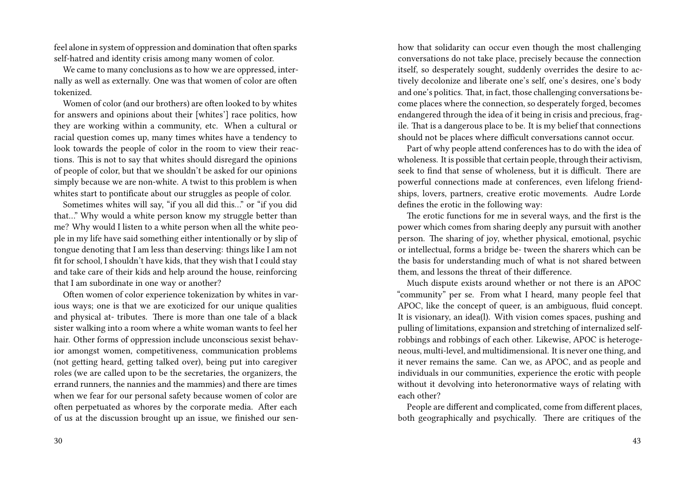feel alone in system of oppression and domination that often sparks self-hatred and identity crisis among many women of color.

We came to many conclusions as to how we are oppressed, internally as well as externally. One was that women of color are often tokenized.

Women of color (and our brothers) are often looked to by whites for answers and opinions about their [whites'] race politics, how they are working within a community, etc. When a cultural or racial question comes up, many times whites have a tendency to look towards the people of color in the room to view their reactions. This is not to say that whites should disregard the opinions of people of color, but that we shouldn't be asked for our opinions simply because we are non-white. A twist to this problem is when whites start to pontificate about our struggles as people of color.

Sometimes whites will say, "if you all did this…" or "if you did that…" Why would a white person know my struggle better than me? Why would I listen to a white person when all the white people in my life have said something either intentionally or by slip of tongue denoting that I am less than deserving: things like I am not fit for school, I shouldn't have kids, that they wish that I could stay and take care of their kids and help around the house, reinforcing that I am subordinate in one way or another?

Often women of color experience tokenization by whites in various ways; one is that we are exoticized for our unique qualities and physical at- tributes. There is more than one tale of a black sister walking into a room where a white woman wants to feel her hair. Other forms of oppression include unconscious sexist behavior amongst women, competitiveness, communication problems (not getting heard, getting talked over), being put into caregiver roles (we are called upon to be the secretaries, the organizers, the errand runners, the nannies and the mammies) and there are times when we fear for our personal safety because women of color are often perpetuated as whores by the corporate media. After each of us at the discussion brought up an issue, we finished our sen-

30

how that solidarity can occur even though the most challenging conversations do not take place, precisely because the connection itself, so desperately sought, suddenly overrides the desire to actively decolonize and liberate one's self, one's desires, one's body and one's politics. That, in fact, those challenging conversations become places where the connection, so desperately forged, becomes endangered through the idea of it being in crisis and precious, fragile. That is a dangerous place to be. It is my belief that connections should not be places where difficult conversations cannot occur.

Part of why people attend conferences has to do with the idea of wholeness. It is possible that certain people, through their activism, seek to find that sense of wholeness, but it is difficult. There are powerful connections made at conferences, even lifelong friendships, lovers, partners, creative erotic movements. Audre Lorde defines the erotic in the following way:

The erotic functions for me in several ways, and the first is the power which comes from sharing deeply any pursuit with another person. The sharing of joy, whether physical, emotional, psychic or intellectual, forms a bridge be- tween the sharers which can be the basis for understanding much of what is not shared between them, and lessons the threat of their difference.

Much dispute exists around whether or not there is an APOC "community" per se. From what I heard, many people feel that APOC, like the concept of queer, is an ambiguous, fluid concept. It is visionary, an idea(l). With vision comes spaces, pushing and pulling of limitations, expansion and stretching of internalized selfrobbings and robbings of each other. Likewise, APOC is heterogeneous, multi-level, and multidimensional. It is never one thing, and it never remains the same. Can we, as APOC, and as people and individuals in our communities, experience the erotic with people without it devolving into heteronormative ways of relating with each other?

People are different and complicated, come from different places, both geographically and psychically. There are critiques of the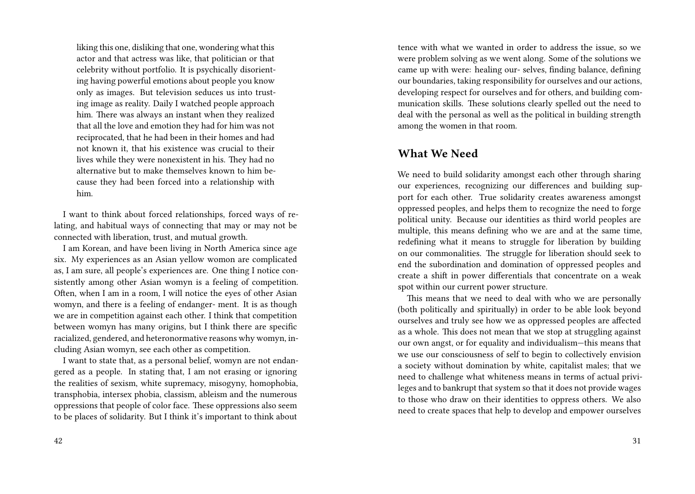liking this one, disliking that one, wondering what this actor and that actress was like, that politician or that celebrity without portfolio. It is psychically disorienting having powerful emotions about people you know only as images. But television seduces us into trusting image as reality. Daily I watched people approach him. There was always an instant when they realized that all the love and emotion they had for him was not reciprocated, that he had been in their homes and had not known it, that his existence was crucial to their lives while they were nonexistent in his. They had no alternative but to make themselves known to him because they had been forced into a relationship with him.

I want to think about forced relationships, forced ways of relating, and habitual ways of connecting that may or may not be connected with liberation, trust, and mutual growth.

I am Korean, and have been living in North America since age six. My experiences as an Asian yellow womon are complicated as, I am sure, all people's experiences are. One thing I notice consistently among other Asian womyn is a feeling of competition. Often, when I am in a room, I will notice the eyes of other Asian womyn, and there is a feeling of endanger- ment. It is as though we are in competition against each other. I think that competition between womyn has many origins, but I think there are specific racialized, gendered, and heteronormative reasons why womyn, including Asian womyn, see each other as competition.

I want to state that, as a personal belief, womyn are not endangered as a people. In stating that, I am not erasing or ignoring the realities of sexism, white supremacy, misogyny, homophobia, transphobia, intersex phobia, classism, ableism and the numerous oppressions that people of color face. These oppressions also seem to be places of solidarity. But I think it's important to think about

tence with what we wanted in order to address the issue, so we were problem solving as we went along. Some of the solutions we came up with were: healing our- selves, finding balance, defining our boundaries, taking responsibility for ourselves and our actions, developing respect for ourselves and for others, and building communication skills. These solutions clearly spelled out the need to deal with the personal as well as the political in building strength among the women in that room.

#### **What We Need**

We need to build solidarity amongst each other through sharing our experiences, recognizing our differences and building support for each other. True solidarity creates awareness amongst oppressed peoples, and helps them to recognize the need to forge political unity. Because our identities as third world peoples are multiple, this means defining who we are and at the same time, redefining what it means to struggle for liberation by building on our commonalities. The struggle for liberation should seek to end the subordination and domination of oppressed peoples and create a shift in power differentials that concentrate on a weak spot within our current power structure.

This means that we need to deal with who we are personally (both politically and spiritually) in order to be able look beyond ourselves and truly see how we as oppressed peoples are affected as a whole. This does not mean that we stop at struggling against our own angst, or for equality and individualism—this means that we use our consciousness of self to begin to collectively envision a society without domination by white, capitalist males; that we need to challenge what whiteness means in terms of actual privileges and to bankrupt that system so that it does not provide wages to those who draw on their identities to oppress others. We also need to create spaces that help to develop and empower ourselves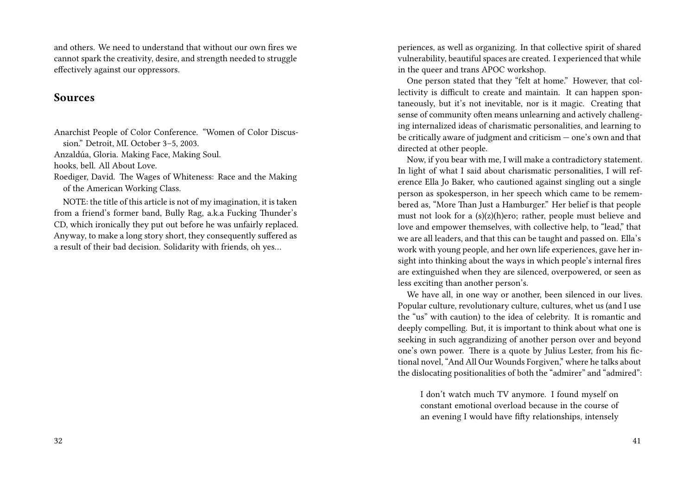and others. We need to understand that without our own fires we cannot spark the creativity, desire, and strength needed to struggle effectively against our oppressors.

#### **Sources**

Anarchist People of Color Conference. "Women of Color Discussion." Detroit, MI. October 3–5, 2003.

Anzaldúa, Gloria. Making Face, Making Soul.

hooks, bell. All About Love.

Roediger, David. The Wages of Whiteness: Race and the Making of the American Working Class.

NOTE: the title of this article is not of my imagination, it is taken from a friend's former band, Bully Rag, a.k.a Fucking Thunder's CD, which ironically they put out before he was unfairly replaced. Anyway, to make a long story short, they consequently suffered as a result of their bad decision. Solidarity with friends, oh yes…

periences, as well as organizing. In that collective spirit of shared vulnerability, beautiful spaces are created. I experienced that while in the queer and trans APOC workshop.

One person stated that they "felt at home." However, that collectivity is difficult to create and maintain. It can happen spontaneously, but it's not inevitable, nor is it magic. Creating that sense of community often means unlearning and actively challenging internalized ideas of charismatic personalities, and learning to be critically aware of judgment and criticism — one's own and that directed at other people.

Now, if you bear with me, I will make a contradictory statement. In light of what I said about charismatic personalities, I will reference Ella Jo Baker, who cautioned against singling out a single person as spokesperson, in her speech which came to be remembered as, "More Than Just a Hamburger." Her belief is that people must not look for a (s)(z)(h)ero; rather, people must believe and love and empower themselves, with collective help, to "lead," that we are all leaders, and that this can be taught and passed on. Ella's work with young people, and her own life experiences, gave her insight into thinking about the ways in which people's internal fires are extinguished when they are silenced, overpowered, or seen as less exciting than another person's.

We have all, in one way or another, been silenced in our lives. Popular culture, revolutionary culture, cultures, whet us (and I use the "us" with caution) to the idea of celebrity. It is romantic and deeply compelling. But, it is important to think about what one is seeking in such aggrandizing of another person over and beyond one's own power. There is a quote by Julius Lester, from his fictional novel, "And All Our Wounds Forgiven," where he talks about the dislocating positionalities of both the "admirer" and "admired":

I don't watch much TV anymore. I found myself on constant emotional overload because in the course of an evening I would have fifty relationships, intensely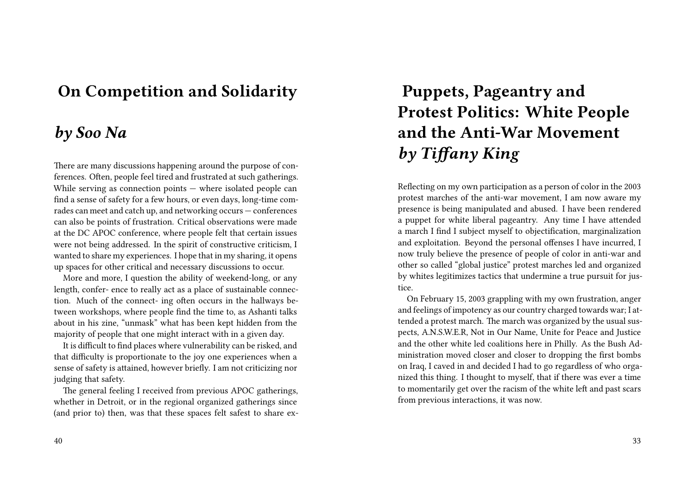### **On Competition and Solidarity**

### *by Soo Na*

There are many discussions happening around the purpose of conferences. Often, people feel tired and frustrated at such gatherings. While serving as connection points – where isolated people can find a sense of safety for a few hours, or even days, long-time comrades can meet and catch up, and networking occurs — conferences can also be points of frustration. Critical observations were made at the DC APOC conference, where people felt that certain issues were not being addressed. In the spirit of constructive criticism, I wanted to share my experiences. I hope that in my sharing, it opens up spaces for other critical and necessary discussions to occur.

More and more, I question the ability of weekend-long, or any length, confer- ence to really act as a place of sustainable connection. Much of the connect- ing often occurs in the hallways between workshops, where people find the time to, as Ashanti talks about in his zine, "unmask" what has been kept hidden from the majority of people that one might interact with in a given day.

It is difficult to find places where vulnerability can be risked, and that difficulty is proportionate to the joy one experiences when a sense of safety is attained, however briefly. I am not criticizing nor judging that safety.

The general feeling I received from previous APOC gatherings, whether in Detroit, or in the regional organized gatherings since (and prior to) then, was that these spaces felt safest to share ex-

# **Puppets, Pageantry and Protest Politics: White People and the Anti-War Movement** *by Tiffany King*

Reflecting on my own participation as a person of color in the 2003 protest marches of the anti-war movement, I am now aware my presence is being manipulated and abused. I have been rendered a puppet for white liberal pageantry. Any time I have attended a march I find I subject myself to objectification, marginalization and exploitation. Beyond the personal offenses I have incurred, I now truly believe the presence of people of color in anti-war and other so called "global justice" protest marches led and organized by whites legitimizes tactics that undermine a true pursuit for justice.

On February 15, 2003 grappling with my own frustration, anger and feelings of impotency as our country charged towards war; I attended a protest march. The march was organized by the usual suspects, A.N.S.W.E.R, Not in Our Name, Unite for Peace and Justice and the other white led coalitions here in Philly. As the Bush Administration moved closer and closer to dropping the first bombs on Iraq, I caved in and decided I had to go regardless of who organized this thing. I thought to myself, that if there was ever a time to momentarily get over the racism of the white left and past scars from previous interactions, it was now.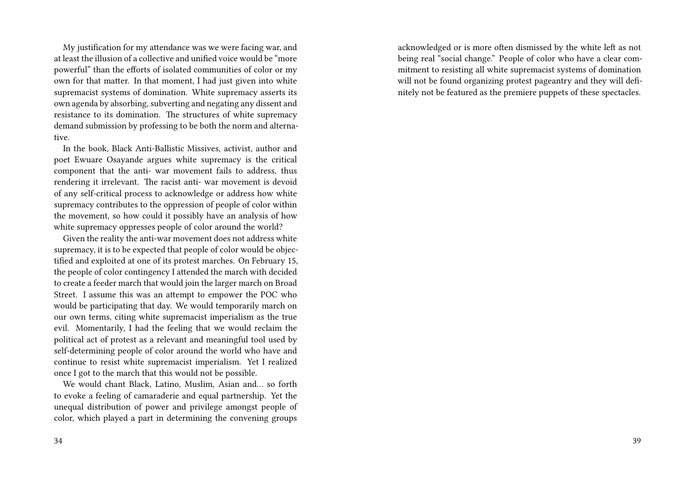My justification for my attendance was we were facing war, and at least the illusion of a collective and unified voice would be "more powerful" than the efforts of isolated communities of color or my own for that matter. In that moment, I had just given into white supremacist systems of domination. White supremacy asserts its own agenda by absorbing, subverting and negating any dissent and resistance to its domination. The structures of white supremacy demand submission by professing to be both the norm and alternative.

In the book, Black Anti-Ballistic Missives, activist, author and poet Ewuare Osayande argues white supremacy is the critical component that the anti- war movement fails to address, thus rendering it irrelevant. The racist anti- war movement is devoid of any self-critical process to acknowledge or address how white supremacy contributes to the oppression of people of color within the movement, so how could it possibly have an analysis of how white supremacy oppresses people of color around the world?

Given the reality the anti-war movement does not address white supremacy, it is to be expected that people of color would be objectified and exploited at one of its protest marches. On February 15, the people of color contingency I attended the march with decided to create a feeder march that would join the larger march on Broad Street. I assume this was an attempt to empower the POC who would be participating that day. We would temporarily march on our own terms, citing white supremacist imperialism as the true evil. Momentarily, I had the feeling that we would reclaim the political act of protest as a relevant and meaningful tool used by self-determining people of color around the world who have and continue to resist white supremacist imperialism. Yet I realized once I got to the march that this would not be possible.

We would chant Black, Latino, Muslim, Asian and… so forth to evoke a feeling of camaraderie and equal partnership. Yet the unequal distribution of power and privilege amongst people of color, which played a part in determining the convening groups acknowledged or is more often dismissed by the white left as not being real "social change." People of color who have a clear commitment to resisting all white supremacist systems of domination will not be found organizing protest pageantry and they will definitely not be featured as the premiere puppets of these spectacles.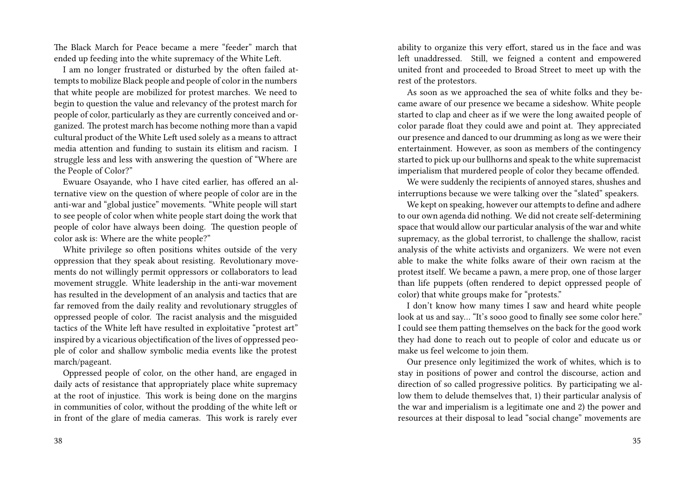The Black March for Peace became a mere "feeder" march that ended up feeding into the white supremacy of the White Left.

I am no longer frustrated or disturbed by the often failed attempts to mobilize Black people and people of color in the numbers that white people are mobilized for protest marches. We need to begin to question the value and relevancy of the protest march for people of color, particularly as they are currently conceived and organized. The protest march has become nothing more than a vapid cultural product of the White Left used solely as a means to attract media attention and funding to sustain its elitism and racism. I struggle less and less with answering the question of "Where are the People of Color?"

Ewuare Osayande, who I have cited earlier, has offered an alternative view on the question of where people of color are in the anti-war and "global justice" movements. "White people will start to see people of color when white people start doing the work that people of color have always been doing. The question people of color ask is: Where are the white people?"

White privilege so often positions whites outside of the very oppression that they speak about resisting. Revolutionary movements do not willingly permit oppressors or collaborators to lead movement struggle. White leadership in the anti-war movement has resulted in the development of an analysis and tactics that are far removed from the daily reality and revolutionary struggles of oppressed people of color. The racist analysis and the misguided tactics of the White left have resulted in exploitative "protest art" inspired by a vicarious objectification of the lives of oppressed people of color and shallow symbolic media events like the protest march/pageant.

Oppressed people of color, on the other hand, are engaged in daily acts of resistance that appropriately place white supremacy at the root of injustice. This work is being done on the margins in communities of color, without the prodding of the white left or in front of the glare of media cameras. This work is rarely ever

ability to organize this very effort, stared us in the face and was left unaddressed. Still, we feigned a content and empowered united front and proceeded to Broad Street to meet up with the rest of the protestors.

As soon as we approached the sea of white folks and they became aware of our presence we became a sideshow. White people started to clap and cheer as if we were the long awaited people of color parade float they could awe and point at. They appreciated our presence and danced to our drumming as long as we were their entertainment. However, as soon as members of the contingency started to pick up our bullhorns and speak to the white supremacist imperialism that murdered people of color they became offended.

We were suddenly the recipients of annoyed stares, shushes and interruptions because we were talking over the "slated" speakers.

We kept on speaking, however our attempts to define and adhere to our own agenda did nothing. We did not create self-determining space that would allow our particular analysis of the war and white supremacy, as the global terrorist, to challenge the shallow, racist analysis of the white activists and organizers. We were not even able to make the white folks aware of their own racism at the protest itself. We became a pawn, a mere prop, one of those larger than life puppets (often rendered to depict oppressed people of color) that white groups make for "protests."

I don't know how many times I saw and heard white people look at us and say… "It's sooo good to finally see some color here." I could see them patting themselves on the back for the good work they had done to reach out to people of color and educate us or make us feel welcome to join them.

Our presence only legitimized the work of whites, which is to stay in positions of power and control the discourse, action and direction of so called progressive politics. By participating we allow them to delude themselves that, 1) their particular analysis of the war and imperialism is a legitimate one and 2) the power and resources at their disposal to lead "social change" movements are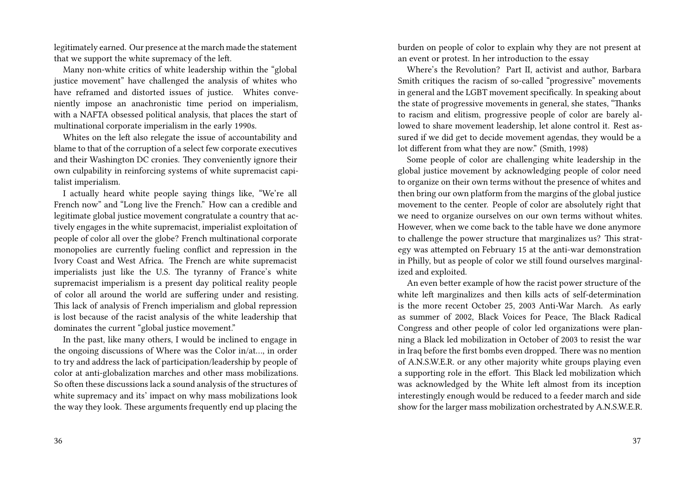legitimately earned. Our presence at the march made the statement that we support the white supremacy of the left.

Many non-white critics of white leadership within the "global justice movement" have challenged the analysis of whites who have reframed and distorted issues of justice. Whites conveniently impose an anachronistic time period on imperialism, with a NAFTA obsessed political analysis, that places the start of multinational corporate imperialism in the early 1990s.

Whites on the left also relegate the issue of accountability and blame to that of the corruption of a select few corporate executives and their Washington DC cronies. They conveniently ignore their own culpability in reinforcing systems of white supremacist capitalist imperialism.

I actually heard white people saying things like, "We're all French now" and "Long live the French." How can a credible and legitimate global justice movement congratulate a country that actively engages in the white supremacist, imperialist exploitation of people of color all over the globe? French multinational corporate monopolies are currently fueling conflict and repression in the Ivory Coast and West Africa. The French are white supremacist imperialists just like the U.S. The tyranny of France's white supremacist imperialism is a present day political reality people of color all around the world are suffering under and resisting. This lack of analysis of French imperialism and global repression is lost because of the racist analysis of the white leadership that dominates the current "global justice movement."

In the past, like many others, I would be inclined to engage in the ongoing discussions of Where was the Color in/at…, in order to try and address the lack of participation/leadership by people of color at anti-globalization marches and other mass mobilizations. So often these discussions lack a sound analysis of the structures of white supremacy and its' impact on why mass mobilizations look the way they look. These arguments frequently end up placing the

36

burden on people of color to explain why they are not present at an event or protest. In her introduction to the essay

Where's the Revolution? Part II, activist and author, Barbara Smith critiques the racism of so-called "progressive" movements in general and the LGBT movement specifically. In speaking about the state of progressive movements in general, she states, "Thanks to racism and elitism, progressive people of color are barely allowed to share movement leadership, let alone control it. Rest assured if we did get to decide movement agendas, they would be a lot different from what they are now." (Smith, 1998)

Some people of color are challenging white leadership in the global justice movement by acknowledging people of color need to organize on their own terms without the presence of whites and then bring our own platform from the margins of the global justice movement to the center. People of color are absolutely right that we need to organize ourselves on our own terms without whites. However, when we come back to the table have we done anymore to challenge the power structure that marginalizes us? This strategy was attempted on February 15 at the anti-war demonstration in Philly, but as people of color we still found ourselves marginalized and exploited.

An even better example of how the racist power structure of the white left marginalizes and then kills acts of self-determination is the more recent October 25, 2003 Anti-War March. As early as summer of 2002, Black Voices for Peace, The Black Radical Congress and other people of color led organizations were planning a Black led mobilization in October of 2003 to resist the war in Iraq before the first bombs even dropped. There was no mention of A.N.S.W.E.R. or any other majority white groups playing even a supporting role in the effort. This Black led mobilization which was acknowledged by the White left almost from its inception interestingly enough would be reduced to a feeder march and side show for the larger mass mobilization orchestrated by A.N.S.W.E.R.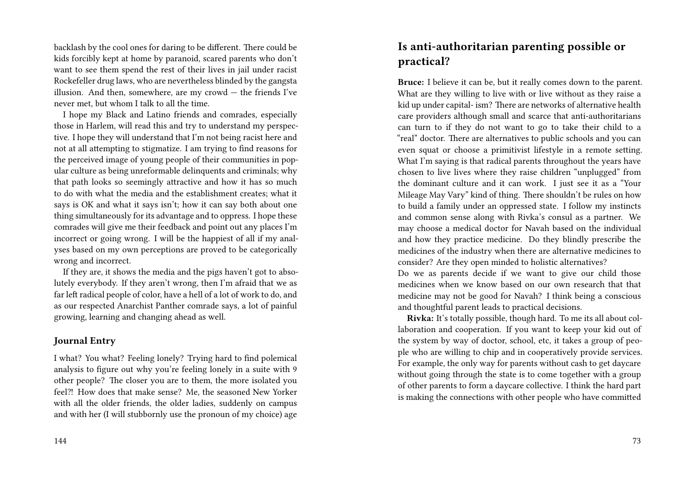backlash by the cool ones for daring to be different. There could be kids forcibly kept at home by paranoid, scared parents who don't want to see them spend the rest of their lives in jail under racist Rockefeller drug laws, who are nevertheless blinded by the gangsta illusion. And then, somewhere, are my crowd — the friends I've never met, but whom I talk to all the time.

I hope my Black and Latino friends and comrades, especially those in Harlem, will read this and try to understand my perspective. I hope they will understand that I'm not being racist here and not at all attempting to stigmatize. I am trying to find reasons for the perceived image of young people of their communities in popular culture as being unreformable delinquents and criminals; why that path looks so seemingly attractive and how it has so much to do with what the media and the establishment creates; what it says is OK and what it says isn't; how it can say both about one thing simultaneously for its advantage and to oppress. I hope these comrades will give me their feedback and point out any places I'm incorrect or going wrong. I will be the happiest of all if my analyses based on my own perceptions are proved to be categorically wrong and incorrect.

If they are, it shows the media and the pigs haven't got to absolutely everybody. If they aren't wrong, then I'm afraid that we as far left radical people of color, have a hell of a lot of work to do, and as our respected Anarchist Panther comrade says, a lot of painful growing, learning and changing ahead as well.

#### **Journal Entry**

I what? You what? Feeling lonely? Trying hard to find polemical analysis to figure out why you're feeling lonely in a suite with 9 other people? The closer you are to them, the more isolated you feel⁈ How does that make sense? Me, the seasoned New Yorker with all the older friends, the older ladies, suddenly on campus and with her (I will stubbornly use the pronoun of my choice) age

#### **Is anti-authoritarian parenting possible or practical?**

**Bruce:** I believe it can be, but it really comes down to the parent. What are they willing to live with or live without as they raise a kid up under capital- ism? There are networks of alternative health care providers although small and scarce that anti-authoritarians can turn to if they do not want to go to take their child to a "real" doctor. There are alternatives to public schools and you can even squat or choose a primitivist lifestyle in a remote setting. What I'm saying is that radical parents throughout the years have chosen to live lives where they raise children "unplugged" from the dominant culture and it can work. I just see it as a "Your Mileage May Vary" kind of thing. There shouldn't be rules on how to build a family under an oppressed state. I follow my instincts and common sense along with Rivka's consul as a partner. We may choose a medical doctor for Navah based on the individual and how they practice medicine. Do they blindly prescribe the medicines of the industry when there are alternative medicines to consider? Are they open minded to holistic alternatives?

Do we as parents decide if we want to give our child those medicines when we know based on our own research that that medicine may not be good for Navah? I think being a conscious and thoughtful parent leads to practical decisions.

**Rivka:** It's totally possible, though hard. To me its all about collaboration and cooperation. If you want to keep your kid out of the system by way of doctor, school, etc, it takes a group of people who are willing to chip and in cooperatively provide services. For example, the only way for parents without cash to get daycare without going through the state is to come together with a group of other parents to form a daycare collective. I think the hard part is making the connections with other people who have committed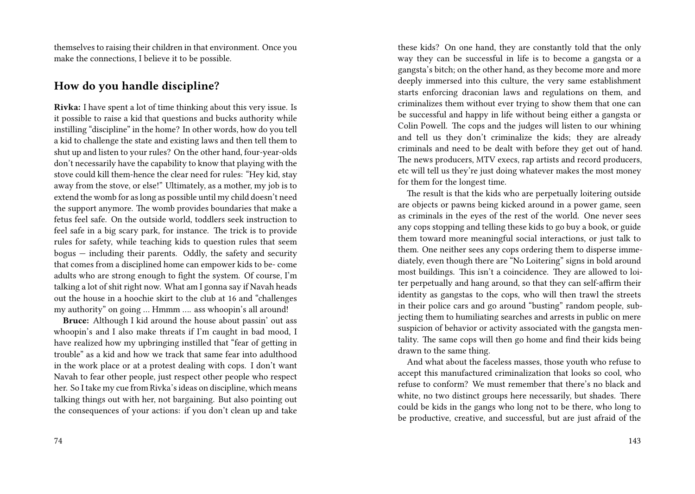themselves to raising their children in that environment. Once you make the connections, I believe it to be possible.

#### **How do you handle discipline?**

**Rivka:** I have spent a lot of time thinking about this very issue. Is it possible to raise a kid that questions and bucks authority while instilling "discipline" in the home? In other words, how do you tell a kid to challenge the state and existing laws and then tell them to shut up and listen to your rules? On the other hand, four-year-olds don't necessarily have the capability to know that playing with the stove could kill them-hence the clear need for rules: "Hey kid, stay away from the stove, or else!" Ultimately, as a mother, my job is to extend the womb for as long as possible until my child doesn't need the support anymore. The womb provides boundaries that make a fetus feel safe. On the outside world, toddlers seek instruction to feel safe in a big scary park, for instance. The trick is to provide rules for safety, while teaching kids to question rules that seem bogus — including their parents. Oddly, the safety and security that comes from a disciplined home can empower kids to be- come adults who are strong enough to fight the system. Of course, I'm talking a lot of shit right now. What am I gonna say if Navah heads out the house in a hoochie skirt to the club at 16 and "challenges my authority" on going … Hmmm …. ass whoopin's all around!

**Bruce:** Although I kid around the house about passin' out ass whoopin's and I also make threats if I'm caught in bad mood, I have realized how my upbringing instilled that "fear of getting in trouble" as a kid and how we track that same fear into adulthood in the work place or at a protest dealing with cops. I don't want Navah to fear other people, just respect other people who respect her. So I take my cue from Rivka's ideas on discipline, which means talking things out with her, not bargaining. But also pointing out the consequences of your actions: if you don't clean up and take

these kids? On one hand, they are constantly told that the only way they can be successful in life is to become a gangsta or a gangsta's bitch; on the other hand, as they become more and more deeply immersed into this culture, the very same establishment starts enforcing draconian laws and regulations on them, and criminalizes them without ever trying to show them that one can be successful and happy in life without being either a gangsta or Colin Powell. The cops and the judges will listen to our whining and tell us they don't criminalize the kids; they are already criminals and need to be dealt with before they get out of hand. The news producers, MTV execs, rap artists and record producers, etc will tell us they're just doing whatever makes the most money for them for the longest time.

The result is that the kids who are perpetually loitering outside are objects or pawns being kicked around in a power game, seen as criminals in the eyes of the rest of the world. One never sees any cops stopping and telling these kids to go buy a book, or guide them toward more meaningful social interactions, or just talk to them. One neither sees any cops ordering them to disperse immediately, even though there are "No Loitering" signs in bold around most buildings. This isn't a coincidence. They are allowed to loiter perpetually and hang around, so that they can self-affirm their identity as gangstas to the cops, who will then trawl the streets in their police cars and go around "busting" random people, subjecting them to humiliating searches and arrests in public on mere suspicion of behavior or activity associated with the gangsta mentality. The same cops will then go home and find their kids being drawn to the same thing.

And what about the faceless masses, those youth who refuse to accept this manufactured criminalization that looks so cool, who refuse to conform? We must remember that there's no black and white, no two distinct groups here necessarily, but shades. There could be kids in the gangs who long not to be there, who long to be productive, creative, and successful, but are just afraid of the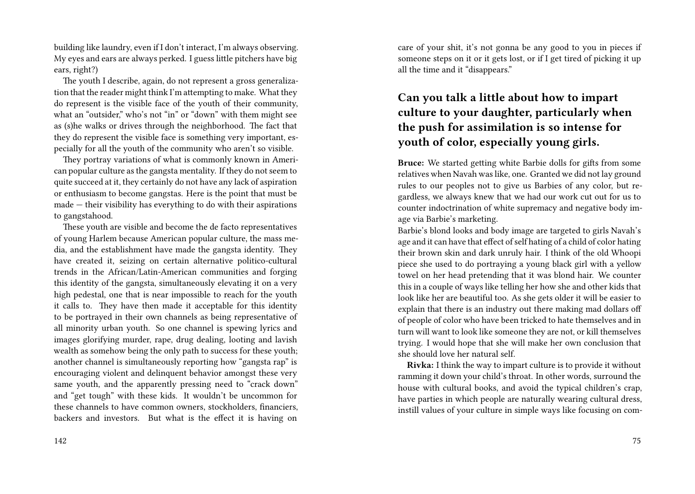building like laundry, even if I don't interact, I'm always observing. My eyes and ears are always perked. I guess little pitchers have big ears, right?)

The youth I describe, again, do not represent a gross generalization that the reader might think I'm attempting to make. What they do represent is the visible face of the youth of their community, what an "outsider," who's not "in" or "down" with them might see as (s)he walks or drives through the neighborhood. The fact that they do represent the visible face is something very important, especially for all the youth of the community who aren't so visible.

They portray variations of what is commonly known in American popular culture as the gangsta mentality. If they do not seem to quite succeed at it, they certainly do not have any lack of aspiration or enthusiasm to become gangstas. Here is the point that must be made — their visibility has everything to do with their aspirations to gangstahood.

These youth are visible and become the de facto representatives of young Harlem because American popular culture, the mass media, and the establishment have made the gangsta identity. They have created it, seizing on certain alternative politico-cultural trends in the African/Latin-American communities and forging this identity of the gangsta, simultaneously elevating it on a very high pedestal, one that is near impossible to reach for the youth it calls to. They have then made it acceptable for this identity to be portrayed in their own channels as being representative of all minority urban youth. So one channel is spewing lyrics and images glorifying murder, rape, drug dealing, looting and lavish wealth as somehow being the only path to success for these youth; another channel is simultaneously reporting how "gangsta rap" is encouraging violent and delinquent behavior amongst these very same youth, and the apparently pressing need to "crack down" and "get tough" with these kids. It wouldn't be uncommon for these channels to have common owners, stockholders, financiers, backers and investors. But what is the effect it is having on care of your shit, it's not gonna be any good to you in pieces if someone steps on it or it gets lost, or if I get tired of picking it up all the time and it "disappears."

### **Can you talk a little about how to impart culture to your daughter, particularly when the push for assimilation is so intense for youth of color, especially young girls.**

**Bruce:** We started getting white Barbie dolls for gifts from some relatives when Navah was like, one. Granted we did not lay ground rules to our peoples not to give us Barbies of any color, but regardless, we always knew that we had our work cut out for us to counter indoctrination of white supremacy and negative body image via Barbie's marketing.

Barbie's blond looks and body image are targeted to girls Navah's age and it can have that effect of self hating of a child of color hating their brown skin and dark unruly hair. I think of the old Whoopi piece she used to do portraying a young black girl with a yellow towel on her head pretending that it was blond hair. We counter this in a couple of ways like telling her how she and other kids that look like her are beautiful too. As she gets older it will be easier to explain that there is an industry out there making mad dollars off of people of color who have been tricked to hate themselves and in turn will want to look like someone they are not, or kill themselves trying. I would hope that she will make her own conclusion that she should love her natural self.

**Rivka:** I think the way to impart culture is to provide it without ramming it down your child's throat. In other words, surround the house with cultural books, and avoid the typical children's crap, have parties in which people are naturally wearing cultural dress, instill values of your culture in simple ways like focusing on com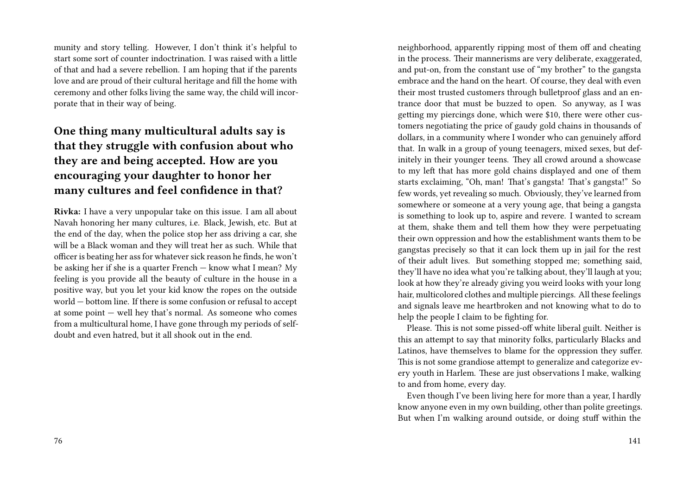munity and story telling. However, I don't think it's helpful to start some sort of counter indoctrination. I was raised with a little of that and had a severe rebellion. I am hoping that if the parents love and are proud of their cultural heritage and fill the home with ceremony and other folks living the same way, the child will incorporate that in their way of being.

### **One thing many multicultural adults say is that they struggle with confusion about who they are and being accepted. How are you encouraging your daughter to honor her many cultures and feel confidence in that?**

**Rivka:** I have a very unpopular take on this issue. I am all about Navah honoring her many cultures, i.e. Black, Jewish, etc. But at the end of the day, when the police stop her ass driving a car, she will be a Black woman and they will treat her as such. While that officer is beating her ass for whatever sick reason he finds, he won't be asking her if she is a quarter French — know what I mean? My feeling is you provide all the beauty of culture in the house in a positive way, but you let your kid know the ropes on the outside world — bottom line. If there is some confusion or refusal to accept at some point — well hey that's normal. As someone who comes from a multicultural home, I have gone through my periods of selfdoubt and even hatred, but it all shook out in the end.

neighborhood, apparently ripping most of them off and cheating in the process. Their mannerisms are very deliberate, exaggerated, and put-on, from the constant use of "my brother" to the gangsta embrace and the hand on the heart. Of course, they deal with even their most trusted customers through bulletproof glass and an entrance door that must be buzzed to open. So anyway, as I was getting my piercings done, which were \$10, there were other customers negotiating the price of gaudy gold chains in thousands of dollars, in a community where I wonder who can genuinely afford that. In walk in a group of young teenagers, mixed sexes, but definitely in their younger teens. They all crowd around a showcase to my left that has more gold chains displayed and one of them starts exclaiming, "Oh, man! That's gangsta! That's gangsta!" So few words, yet revealing so much. Obviously, they've learned from somewhere or someone at a very young age, that being a gangsta is something to look up to, aspire and revere. I wanted to scream at them, shake them and tell them how they were perpetuating their own oppression and how the establishment wants them to be gangstas precisely so that it can lock them up in jail for the rest of their adult lives. But something stopped me; something said, they'll have no idea what you're talking about, they'll laugh at you; look at how they're already giving you weird looks with your long hair, multicolored clothes and multiple piercings. All these feelings and signals leave me heartbroken and not knowing what to do to help the people I claim to be fighting for.

Please. This is not some pissed-off white liberal guilt. Neither is this an attempt to say that minority folks, particularly Blacks and Latinos, have themselves to blame for the oppression they suffer. This is not some grandiose attempt to generalize and categorize every youth in Harlem. These are just observations I make, walking to and from home, every day.

Even though I've been living here for more than a year, I hardly know anyone even in my own building, other than polite greetings. But when I'm walking around outside, or doing stuff within the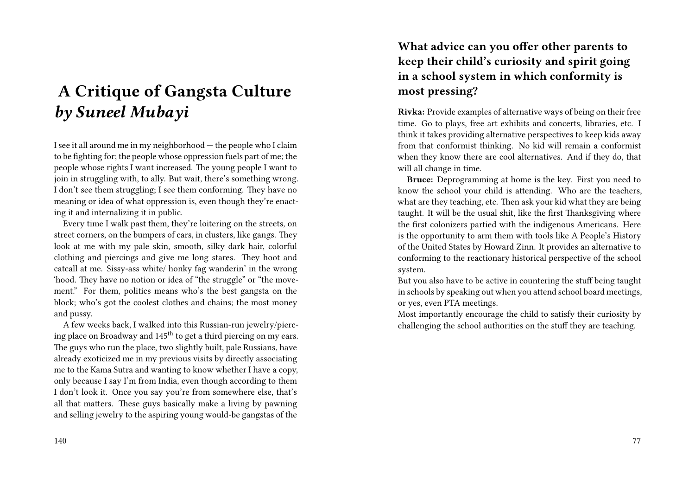# **A Critique of Gangsta Culture** *by Suneel Mubayi*

I see it all around me in my neighborhood — the people who I claim to be fighting for; the people whose oppression fuels part of me; the people whose rights I want increased. The young people I want to join in struggling with, to ally. But wait, there's something wrong. I don't see them struggling; I see them conforming. They have no meaning or idea of what oppression is, even though they're enacting it and internalizing it in public.

Every time I walk past them, they're loitering on the streets, on street corners, on the bumpers of cars, in clusters, like gangs. They look at me with my pale skin, smooth, silky dark hair, colorful clothing and piercings and give me long stares. They hoot and catcall at me. Sissy-ass white/ honky fag wanderin' in the wrong 'hood. They have no notion or idea of "the struggle" or "the movement." For them, politics means who's the best gangsta on the block; who's got the coolest clothes and chains; the most money and pussy.

A few weeks back, I walked into this Russian-run jewelry/piercing place on Broadway and  $145<sup>th</sup>$  to get a third piercing on my ears. The guys who run the place, two slightly built, pale Russians, have already exoticized me in my previous visits by directly associating me to the Kama Sutra and wanting to know whether I have a copy, only because I say I'm from India, even though according to them I don't look it. Once you say you're from somewhere else, that's all that matters. These guys basically make a living by pawning and selling jewelry to the aspiring young would-be gangstas of the

#### 140

## **What advice can you offer other parents to keep their child's curiosity and spirit going in a school system in which conformity is most pressing?**

**Rivka:** Provide examples of alternative ways of being on their free time. Go to plays, free art exhibits and concerts, libraries, etc. I think it takes providing alternative perspectives to keep kids away from that conformist thinking. No kid will remain a conformist when they know there are cool alternatives. And if they do, that will all change in time.

**Bruce:** Deprogramming at home is the key. First you need to know the school your child is attending. Who are the teachers, what are they teaching, etc. Then ask your kid what they are being taught. It will be the usual shit, like the first Thanksgiving where the first colonizers partied with the indigenous Americans. Here is the opportunity to arm them with tools like A People's History of the United States by Howard Zinn. It provides an alternative to conforming to the reactionary historical perspective of the school system.

But you also have to be active in countering the stuff being taught in schools by speaking out when you attend school board meetings, or yes, even PTA meetings.

Most importantly encourage the child to satisfy their curiosity by challenging the school authorities on the stuff they are teaching.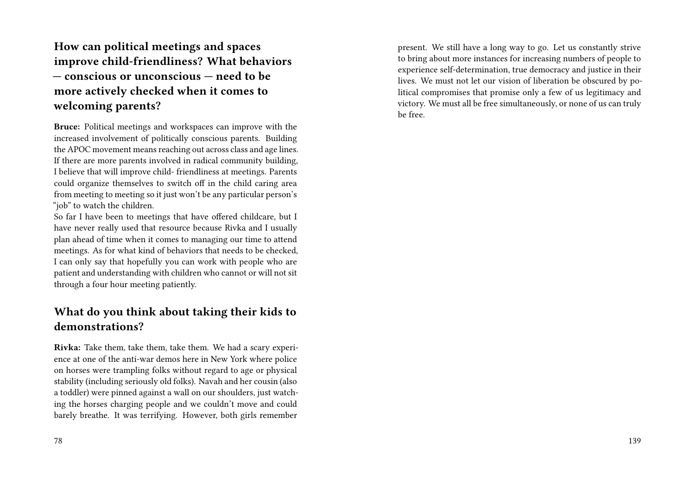**How can political meetings and spaces improve child-friendliness? What behaviors — conscious or unconscious — need to be more actively checked when it comes to welcoming parents?**

**Bruce:** Political meetings and workspaces can improve with the increased involvement of politically conscious parents. Building the APOC movement means reaching out across class and age lines. If there are more parents involved in radical community building, I believe that will improve child- friendliness at meetings. Parents could organize themselves to switch off in the child caring area from meeting to meeting so it just won't be any particular person's "job" to watch the children.

So far I have been to meetings that have offered childcare, but I have never really used that resource because Rivka and I usually plan ahead of time when it comes to managing our time to attend meetings. As for what kind of behaviors that needs to be checked, I can only say that hopefully you can work with people who are patient and understanding with children who cannot or will not sit through a four hour meeting patiently.

### **What do you think about taking their kids to demonstrations?**

**Rivka:** Take them, take them, take them. We had a scary experience at one of the anti-war demos here in New York where police on horses were trampling folks without regard to age or physical stability (including seriously old folks). Navah and her cousin (also a toddler) were pinned against a wall on our shoulders, just watching the horses charging people and we couldn't move and could barely breathe. It was terrifying. However, both girls remember

present. We still have a long way to go. Let us constantly strive to bring about more instances for increasing numbers of people to experience self-determination, true democracy and justice in their lives. We must not let our vision of liberation be obscured by political compromises that promise only a few of us legitimacy and victory. We must all be free simultaneously, or none of us can truly be free.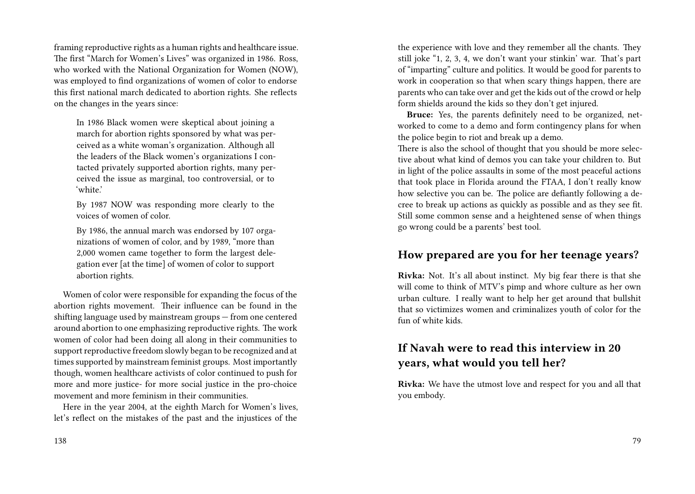framing reproductive rights as a human rights and healthcare issue. The first "March for Women's Lives" was organized in 1986. Ross, who worked with the National Organization for Women (NOW), was employed to find organizations of women of color to endorse this first national march dedicated to abortion rights. She reflects on the changes in the years since:

In 1986 Black women were skeptical about joining a march for abortion rights sponsored by what was perceived as a white woman's organization. Although all the leaders of the Black women's organizations I contacted privately supported abortion rights, many perceived the issue as marginal, too controversial, or to 'white.'

By 1987 NOW was responding more clearly to the voices of women of color.

By 1986, the annual march was endorsed by 107 organizations of women of color, and by 1989, "more than 2,000 women came together to form the largest delegation ever [at the time] of women of color to support abortion rights.

Women of color were responsible for expanding the focus of the abortion rights movement. Their influence can be found in the shifting language used by mainstream groups — from one centered around abortion to one emphasizing reproductive rights. The work women of color had been doing all along in their communities to support reproductive freedom slowly began to be recognized and at times supported by mainstream feminist groups. Most importantly though, women healthcare activists of color continued to push for more and more justice- for more social justice in the pro-choice movement and more feminism in their communities.

Here in the year 2004, at the eighth March for Women's lives, let's reflect on the mistakes of the past and the injustices of the

the experience with love and they remember all the chants. They still joke "1, 2, 3, 4, we don't want your stinkin' war. That's part of "imparting" culture and politics. It would be good for parents to work in cooperation so that when scary things happen, there are parents who can take over and get the kids out of the crowd or help form shields around the kids so they don't get injured.

**Bruce:** Yes, the parents definitely need to be organized, networked to come to a demo and form contingency plans for when the police begin to riot and break up a demo.

There is also the school of thought that you should be more selective about what kind of demos you can take your children to. But in light of the police assaults in some of the most peaceful actions that took place in Florida around the FTAA, I don't really know how selective you can be. The police are defiantly following a decree to break up actions as quickly as possible and as they see fit. Still some common sense and a heightened sense of when things go wrong could be a parents' best tool.

#### **How prepared are you for her teenage years?**

**Rivka:** Not. It's all about instinct. My big fear there is that she will come to think of MTV's pimp and whore culture as her own urban culture. I really want to help her get around that bullshit that so victimizes women and criminalizes youth of color for the fun of white kids.

#### **If Navah were to read this interview in 20 years, what would you tell her?**

**Rivka:** We have the utmost love and respect for you and all that you embody.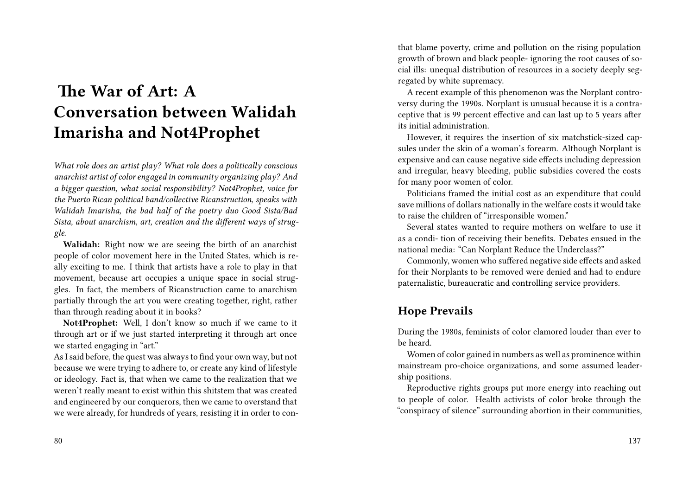# **The War of Art: A Conversation between Walidah Imarisha and Not4Prophet**

*What role does an artist play? What role does a politically conscious anarchist artist of color engaged in community organizing play? And a bigger question, what social responsibility? Not4Prophet, voice for the Puerto Rican political band/collective Ricanstruction, speaks with Walidah Imarisha, the bad half of the poetry duo Good Sista/Bad Sista, about anarchism, art, creation and the different ways of struggle.*

**Walidah:** Right now we are seeing the birth of an anarchist people of color movement here in the United States, which is really exciting to me. I think that artists have a role to play in that movement, because art occupies a unique space in social struggles. In fact, the members of Ricanstruction came to anarchism partially through the art you were creating together, right, rather than through reading about it in books?

**Not4Prophet:** Well, I don't know so much if we came to it through art or if we just started interpreting it through art once we started engaging in "art."

As I said before, the quest was always to find your own way, but not because we were trying to adhere to, or create any kind of lifestyle or ideology. Fact is, that when we came to the realization that we weren't really meant to exist within this shitstem that was created and engineered by our conquerors, then we came to overstand that we were already, for hundreds of years, resisting it in order to con-

that blame poverty, crime and pollution on the rising population growth of brown and black people- ignoring the root causes of social ills: unequal distribution of resources in a society deeply segregated by white supremacy.

A recent example of this phenomenon was the Norplant controversy during the 1990s. Norplant is unusual because it is a contraceptive that is 99 percent effective and can last up to 5 years after its initial administration.

However, it requires the insertion of six matchstick-sized capsules under the skin of a woman's forearm. Although Norplant is expensive and can cause negative side effects including depression and irregular, heavy bleeding, public subsidies covered the costs for many poor women of color.

Politicians framed the initial cost as an expenditure that could save millions of dollars nationally in the welfare costs it would take to raise the children of "irresponsible women."

Several states wanted to require mothers on welfare to use it as a condi- tion of receiving their benefits. Debates ensued in the national media: "Can Norplant Reduce the Underclass?"

Commonly, women who suffered negative side effects and asked for their Norplants to be removed were denied and had to endure paternalistic, bureaucratic and controlling service providers.

#### **Hope Prevails**

During the 1980s, feminists of color clamored louder than ever to be heard.

Women of color gained in numbers as well as prominence within mainstream pro-choice organizations, and some assumed leadership positions.

Reproductive rights groups put more energy into reaching out to people of color. Health activists of color broke through the "conspiracy of silence" surrounding abortion in their communities,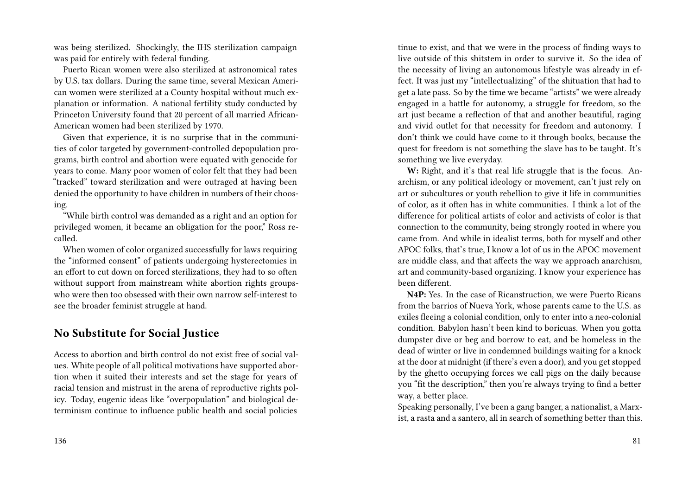was being sterilized. Shockingly, the IHS sterilization campaign was paid for entirely with federal funding.

Puerto Rican women were also sterilized at astronomical rates by U.S. tax dollars. During the same time, several Mexican American women were sterilized at a County hospital without much explanation or information. A national fertility study conducted by Princeton University found that 20 percent of all married African-American women had been sterilized by 1970.

Given that experience, it is no surprise that in the communities of color targeted by government-controlled depopulation programs, birth control and abortion were equated with genocide for years to come. Many poor women of color felt that they had been "tracked" toward sterilization and were outraged at having been denied the opportunity to have children in numbers of their choosing.

"While birth control was demanded as a right and an option for privileged women, it became an obligation for the poor," Ross recalled.

When women of color organized successfully for laws requiring the "informed consent" of patients undergoing hysterectomies in an effort to cut down on forced sterilizations, they had to so often without support from mainstream white abortion rights groupswho were then too obsessed with their own narrow self-interest to see the broader feminist struggle at hand.

#### **No Substitute for Social Justice**

Access to abortion and birth control do not exist free of social values. White people of all political motivations have supported abortion when it suited their interests and set the stage for years of racial tension and mistrust in the arena of reproductive rights policy. Today, eugenic ideas like "overpopulation" and biological determinism continue to influence public health and social policies

tinue to exist, and that we were in the process of finding ways to live outside of this shitstem in order to survive it. So the idea of the necessity of living an autonomous lifestyle was already in effect. It was just my "intellectualizing" of the shituation that had to get a late pass. So by the time we became "artists" we were already engaged in a battle for autonomy, a struggle for freedom, so the art just became a reflection of that and another beautiful, raging and vivid outlet for that necessity for freedom and autonomy. I don't think we could have come to it through books, because the quest for freedom is not something the slave has to be taught. It's something we live everyday.

**W:** Right, and it's that real life struggle that is the focus. Anarchism, or any political ideology or movement, can't just rely on art or subcultures or youth rebellion to give it life in communities of color, as it often has in white communities. I think a lot of the difference for political artists of color and activists of color is that connection to the community, being strongly rooted in where you came from. And while in idealist terms, both for myself and other APOC folks, that's true, I know a lot of us in the APOC movement are middle class, and that affects the way we approach anarchism, art and community-based organizing. I know your experience has been different.

**N4P:** Yes. In the case of Ricanstruction, we were Puerto Ricans from the barrios of Nueva York, whose parents came to the U.S. as exiles fleeing a colonial condition, only to enter into a neo-colonial condition. Babylon hasn't been kind to boricuas. When you gotta dumpster dive or beg and borrow to eat, and be homeless in the dead of winter or live in condemned buildings waiting for a knock at the door at midnight (if there's even a door), and you get stopped by the ghetto occupying forces we call pigs on the daily because you "fit the description," then you're always trying to find a better way, a better place.

Speaking personally, I've been a gang banger, a nationalist, a Marxist, a rasta and a santero, all in search of something better than this.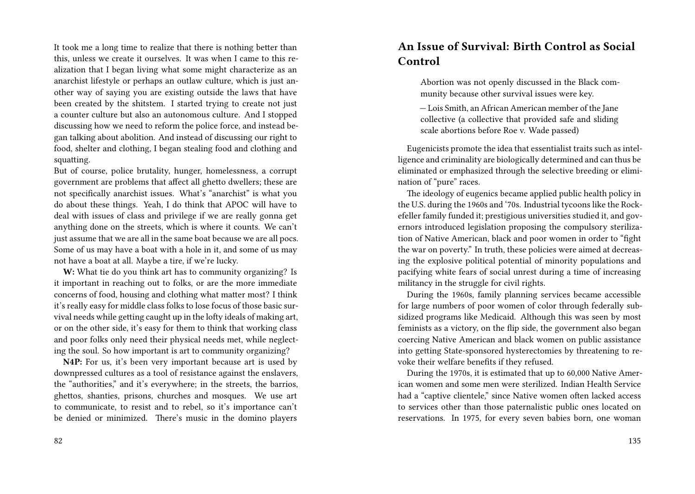It took me a long time to realize that there is nothing better than this, unless we create it ourselves. It was when I came to this realization that I began living what some might characterize as an anarchist lifestyle or perhaps an outlaw culture, which is just another way of saying you are existing outside the laws that have been created by the shitstem. I started trying to create not just a counter culture but also an autonomous culture. And I stopped discussing how we need to reform the police force, and instead began talking about abolition. And instead of discussing our right to food, shelter and clothing, I began stealing food and clothing and squatting.

But of course, police brutality, hunger, homelessness, a corrupt government are problems that affect all ghetto dwellers; these are not specifically anarchist issues. What's "anarchist" is what you do about these things. Yeah, I do think that APOC will have to deal with issues of class and privilege if we are really gonna get anything done on the streets, which is where it counts. We can't just assume that we are all in the same boat because we are all pocs. Some of us may have a boat with a hole in it, and some of us may not have a boat at all. Maybe a tire, if we're lucky.

**W:** What tie do you think art has to community organizing? Is it important in reaching out to folks, or are the more immediate concerns of food, housing and clothing what matter most? I think it's really easy for middle class folks to lose focus of those basic survival needs while getting caught up in the lofty ideals of making art, or on the other side, it's easy for them to think that working class and poor folks only need their physical needs met, while neglecting the soul. So how important is art to community organizing?

**N4P:** For us, it's been very important because art is used by downpressed cultures as a tool of resistance against the enslavers, the "authorities," and it's everywhere; in the streets, the barrios, ghettos, shanties, prisons, churches and mosques. We use art to communicate, to resist and to rebel, so it's importance can't be denied or minimized. There's music in the domino players

#### **An Issue of Survival: Birth Control as Social Control**

Abortion was not openly discussed in the Black community because other survival issues were key.

— Lois Smith, an African American member of the Jane collective (a collective that provided safe and sliding scale abortions before Roe v. Wade passed)

Eugenicists promote the idea that essentialist traits such as intelligence and criminality are biologically determined and can thus be eliminated or emphasized through the selective breeding or elimination of "pure" races.

The ideology of eugenics became applied public health policy in the U.S. during the 1960s and '70s. Industrial tycoons like the Rockefeller family funded it; prestigious universities studied it, and governors introduced legislation proposing the compulsory sterilization of Native American, black and poor women in order to "fight the war on poverty." In truth, these policies were aimed at decreasing the explosive political potential of minority populations and pacifying white fears of social unrest during a time of increasing militancy in the struggle for civil rights.

During the 1960s, family planning services became accessible for large numbers of poor women of color through federally subsidized programs like Medicaid. Although this was seen by most feminists as a victory, on the flip side, the government also began coercing Native American and black women on public assistance into getting State-sponsored hysterectomies by threatening to revoke their welfare benefits if they refused.

During the 1970s, it is estimated that up to 60,000 Native American women and some men were sterilized. Indian Health Service had a "captive clientele," since Native women often lacked access to services other than those paternalistic public ones located on reservations. In 1975, for every seven babies born, one woman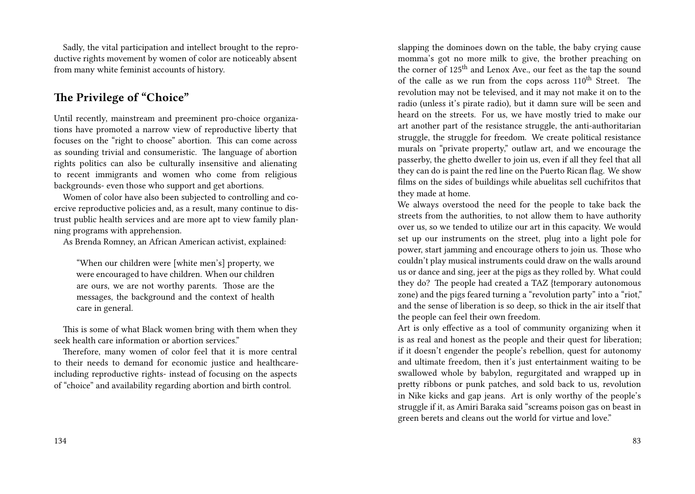Sadly, the vital participation and intellect brought to the reproductive rights movement by women of color are noticeably absent from many white feminist accounts of history.

#### **The Privilege of "Choice"**

Until recently, mainstream and preeminent pro-choice organizations have promoted a narrow view of reproductive liberty that focuses on the "right to choose" abortion. This can come across as sounding trivial and consumeristic. The language of abortion rights politics can also be culturally insensitive and alienating to recent immigrants and women who come from religious backgrounds- even those who support and get abortions.

Women of color have also been subjected to controlling and coercive reproductive policies and, as a result, many continue to distrust public health services and are more apt to view family planning programs with apprehension.

As Brenda Romney, an African American activist, explained:

"When our children were [white men's] property, we were encouraged to have children. When our children are ours, we are not worthy parents. Those are the messages, the background and the context of health care in general.

This is some of what Black women bring with them when they seek health care information or abortion services."

Therefore, many women of color feel that it is more central to their needs to demand for economic justice and healthcareincluding reproductive rights- instead of focusing on the aspects of "choice" and availability regarding abortion and birth control.

slapping the dominoes down on the table, the baby crying cause momma's got no more milk to give, the brother preaching on the corner of 125<sup>th</sup> and Lenox Ave., our feet as the tap the sound of the calle as we run from the cops across  $110^{th}$  Street. The revolution may not be televised, and it may not make it on to the radio (unless it's pirate radio), but it damn sure will be seen and heard on the streets. For us, we have mostly tried to make our art another part of the resistance struggle, the anti-authoritarian struggle, the struggle for freedom. We create political resistance murals on "private property," outlaw art, and we encourage the passerby, the ghetto dweller to join us, even if all they feel that all they can do is paint the red line on the Puerto Rican flag. We show films on the sides of buildings while abuelitas sell cuchifritos that they made at home.

We always overstood the need for the people to take back the streets from the authorities, to not allow them to have authority over us, so we tended to utilize our art in this capacity. We would set up our instruments on the street, plug into a light pole for power, start jamming and encourage others to join us. Those who couldn't play musical instruments could draw on the walls around us or dance and sing, jeer at the pigs as they rolled by. What could they do? The people had created a TAZ {temporary autonomous zone) and the pigs feared turning a "revolution party" into a "riot," and the sense of liberation is so deep, so thick in the air itself that the people can feel their own freedom.

Art is only effective as a tool of community organizing when it is as real and honest as the people and their quest for liberation; if it doesn't engender the people's rebellion, quest for autonomy and ultimate freedom, then it's just entertainment waiting to be swallowed whole by babylon, regurgitated and wrapped up in pretty ribbons or punk patches, and sold back to us, revolution in Nike kicks and gap jeans. Art is only worthy of the people's struggle if it, as Amiri Baraka said "screams poison gas on beast in green berets and cleans out the world for virtue and love."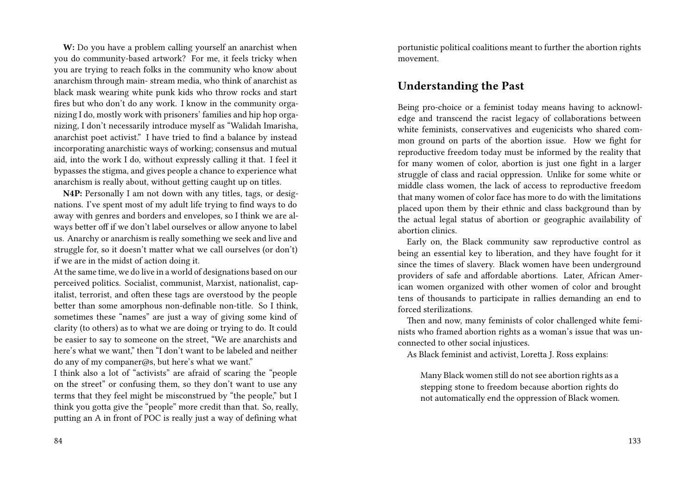**W:** Do you have a problem calling yourself an anarchist when you do community-based artwork? For me, it feels tricky when you are trying to reach folks in the community who know about anarchism through main- stream media, who think of anarchist as black mask wearing white punk kids who throw rocks and start fires but who don't do any work. I know in the community organizing I do, mostly work with prisoners' families and hip hop organizing, I don't necessarily introduce myself as "Walidah Imarisha, anarchist poet activist." I have tried to find a balance by instead incorporating anarchistic ways of working; consensus and mutual aid, into the work I do, without expressly calling it that. I feel it bypasses the stigma, and gives people a chance to experience what anarchism is really about, without getting caught up on titles.

**N4P:** Personally I am not down with any titles, tags, or designations. I've spent most of my adult life trying to find ways to do away with genres and borders and envelopes, so I think we are always better off if we don't label ourselves or allow anyone to label us. Anarchy or anarchism is really something we seek and live and struggle for, so it doesn't matter what we call ourselves (or don't) if we are in the midst of action doing it.

At the same time, we do live in a world of designations based on our perceived politics. Socialist, communist, Marxist, nationalist, capitalist, terrorist, and often these tags are overstood by the people better than some amorphous non-definable non-title. So I think, sometimes these "names" are just a way of giving some kind of clarity (to others) as to what we are doing or trying to do. It could be easier to say to someone on the street, "We are anarchists and here's what we want," then "I don't want to be labeled and neither do any of my companer@s, but here's what we want."

I think also a lot of "activists" are afraid of scaring the "people on the street" or confusing them, so they don't want to use any terms that they feel might be misconstrued by "the people," but I think you gotta give the "people" more credit than that. So, really, putting an A in front of POC is really just a way of defining what portunistic political coalitions meant to further the abortion rights movement.

#### **Understanding the Past**

Being pro-choice or a feminist today means having to acknowledge and transcend the racist legacy of collaborations between white feminists, conservatives and eugenicists who shared common ground on parts of the abortion issue. How we fight for reproductive freedom today must be informed by the reality that for many women of color, abortion is just one fight in a larger struggle of class and racial oppression. Unlike for some white or middle class women, the lack of access to reproductive freedom that many women of color face has more to do with the limitations placed upon them by their ethnic and class background than by the actual legal status of abortion or geographic availability of abortion clinics.

Early on, the Black community saw reproductive control as being an essential key to liberation, and they have fought for it since the times of slavery. Black women have been underground providers of safe and affordable abortions. Later, African American women organized with other women of color and brought tens of thousands to participate in rallies demanding an end to forced sterilizations.

Then and now, many feminists of color challenged white feminists who framed abortion rights as a woman's issue that was unconnected to other social injustices.

As Black feminist and activist, Loretta J. Ross explains:

Many Black women still do not see abortion rights as a stepping stone to freedom because abortion rights do not automatically end the oppression of Black women.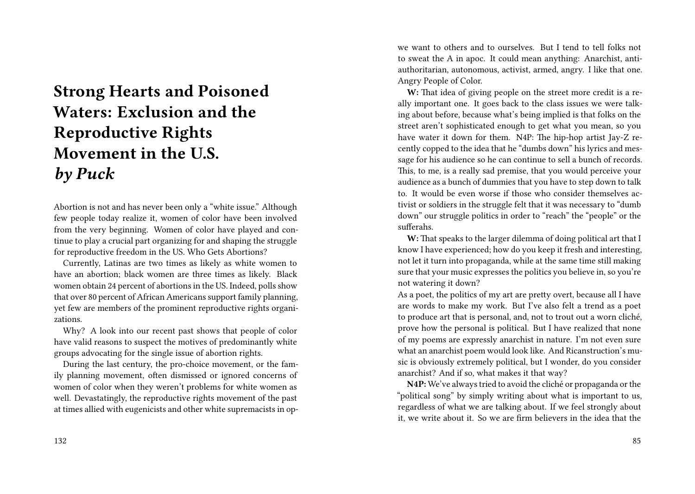# **Strong Hearts and Poisoned Waters: Exclusion and the Reproductive Rights Movement in the U.S.** *by Puck*

Abortion is not and has never been only a "white issue." Although few people today realize it, women of color have been involved from the very beginning. Women of color have played and continue to play a crucial part organizing for and shaping the struggle for reproductive freedom in the US. Who Gets Abortions?

Currently, Latinas are two times as likely as white women to have an abortion; black women are three times as likely. Black women obtain 24 percent of abortions in the US. Indeed, polls show that over 80 percent of African Americans support family planning, yet few are members of the prominent reproductive rights organizations.

Why? A look into our recent past shows that people of color have valid reasons to suspect the motives of predominantly white groups advocating for the single issue of abortion rights.

During the last century, the pro-choice movement, or the family planning movement, often dismissed or ignored concerns of women of color when they weren't problems for white women as well. Devastatingly, the reproductive rights movement of the past at times allied with eugenicists and other white supremacists in op-

we want to others and to ourselves. But I tend to tell folks not to sweat the A in apoc. It could mean anything: Anarchist, antiauthoritarian, autonomous, activist, armed, angry. I like that one. Angry People of Color.

**W:** That idea of giving people on the street more credit is a really important one. It goes back to the class issues we were talking about before, because what's being implied is that folks on the street aren't sophisticated enough to get what you mean, so you have water it down for them. N4P: The hip-hop artist Jay-Z recently copped to the idea that he "dumbs down" his lyrics and message for his audience so he can continue to sell a bunch of records. This, to me, is a really sad premise, that you would perceive your audience as a bunch of dummies that you have to step down to talk to. It would be even worse if those who consider themselves activist or soldiers in the struggle felt that it was necessary to "dumb down" our struggle politics in order to "reach" the "people" or the sufferahs.

**W:** That speaks to the larger dilemma of doing political art that I know I have experienced; how do you keep it fresh and interesting, not let it turn into propaganda, while at the same time still making sure that your music expresses the politics you believe in, so you're not watering it down?

As a poet, the politics of my art are pretty overt, because all I have are words to make my work. But I've also felt a trend as a poet to produce art that is personal, and, not to trout out a worn cliché, prove how the personal is political. But I have realized that none of my poems are expressly anarchist in nature. I'm not even sure what an anarchist poem would look like. And Ricanstruction's music is obviously extremely political, but I wonder, do you consider anarchist? And if so, what makes it that way?

**N4P:** We've always tried to avoid the cliché or propaganda or the "political song" by simply writing about what is important to us, regardless of what we are talking about. If we feel strongly about it, we write about it. So we are firm believers in the idea that the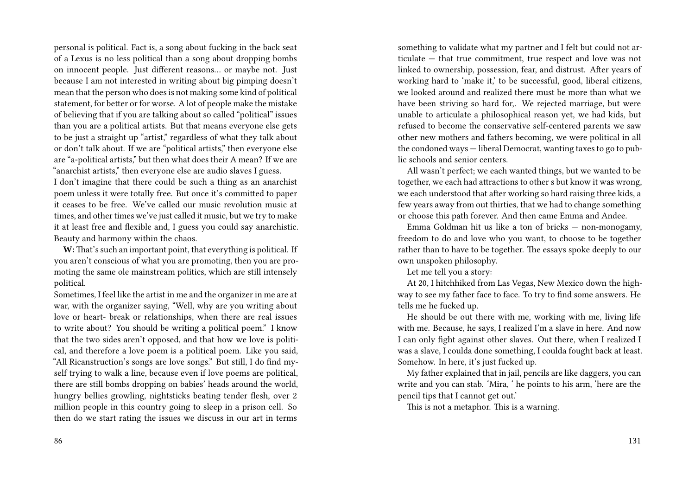personal is political. Fact is, a song about fucking in the back seat of a Lexus is no less political than a song about dropping bombs on innocent people. Just different reasons… or maybe not. Just because I am not interested in writing about big pimping doesn't mean that the person who does is not making some kind of political statement, for better or for worse. A lot of people make the mistake of believing that if you are talking about so called "political" issues than you are a political artists. But that means everyone else gets to be just a straight up "artist," regardless of what they talk about or don't talk about. If we are "political artists," then everyone else are "a-political artists," but then what does their A mean? If we are "anarchist artists," then everyone else are audio slaves I guess.

I don't imagine that there could be such a thing as an anarchist poem unless it were totally free. But once it's committed to paper it ceases to be free. We've called our music revolution music at times, and other times we've just called it music, but we try to make it at least free and flexible and, I guess you could say anarchistic. Beauty and harmony within the chaos.

**W:** That's such an important point, that everything is political. If you aren't conscious of what you are promoting, then you are promoting the same ole mainstream politics, which are still intensely political.

Sometimes, I feel like the artist in me and the organizer in me are at war, with the organizer saying, "Well, why are you writing about love or heart- break or relationships, when there are real issues to write about? You should be writing a political poem." I know that the two sides aren't opposed, and that how we love is political, and therefore a love poem is a political poem. Like you said, "All Ricanstruction's songs are love songs." But still, I do find myself trying to walk a line, because even if love poems are political, there are still bombs dropping on babies' heads around the world, hungry bellies growling, nightsticks beating tender flesh, over 2 million people in this country going to sleep in a prison cell. So then do we start rating the issues we discuss in our art in terms

something to validate what my partner and I felt but could not articulate — that true commitment, true respect and love was not linked to ownership, possession, fear, and distrust. After years of working hard to 'make it,' to be successful, good, liberal citizens, we looked around and realized there must be more than what we have been striving so hard for,. We rejected marriage, but were unable to articulate a philosophical reason yet, we had kids, but refused to become the conservative self-centered parents we saw other new mothers and fathers becoming, we were political in all the condoned ways — liberal Democrat, wanting taxes to go to public schools and senior centers.

All wasn't perfect; we each wanted things, but we wanted to be together, we each had attractions to other s but know it was wrong, we each understood that after working so hard raising three kids, a few years away from out thirties, that we had to change something or choose this path forever. And then came Emma and Andee.

Emma Goldman hit us like a ton of bricks — non-monogamy, freedom to do and love who you want, to choose to be together rather than to have to be together. The essays spoke deeply to our own unspoken philosophy.

Let me tell you a story:

At 20, I hitchhiked from Las Vegas, New Mexico down the highway to see my father face to face. To try to find some answers. He tells me he fucked up.

He should be out there with me, working with me, living life with me. Because, he says, I realized I'm a slave in here. And now I can only fight against other slaves. Out there, when I realized I was a slave, I coulda done something, I coulda fought back at least. Somehow. In here, it's just fucked up.

My father explained that in jail, pencils are like daggers, you can write and you can stab. 'Mira, ' he points to his arm, 'here are the pencil tips that I cannot get out.'

This is not a metaphor. This is a warning.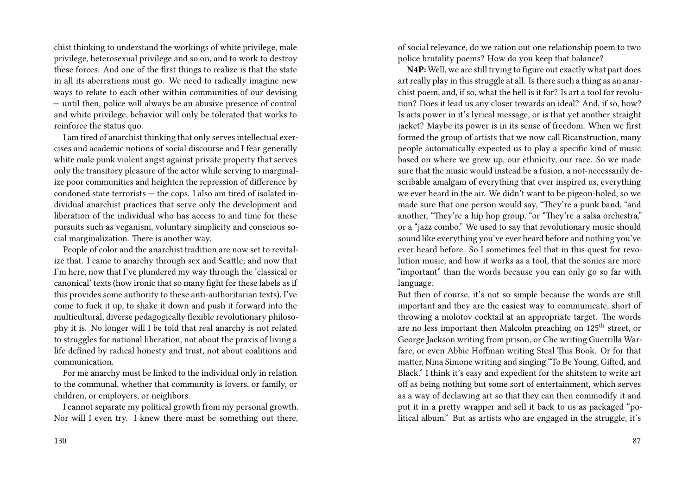chist thinking to understand the workings of white privilege, male privilege, heterosexual privilege and so on, and to work to destroy these forces. And one of the first things to realize is that the state in all its aberrations must go. We need to radically imagine new ways to relate to each other within communities of our devising — until then, police will always be an abusive presence of control and white privilege, behavior will only be tolerated that works to reinforce the status quo.

I am tired of anarchist thinking that only serves intellectual exercises and academic notions of social discourse and I fear generally white male punk violent angst against private property that serves only the transitory pleasure of the actor while serving to marginalize poor communities and heighten the repression of difference by condoned state terrorists — the cops. I also am tired of isolated individual anarchist practices that serve only the development and liberation of the individual who has access to and time for these pursuits such as veganism, voluntary simplicity and conscious social marginalization. There is another way.

People of color and the anarchist tradition are now set to revitalize that. I came to anarchy through sex and Seattle; and now that I'm here, now that I've plundered my way through the 'classical or canonical' texts (how ironic that so many fight for these labels as if this provides some authority to these anti-authoritarian texts), I've come to fuck it up, to shake it down and push it forward into the multicultural, diverse pedagogically flexible revolutionary philosophy it is. No longer will I be told that real anarchy is not related to struggles for national liberation, not about the praxis of living a life defined by radical honesty and trust, not about coalitions and communication.

For me anarchy must be linked to the individual only in relation to the communal, whether that community is lovers, or family, or children, or employers, or neighbors.

I cannot separate my political growth from my personal growth. Nor will I even try. I knew there must be something out there,

of social relevance, do we ration out one relationship poem to two police brutality poems? How do you keep that balance?

**N4P:** Well, we are still trying to figure out exactly what part does art really play in this struggle at all. Is there such a thing as an anarchist poem, and, if so, what the hell is it for? Is art a tool for revolution? Does it lead us any closer towards an ideal? And, if so, how? Is arts power in it's lyrical message, or is that yet another straight jacket? Maybe its power is in its sense of freedom. When we first formed the group of artists that we now call Ricanstruction, many people automatically expected us to play a specific kind of music based on where we grew up, our ethnicity, our race. So we made sure that the music would instead be a fusion, a not-necessarily describable amalgam of everything that ever inspired us, everything we ever heard in the air. We didn't want to be pigeon-holed, so we made sure that one person would say, "They're a punk band, "and another, "They're a hip hop group, "or "They're a salsa orchestra," or a "jazz combo." We used to say that revolutionary music should sound like everything you've ever heard before and nothing you've ever heard before. So I sometimes feel that in this quest for revolution music, and how it works as a tool, that the sonics are more "important" than the words because you can only go so far with language.

But then of course, it's not so simple because the words are still important and they are the easiest way to communicate, short of throwing a molotov cocktail at an appropriate target. The words are no less important then Malcolm preaching on 125th street, or George Jackson writing from prison, or Che writing Guerrilla Warfare, or even Abbie Hoffman writing Steal This Book. Or for that matter, Nina Simone writing and singing "To Be Young, Gifted, and Black." I think it's easy and expedient for the shitstem to write art off as being nothing but some sort of entertainment, which serves as a way of declawing art so that they can then commodify it and put it in a pretty wrapper and sell it back to us as packaged "political album." But as artists who are engaged in the struggle, it's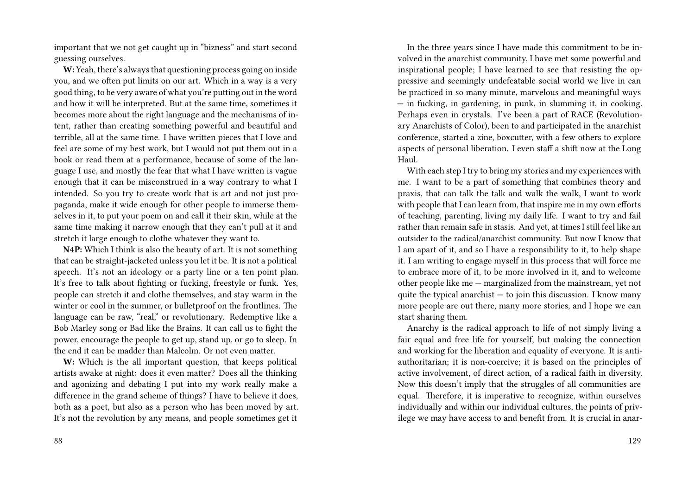important that we not get caught up in "bizness" and start second guessing ourselves.

**W:** Yeah, there's always that questioning process going on inside you, and we often put limits on our art. Which in a way is a very good thing, to be very aware of what you're putting out in the word and how it will be interpreted. But at the same time, sometimes it becomes more about the right language and the mechanisms of intent, rather than creating something powerful and beautiful and terrible, all at the same time. I have written pieces that I love and feel are some of my best work, but I would not put them out in a book or read them at a performance, because of some of the language I use, and mostly the fear that what I have written is vague enough that it can be misconstrued in a way contrary to what I intended. So you try to create work that is art and not just propaganda, make it wide enough for other people to immerse themselves in it, to put your poem on and call it their skin, while at the same time making it narrow enough that they can't pull at it and stretch it large enough to clothe whatever they want to.

**N4P:** Which I think is also the beauty of art. It is not something that can be straight-jacketed unless you let it be. It is not a political speech. It's not an ideology or a party line or a ten point plan. It's free to talk about fighting or fucking, freestyle or funk. Yes, people can stretch it and clothe themselves, and stay warm in the winter or cool in the summer, or bulletproof on the frontlines. The language can be raw, "real," or revolutionary. Redemptive like a Bob Marley song or Bad like the Brains. It can call us to fight the power, encourage the people to get up, stand up, or go to sleep. In the end it can be madder than Malcolm. Or not even matter.

**W:** Which is the all important question, that keeps political artists awake at night: does it even matter? Does all the thinking and agonizing and debating I put into my work really make a difference in the grand scheme of things? I have to believe it does, both as a poet, but also as a person who has been moved by art. It's not the revolution by any means, and people sometimes get it

In the three years since I have made this commitment to be involved in the anarchist community, I have met some powerful and inspirational people; I have learned to see that resisting the oppressive and seemingly undefeatable social world we live in can be practiced in so many minute, marvelous and meaningful ways — in fucking, in gardening, in punk, in slumming it, in cooking. Perhaps even in crystals. I've been a part of RACE (Revolutionary Anarchists of Color), been to and participated in the anarchist conference, started a zine, boxcutter, with a few others to explore aspects of personal liberation. I even staff a shift now at the Long Haul.

With each step I try to bring my stories and my experiences with me. I want to be a part of something that combines theory and praxis, that can talk the talk and walk the walk, I want to work with people that I can learn from, that inspire me in my own efforts of teaching, parenting, living my daily life. I want to try and fail rather than remain safe in stasis. And yet, at times I still feel like an outsider to the radical/anarchist community. But now I know that I am apart of it, and so I have a responsibility to it, to help shape it. I am writing to engage myself in this process that will force me to embrace more of it, to be more involved in it, and to welcome other people like me — marginalized from the mainstream, yet not quite the typical anarchist  $-$  to join this discussion. I know many more people are out there, many more stories, and I hope we can start sharing them.

Anarchy is the radical approach to life of not simply living a fair equal and free life for yourself, but making the connection and working for the liberation and equality of everyone. It is antiauthoritarian; it is non-coercive; it is based on the principles of active involvement, of direct action, of a radical faith in diversity. Now this doesn't imply that the struggles of all communities are equal. Therefore, it is imperative to recognize, within ourselves individually and within our individual cultures, the points of privilege we may have access to and benefit from. It is crucial in anar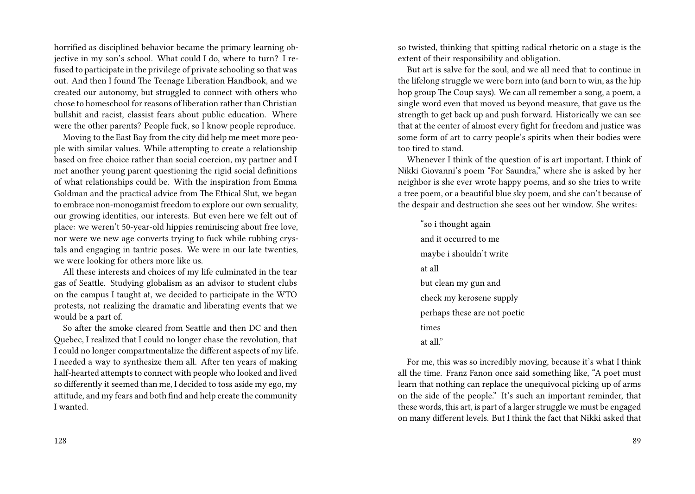horrified as disciplined behavior became the primary learning objective in my son's school. What could I do, where to turn? I refused to participate in the privilege of private schooling so that was out. And then I found The Teenage Liberation Handbook, and we created our autonomy, but struggled to connect with others who chose to homeschool for reasons of liberation rather than Christian bullshit and racist, classist fears about public education. Where were the other parents? People fuck, so I know people reproduce.

Moving to the East Bay from the city did help me meet more people with similar values. While attempting to create a relationship based on free choice rather than social coercion, my partner and I met another young parent questioning the rigid social definitions of what relationships could be. With the inspiration from Emma Goldman and the practical advice from The Ethical Slut, we began to embrace non-monogamist freedom to explore our own sexuality, our growing identities, our interests. But even here we felt out of place: we weren't 50-year-old hippies reminiscing about free love, nor were we new age converts trying to fuck while rubbing crystals and engaging in tantric poses. We were in our late twenties, we were looking for others more like us.

All these interests and choices of my life culminated in the tear gas of Seattle. Studying globalism as an advisor to student clubs on the campus I taught at, we decided to participate in the WTO protests, not realizing the dramatic and liberating events that we would be a part of.

So after the smoke cleared from Seattle and then DC and then Quebec, I realized that I could no longer chase the revolution, that I could no longer compartmentalize the different aspects of my life. I needed a way to synthesize them all. After ten years of making half-hearted attempts to connect with people who looked and lived so differently it seemed than me, I decided to toss aside my ego, my attitude, and my fears and both find and help create the community I wanted.

128

so twisted, thinking that spitting radical rhetoric on a stage is the extent of their responsibility and obligation.

But art is salve for the soul, and we all need that to continue in the lifelong struggle we were born into (and born to win, as the hip hop group The Coup says). We can all remember a song, a poem, a single word even that moved us beyond measure, that gave us the strength to get back up and push forward. Historically we can see that at the center of almost every fight for freedom and justice was some form of art to carry people's spirits when their bodies were too tired to stand.

Whenever I think of the question of is art important, I think of Nikki Giovanni's poem "For Saundra," where she is asked by her neighbor is she ever wrote happy poems, and so she tries to write a tree poem, or a beautiful blue sky poem, and she can't because of the despair and destruction she sees out her window. She writes:

"so i thought again and it occurred to me maybe i shouldn't write at all but clean my gun and check my kerosene supply perhaps these are not poetic times at all."

For me, this was so incredibly moving, because it's what I think all the time. Franz Fanon once said something like, "A poet must learn that nothing can replace the unequivocal picking up of arms on the side of the people." It's such an important reminder, that these words, this art, is part of a larger struggle we must be engaged on many different levels. But I think the fact that Nikki asked that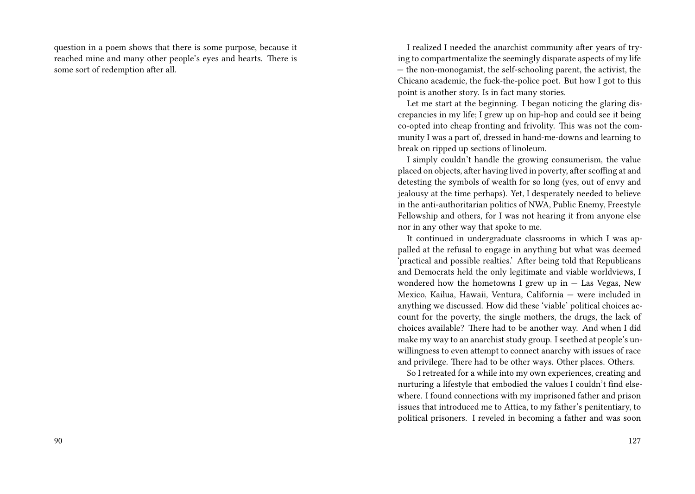question in a poem shows that there is some purpose, because it reached mine and many other people's eyes and hearts. There is some sort of redemption after all.

I realized I needed the anarchist community after years of trying to compartmentalize the seemingly disparate aspects of my life — the non-monogamist, the self-schooling parent, the activist, the Chicano academic, the fuck-the-police poet. But how I got to this point is another story. Is in fact many stories.

Let me start at the beginning. I began noticing the glaring discrepancies in my life; I grew up on hip-hop and could see it being co-opted into cheap fronting and frivolity. This was not the community I was a part of, dressed in hand-me-downs and learning to break on ripped up sections of linoleum.

I simply couldn't handle the growing consumerism, the value placed on objects, after having lived in poverty, after scoffing at and detesting the symbols of wealth for so long (yes, out of envy and jealousy at the time perhaps). Yet, I desperately needed to believe in the anti-authoritarian politics of NWA, Public Enemy, Freestyle Fellowship and others, for I was not hearing it from anyone else nor in any other way that spoke to me.

It continued in undergraduate classrooms in which I was appalled at the refusal to engage in anything but what was deemed 'practical and possible realties.' After being told that Republicans and Democrats held the only legitimate and viable worldviews, I wondered how the hometowns I grew up in  $-$  Las Vegas, New Mexico, Kailua, Hawaii, Ventura, California — were included in anything we discussed. How did these 'viable' political choices account for the poverty, the single mothers, the drugs, the lack of choices available? There had to be another way. And when I did make my way to an anarchist study group. I seethed at people's unwillingness to even attempt to connect anarchy with issues of race and privilege. There had to be other ways. Other places. Others.

So I retreated for a while into my own experiences, creating and nurturing a lifestyle that embodied the values I couldn't find elsewhere. I found connections with my imprisoned father and prison issues that introduced me to Attica, to my father's penitentiary, to political prisoners. I reveled in becoming a father and was soon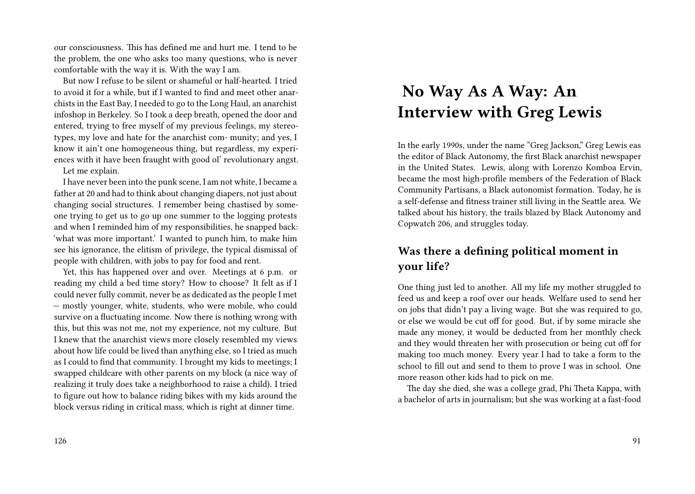our consciousness. This has defined me and hurt me. I tend to be the problem, the one who asks too many questions, who is never comfortable with the way it is. With the way I am.

But now I refuse to be silent or shameful or half-hearted. I tried to avoid it for a while, but if I wanted to find and meet other anarchists in the East Bay, I needed to go to the Long Haul, an anarchist infoshop in Berkeley. So I took a deep breath, opened the door and entered, trying to free myself of my previous feelings, my stereotypes, my love and hate for the anarchist com- munity; and yes, I know it ain't one homogeneous thing, but regardless, my experiences with it have been fraught with good ol' revolutionary angst. Let me explain.

I have never been into the punk scene, I am not white, I became a father at 20 and had to think about changing diapers, not just about changing social structures. I remember being chastised by someone trying to get us to go up one summer to the logging protests and when I reminded him of my responsibilities, he snapped back: 'what was more important.' I wanted to punch him, to make him see his ignorance, the elitism of privilege, the typical dismissal of people with children, with jobs to pay for food and rent.

Yet, this has happened over and over. Meetings at 6 p.m. or reading my child a bed time story? How to choose? It felt as if I could never fully commit, never be as dedicated as the people I met — mostly younger, white, students, who were mobile, who could survive on a fluctuating income. Now there is nothing wrong with this, but this was not me, not my experience, not my culture. But I knew that the anarchist views more closely resembled my views about how life could be lived than anything else, so I tried as much as I could to find that community. I brought my kids to meetings; I swapped childcare with other parents on my block (a nice way of realizing it truly does take a neighborhood to raise a child). I tried to figure out how to balance riding bikes with my kids around the block versus riding in critical mass, which is right at dinner time.

#### 126

# **No Way As A Way: An Interview with Greg Lewis**

In the early 1990s, under the name "Greg Jackson," Greg Lewis eas the editor of Black Autonomy, the first Black anarchist newspaper in the United States. Lewis, along with Lorenzo Komboa Ervin, became the most high-profile members of the Federation of Black Community Partisans, a Black autonomist formation. Today, he is a self-defense and fitness trainer still living in the Seattle area. We talked about his history, the trails blazed by Black Autonomy and Copwatch 206, and struggles today.

#### **Was there a defining political moment in your life?**

One thing just led to another. All my life my mother struggled to feed us and keep a roof over our heads. Welfare used to send her on jobs that didn't pay a living wage. But she was required to go, or else we would be cut off for good. But, if by some miracle she made any money, it would be deducted from her monthly check and they would threaten her with prosecution or being cut off for making too much money. Every year I had to take a form to the school to fill out and send to them to prove I was in school. One more reason other kids had to pick on me.

The day she died, she was a college grad, Phi Theta Kappa, with a bachelor of arts in journalism; but she was working at a fast-food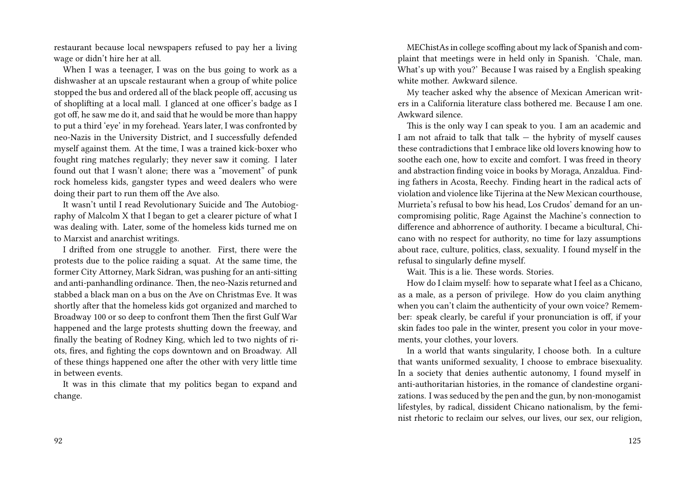restaurant because local newspapers refused to pay her a living wage or didn't hire her at all.

When I was a teenager, I was on the bus going to work as a dishwasher at an upscale restaurant when a group of white police stopped the bus and ordered all of the black people off, accusing us of shoplifting at a local mall. I glanced at one officer's badge as I got off, he saw me do it, and said that he would be more than happy to put a third 'eye' in my forehead. Years later, I was confronted by neo-Nazis in the University District, and I successfully defended myself against them. At the time, I was a trained kick-boxer who fought ring matches regularly; they never saw it coming. I later found out that I wasn't alone; there was a "movement" of punk rock homeless kids, gangster types and weed dealers who were doing their part to run them off the Ave also.

It wasn't until I read Revolutionary Suicide and The Autobiography of Malcolm X that I began to get a clearer picture of what I was dealing with. Later, some of the homeless kids turned me on to Marxist and anarchist writings.

I drifted from one struggle to another. First, there were the protests due to the police raiding a squat. At the same time, the former City Attorney, Mark Sidran, was pushing for an anti-sitting and anti-panhandling ordinance. Then, the neo-Nazis returned and stabbed a black man on a bus on the Ave on Christmas Eve. It was shortly after that the homeless kids got organized and marched to Broadway 100 or so deep to confront them Then the first Gulf War happened and the large protests shutting down the freeway, and finally the beating of Rodney King, which led to two nights of riots, fires, and fighting the cops downtown and on Broadway. All of these things happened one after the other with very little time in between events.

It was in this climate that my politics began to expand and change.

92

MEChistAs in college scoffing about my lack of Spanish and complaint that meetings were in held only in Spanish. 'Chale, man. What's up with you?' Because I was raised by a English speaking white mother. Awkward silence.

My teacher asked why the absence of Mexican American writers in a California literature class bothered me. Because I am one. Awkward silence.

This is the only way I can speak to you. I am an academic and I am not afraid to talk that talk  $-$  the hybrity of myself causes these contradictions that I embrace like old lovers knowing how to soothe each one, how to excite and comfort. I was freed in theory and abstraction finding voice in books by Moraga, Anzaldua. Finding fathers in Acosta, Reechy. Finding heart in the radical acts of violation and violence like Tijerina at the New Mexican courthouse, Murrieta's refusal to bow his head, Los Crudos' demand for an uncompromising politic, Rage Against the Machine's connection to difference and abhorrence of authority. I became a bicultural, Chicano with no respect for authority, no time for lazy assumptions about race, culture, politics, class, sexuality. I found myself in the refusal to singularly define myself.

Wait. This is a lie. These words. Stories.

How do I claim myself: how to separate what I feel as a Chicano, as a male, as a person of privilege. How do you claim anything when you can't claim the authenticity of your own voice? Remember: speak clearly, be careful if your pronunciation is off, if your skin fades too pale in the winter, present you color in your movements, your clothes, your lovers.

In a world that wants singularity, I choose both. In a culture that wants uniformed sexuality, I choose to embrace bisexuality. In a society that denies authentic autonomy, I found myself in anti-authoritarian histories, in the romance of clandestine organizations. I was seduced by the pen and the gun, by non-monogamist lifestyles, by radical, dissident Chicano nationalism, by the feminist rhetoric to reclaim our selves, our lives, our sex, our religion,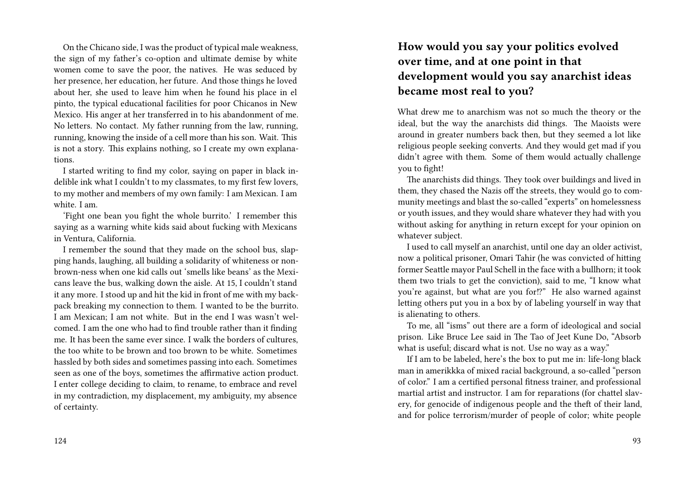On the Chicano side, I was the product of typical male weakness, the sign of my father's co-option and ultimate demise by white women come to save the poor, the natives. He was seduced by her presence, her education, her future. And those things he loved about her, she used to leave him when he found his place in el pinto, the typical educational facilities for poor Chicanos in New Mexico. His anger at her transferred in to his abandonment of me. No letters. No contact. My father running from the law, running, running, knowing the inside of a cell more than his son. Wait. This is not a story. This explains nothing, so I create my own explanations.

I started writing to find my color, saying on paper in black indelible ink what I couldn't to my classmates, to my first few lovers, to my mother and members of my own family: I am Mexican. I am white. I am.

'Fight one bean you fight the whole burrito.' I remember this saying as a warning white kids said about fucking with Mexicans in Ventura, California.

I remember the sound that they made on the school bus, slapping hands, laughing, all building a solidarity of whiteness or nonbrown-ness when one kid calls out 'smells like beans' as the Mexicans leave the bus, walking down the aisle. At 15, I couldn't stand it any more. I stood up and hit the kid in front of me with my backpack breaking my connection to them. I wanted to be the burrito. I am Mexican; I am not white. But in the end I was wasn't welcomed. I am the one who had to find trouble rather than it finding me. It has been the same ever since. I walk the borders of cultures, the too white to be brown and too brown to be white. Sometimes hassled by both sides and sometimes passing into each. Sometimes seen as one of the boys, sometimes the affirmative action product. I enter college deciding to claim, to rename, to embrace and revel in my contradiction, my displacement, my ambiguity, my absence of certainty.

# **How would you say your politics evolved over time, and at one point in that development would you say anarchist ideas became most real to you?**

What drew me to anarchism was not so much the theory or the ideal, but the way the anarchists did things. The Maoists were around in greater numbers back then, but they seemed a lot like religious people seeking converts. And they would get mad if you didn't agree with them. Some of them would actually challenge you to fight!

The anarchists did things. They took over buildings and lived in them, they chased the Nazis off the streets, they would go to community meetings and blast the so-called "experts" on homelessness or youth issues, and they would share whatever they had with you without asking for anything in return except for your opinion on whatever subject.

I used to call myself an anarchist, until one day an older activist, now a political prisoner, Omari Tahir (he was convicted of hitting former Seattle mayor Paul Schell in the face with a bullhorn; it took them two trials to get the conviction), said to me, "I know what you're against, but what are you for!?" He also warned against letting others put you in a box by of labeling yourself in way that is alienating to others.

To me, all "isms" out there are a form of ideological and social prison. Like Bruce Lee said in The Tao of Jeet Kune Do, "Absorb what is useful; discard what is not. Use no way as a way."

If I am to be labeled, here's the box to put me in: life-long black man in amerikkka of mixed racial background, a so-called "person of color." I am a certified personal fitness trainer, and professional martial artist and instructor. I am for reparations (for chattel slavery, for genocide of indigenous people and the theft of their land, and for police terrorism/murder of people of color; white people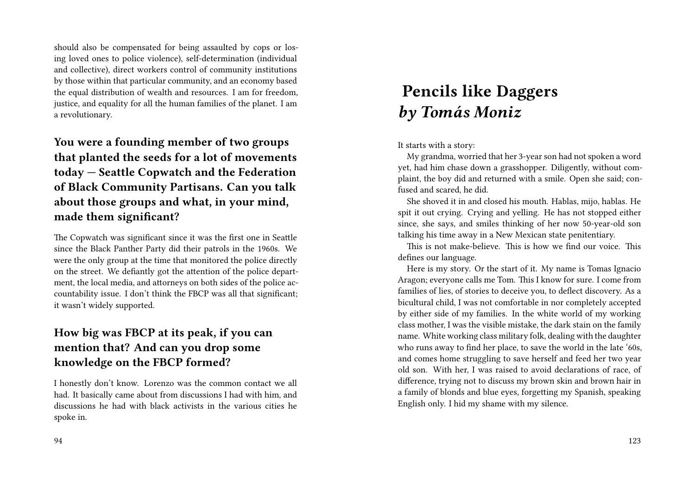should also be compensated for being assaulted by cops or losing loved ones to police violence), self-determination (individual and collective), direct workers control of community institutions by those within that particular community, and an economy based the equal distribution of wealth and resources. I am for freedom, justice, and equality for all the human families of the planet. I am a revolutionary.

## **You were a founding member of two groups that planted the seeds for a lot of movements today — Seattle Copwatch and the Federation of Black Community Partisans. Can you talk about those groups and what, in your mind, made them significant?**

The Copwatch was significant since it was the first one in Seattle since the Black Panther Party did their patrols in the 1960s. We were the only group at the time that monitored the police directly on the street. We defiantly got the attention of the police department, the local media, and attorneys on both sides of the police accountability issue. I don't think the FBCP was all that significant; it wasn't widely supported.

### **How big was FBCP at its peak, if you can mention that? And can you drop some knowledge on the FBCP formed?**

I honestly don't know. Lorenzo was the common contact we all had. It basically came about from discussions I had with him, and discussions he had with black activists in the various cities he spoke in.

# **Pencils like Daggers** *by Tomás Moniz*

It starts with a story:

My grandma, worried that her 3-year son had not spoken a word yet, had him chase down a grasshopper. Diligently, without complaint, the boy did and returned with a smile. Open she said; confused and scared, he did.

She shoved it in and closed his mouth. Hablas, mijo, hablas. He spit it out crying. Crying and yelling. He has not stopped either since, she says, and smiles thinking of her now 50-year-old son talking his time away in a New Mexican state penitentiary.

This is not make-believe. This is how we find our voice. This defines our language.

Here is my story. Or the start of it. My name is Tomas Ignacio Aragon; everyone calls me Tom. This I know for sure. I come from families of lies, of stories to deceive you, to deflect discovery. As a bicultural child, I was not comfortable in nor completely accepted by either side of my families. In the white world of my working class mother, I was the visible mistake, the dark stain on the family name. White working class military folk, dealing with the daughter who runs away to find her place, to save the world in the late '60s, and comes home struggling to save herself and feed her two year old son. With her, I was raised to avoid declarations of race, of difference, trying not to discuss my brown skin and brown hair in a family of blonds and blue eyes, forgetting my Spanish, speaking English only. I hid my shame with my silence.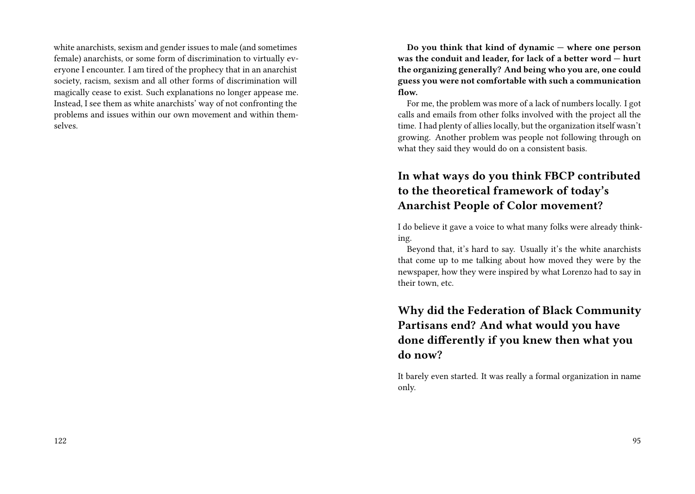white anarchists, sexism and gender issues to male (and sometimes female) anarchists, or some form of discrimination to virtually everyone I encounter. I am tired of the prophecy that in an anarchist society, racism, sexism and all other forms of discrimination will magically cease to exist. Such explanations no longer appease me. Instead, I see them as white anarchists' way of not confronting the problems and issues within our own movement and within themselves.

**Do you think that kind of dynamic — where one person was the conduit and leader, for lack of a better word — hurt the organizing generally? And being who you are, one could guess you were not comfortable with such a communication flow.**

For me, the problem was more of a lack of numbers locally. I got calls and emails from other folks involved with the project all the time. I had plenty of allies locally, but the organization itself wasn't growing. Another problem was people not following through on what they said they would do on a consistent basis.

## **In what ways do you think FBCP contributed to the theoretical framework of today's Anarchist People of Color movement?**

I do believe it gave a voice to what many folks were already thinking.

Beyond that, it's hard to say. Usually it's the white anarchists that come up to me talking about how moved they were by the newspaper, how they were inspired by what Lorenzo had to say in their town, etc.

## **Why did the Federation of Black Community Partisans end? And what would you have done differently if you knew then what you do now?**

It barely even started. It was really a formal organization in name only.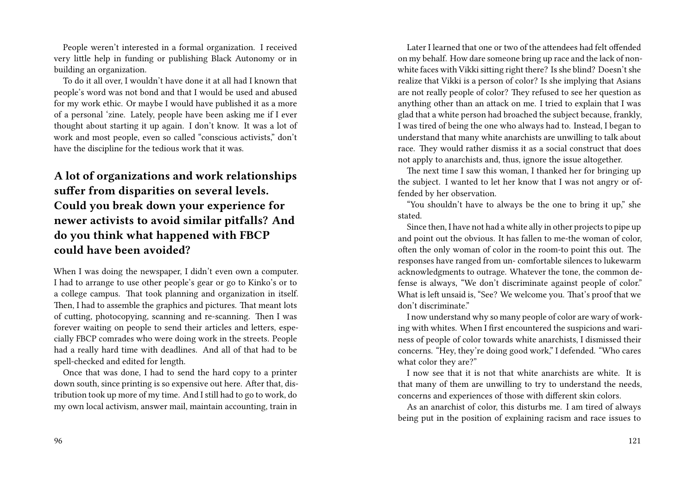People weren't interested in a formal organization. I received very little help in funding or publishing Black Autonomy or in building an organization.

To do it all over, I wouldn't have done it at all had I known that people's word was not bond and that I would be used and abused for my work ethic. Or maybe I would have published it as a more of a personal 'zine. Lately, people have been asking me if I ever thought about starting it up again. I don't know. It was a lot of work and most people, even so called "conscious activists," don't have the discipline for the tedious work that it was.

## **A lot of organizations and work relationships suffer from disparities on several levels. Could you break down your experience for newer activists to avoid similar pitfalls? And do you think what happened with FBCP could have been avoided?**

When I was doing the newspaper, I didn't even own a computer. I had to arrange to use other people's gear or go to Kinko's or to a college campus. That took planning and organization in itself. Then, I had to assemble the graphics and pictures. That meant lots of cutting, photocopying, scanning and re-scanning. Then I was forever waiting on people to send their articles and letters, especially FBCP comrades who were doing work in the streets. People had a really hard time with deadlines. And all of that had to be spell-checked and edited for length.

Once that was done, I had to send the hard copy to a printer down south, since printing is so expensive out here. After that, distribution took up more of my time. And I still had to go to work, do my own local activism, answer mail, maintain accounting, train in

Later I learned that one or two of the attendees had felt offended on my behalf. How dare someone bring up race and the lack of nonwhite faces with Vikki sitting right there? Is she blind? Doesn't she realize that Vikki is a person of color? Is she implying that Asians are not really people of color? They refused to see her question as anything other than an attack on me. I tried to explain that I was glad that a white person had broached the subject because, frankly, I was tired of being the one who always had to. Instead, I began to understand that many white anarchists are unwilling to talk about race. They would rather dismiss it as a social construct that does not apply to anarchists and, thus, ignore the issue altogether.

The next time I saw this woman, I thanked her for bringing up the subject. I wanted to let her know that I was not angry or offended by her observation.

"You shouldn't have to always be the one to bring it up," she stated.

Since then, I have not had a white ally in other projects to pipe up and point out the obvious. It has fallen to me-the woman of color, often the only woman of color in the room-to point this out. The responses have ranged from un- comfortable silences to lukewarm acknowledgments to outrage. Whatever the tone, the common defense is always, "We don't discriminate against people of color." What is left unsaid is, "See? We welcome you. That's proof that we don't discriminate."

I now understand why so many people of color are wary of working with whites. When I first encountered the suspicions and wariness of people of color towards white anarchists, I dismissed their concerns. "Hey, they're doing good work," I defended. "Who cares what color they are?"

I now see that it is not that white anarchists are white. It is that many of them are unwilling to try to understand the needs, concerns and experiences of those with different skin colors.

As an anarchist of color, this disturbs me. I am tired of always being put in the position of explaining racism and race issues to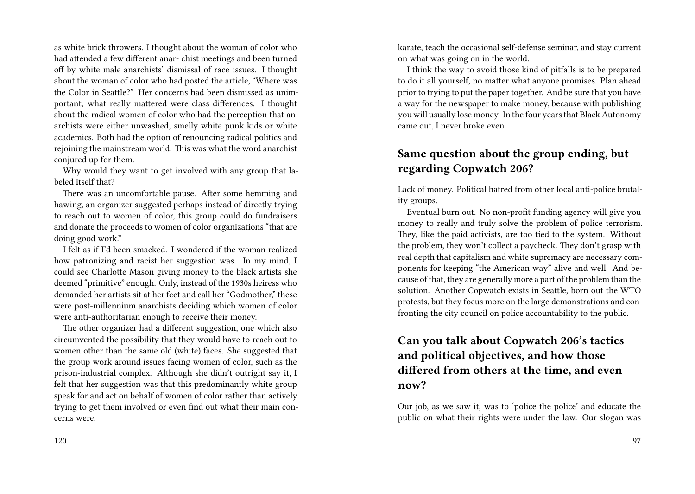as white brick throwers. I thought about the woman of color who had attended a few different anar- chist meetings and been turned off by white male anarchists' dismissal of race issues. I thought about the woman of color who had posted the article, "Where was the Color in Seattle?" Her concerns had been dismissed as unimportant; what really mattered were class differences. I thought about the radical women of color who had the perception that anarchists were either unwashed, smelly white punk kids or white academics. Both had the option of renouncing radical politics and rejoining the mainstream world. This was what the word anarchist conjured up for them.

Why would they want to get involved with any group that labeled itself that?

There was an uncomfortable pause. After some hemming and hawing, an organizer suggested perhaps instead of directly trying to reach out to women of color, this group could do fundraisers and donate the proceeds to women of color organizations "that are doing good work."

I felt as if I'd been smacked. I wondered if the woman realized how patronizing and racist her suggestion was. In my mind, I could see Charlotte Mason giving money to the black artists she deemed "primitive" enough. Only, instead of the 1930s heiress who demanded her artists sit at her feet and call her "Godmother," these were post-millennium anarchists deciding which women of color were anti-authoritarian enough to receive their money.

The other organizer had a different suggestion, one which also circumvented the possibility that they would have to reach out to women other than the same old (white) faces. She suggested that the group work around issues facing women of color, such as the prison-industrial complex. Although she didn't outright say it, I felt that her suggestion was that this predominantly white group speak for and act on behalf of women of color rather than actively trying to get them involved or even find out what their main concerns were.

karate, teach the occasional self-defense seminar, and stay current on what was going on in the world.

I think the way to avoid those kind of pitfalls is to be prepared to do it all yourself, no matter what anyone promises. Plan ahead prior to trying to put the paper together. And be sure that you have a way for the newspaper to make money, because with publishing you will usually lose money. In the four years that Black Autonomy came out, I never broke even.

### **Same question about the group ending, but regarding Copwatch 206?**

Lack of money. Political hatred from other local anti-police brutality groups.

Eventual burn out. No non-profit funding agency will give you money to really and truly solve the problem of police terrorism. They, like the paid activists, are too tied to the system. Without the problem, they won't collect a paycheck. They don't grasp with real depth that capitalism and white supremacy are necessary components for keeping "the American way" alive and well. And because of that, they are generally more a part of the problem than the solution. Another Copwatch exists in Seattle, born out the WTO protests, but they focus more on the large demonstrations and confronting the city council on police accountability to the public.

## **Can you talk about Copwatch 206's tactics and political objectives, and how those differed from others at the time, and even now?**

Our job, as we saw it, was to 'police the police' and educate the public on what their rights were under the law. Our slogan was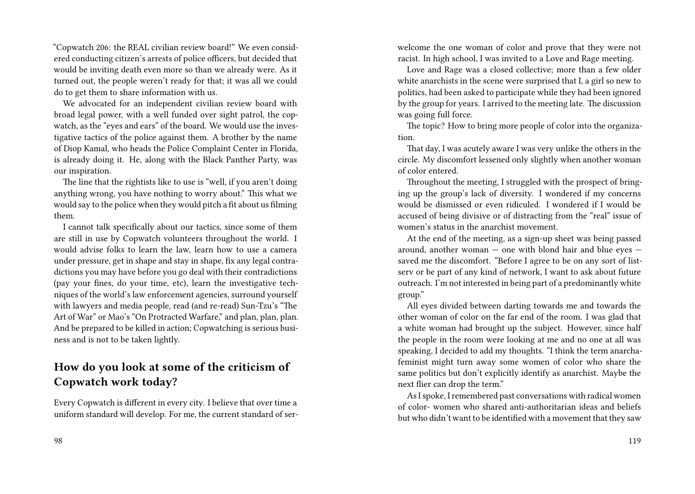"Copwatch 206: the REAL civilian review board!" We even considered conducting citizen's arrests of police officers, but decided that would be inviting death even more so than we already were. As it turned out, the people weren't ready for that; it was all we could do to get them to share information with us.

We advocated for an independent civilian review board with broad legal power, with a well funded over sight patrol, the copwatch, as the "eyes and ears" of the board. We would use the investigative tactics of the police against them. A brother by the name of Diop Kamal, who heads the Police Complaint Center in Florida, is already doing it. He, along with the Black Panther Party, was our inspiration.

The line that the rightists like to use is "well, if you aren't doing anything wrong, you have nothing to worry about." This what we would say to the police when they would pitch a fit about us filming them.

I cannot talk specifically about our tactics, since some of them are still in use by Copwatch volunteers throughout the world. I would advise folks to learn the law, learn how to use a camera under pressure, get in shape and stay in shape, fix any legal contradictions you may have before you go deal with their contradictions (pay your fines, do your time, etc), learn the investigative techniques of the world's law enforcement agencies, surround yourself with lawyers and media people, read (and re-read) Sun-Tzu's "The Art of War" or Mao's "On Protracted Warfare," and plan, plan, plan. And be prepared to be killed in action; Copwatching is serious business and is not to be taken lightly.

### **How do you look at some of the criticism of Copwatch work today?**

Every Copwatch is different in every city. I believe that over time a uniform standard will develop. For me, the current standard of serwelcome the one woman of color and prove that they were not racist. In high school, I was invited to a Love and Rage meeting.

Love and Rage was a closed collective; more than a few older white anarchists in the scene were surprised that I, a girl so new to politics, had been asked to participate while they had been ignored by the group for years. I arrived to the meeting late. The discussion was going full force.

The topic? How to bring more people of color into the organization.

That day, I was acutely aware I was very unlike the others in the circle. My discomfort lessened only slightly when another woman of color entered.

Throughout the meeting, I struggled with the prospect of bringing up the group's lack of diversity. I wondered if my concerns would be dismissed or even ridiculed. I wondered if I would be accused of being divisive or of distracting from the "real" issue of women's status in the anarchist movement.

At the end of the meeting, as a sign-up sheet was being passed around, another woman  $-$  one with blond hair and blue eyes  $$ saved me the discomfort. "Before I agree to be on any sort of listserv or be part of any kind of network, I want to ask about future outreach. I'm not interested in being part of a predominantly white group."

All eyes divided between darting towards me and towards the other woman of color on the far end of the room. I was glad that a white woman had brought up the subject. However, since half the people in the room were looking at me and no one at all was speaking, I decided to add my thoughts. "I think the term anarchafeminist might turn away some women of color who share the same politics but don't explicitly identify as anarchist. Maybe the next flier can drop the term."

As I spoke, I remembered past conversations with radical women of color- women who shared anti-authoritarian ideas and beliefs but who didn't want to be identified with a movement that they saw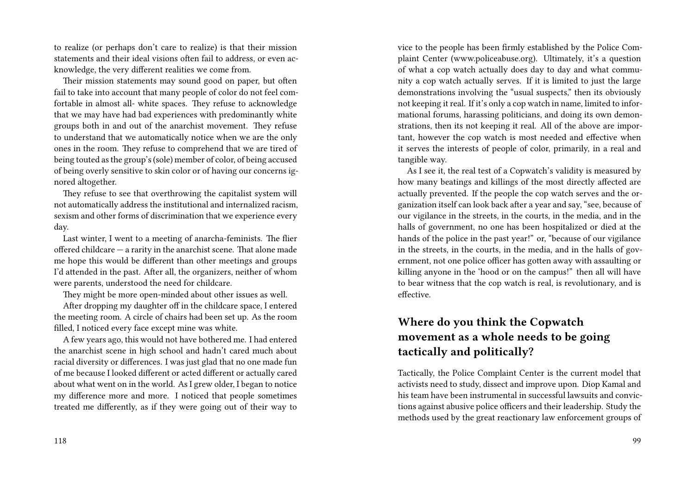to realize (or perhaps don't care to realize) is that their mission statements and their ideal visions often fail to address, or even acknowledge, the very different realities we come from.

Their mission statements may sound good on paper, but often fail to take into account that many people of color do not feel comfortable in almost all- white spaces. They refuse to acknowledge that we may have had bad experiences with predominantly white groups both in and out of the anarchist movement. They refuse to understand that we automatically notice when we are the only ones in the room. They refuse to comprehend that we are tired of being touted as the group's (sole) member of color, of being accused of being overly sensitive to skin color or of having our concerns ignored altogether.

They refuse to see that overthrowing the capitalist system will not automatically address the institutional and internalized racism, sexism and other forms of discrimination that we experience every day.

Last winter, I went to a meeting of anarcha-feminists. The flier offered childcare — a rarity in the anarchist scene. That alone made me hope this would be different than other meetings and groups I'd attended in the past. After all, the organizers, neither of whom were parents, understood the need for childcare.

They might be more open-minded about other issues as well.

After dropping my daughter off in the childcare space, I entered the meeting room. A circle of chairs had been set up. As the room filled, I noticed every face except mine was white.

A few years ago, this would not have bothered me. I had entered the anarchist scene in high school and hadn't cared much about racial diversity or differences. I was just glad that no one made fun of me because I looked different or acted different or actually cared about what went on in the world. As I grew older, I began to notice my difference more and more. I noticed that people sometimes treated me differently, as if they were going out of their way to

vice to the people has been firmly established by the Police Complaint Center (www.policeabuse.org). Ultimately, it's a question of what a cop watch actually does day to day and what community a cop watch actually serves. If it is limited to just the large demonstrations involving the "usual suspects," then its obviously not keeping it real. If it's only a cop watch in name, limited to informational forums, harassing politicians, and doing its own demonstrations, then its not keeping it real. All of the above are important, however the cop watch is most needed and effective when it serves the interests of people of color, primarily, in a real and tangible way.

As I see it, the real test of a Copwatch's validity is measured by how many beatings and killings of the most directly affected are actually prevented. If the people the cop watch serves and the organization itself can look back after a year and say, "see, because of our vigilance in the streets, in the courts, in the media, and in the halls of government, no one has been hospitalized or died at the hands of the police in the past year!" or, "because of our vigilance in the streets, in the courts, in the media, and in the halls of government, not one police officer has gotten away with assaulting or killing anyone in the 'hood or on the campus!" then all will have to bear witness that the cop watch is real, is revolutionary, and is effective.

### **Where do you think the Copwatch movement as a whole needs to be going tactically and politically?**

Tactically, the Police Complaint Center is the current model that activists need to study, dissect and improve upon. Diop Kamal and his team have been instrumental in successful lawsuits and convictions against abusive police officers and their leadership. Study the methods used by the great reactionary law enforcement groups of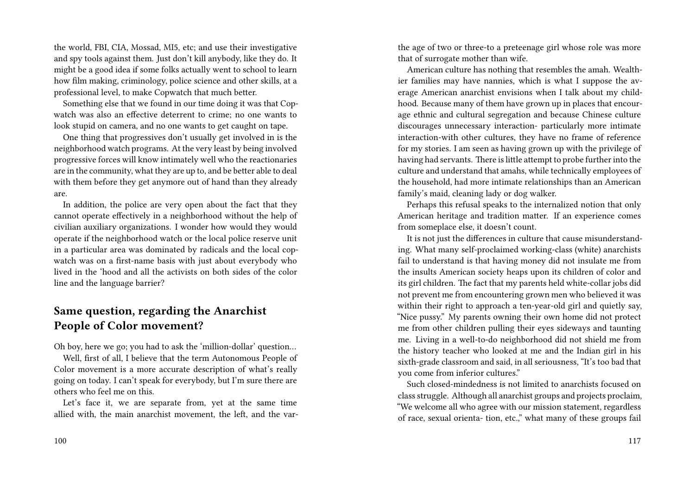the world, FBI, CIA, Mossad, MI5, etc; and use their investigative and spy tools against them. Just don't kill anybody, like they do. It might be a good idea if some folks actually went to school to learn how film making, criminology, police science and other skills, at a professional level, to make Copwatch that much better.

Something else that we found in our time doing it was that Copwatch was also an effective deterrent to crime; no one wants to look stupid on camera, and no one wants to get caught on tape.

One thing that progressives don't usually get involved in is the neighborhood watch programs. At the very least by being involved progressive forces will know intimately well who the reactionaries are in the community, what they are up to, and be better able to deal with them before they get anymore out of hand than they already are.

In addition, the police are very open about the fact that they cannot operate effectively in a neighborhood without the help of civilian auxiliary organizations. I wonder how would they would operate if the neighborhood watch or the local police reserve unit in a particular area was dominated by radicals and the local copwatch was on a first-name basis with just about everybody who lived in the 'hood and all the activists on both sides of the color line and the language barrier?

#### **Same question, regarding the Anarchist People of Color movement?**

Oh boy, here we go; you had to ask the 'million-dollar' question…

Well, first of all, I believe that the term Autonomous People of Color movement is a more accurate description of what's really going on today. I can't speak for everybody, but I'm sure there are others who feel me on this.

Let's face it, we are separate from, yet at the same time allied with, the main anarchist movement, the left, and the var-

the age of two or three-to a preteenage girl whose role was more that of surrogate mother than wife.

American culture has nothing that resembles the amah. Wealthier families may have nannies, which is what I suppose the average American anarchist envisions when I talk about my childhood. Because many of them have grown up in places that encourage ethnic and cultural segregation and because Chinese culture discourages unnecessary interaction- particularly more intimate interaction-with other cultures, they have no frame of reference for my stories. I am seen as having grown up with the privilege of having had servants. There is little attempt to probe further into the culture and understand that amahs, while technically employees of the household, had more intimate relationships than an American family's maid, cleaning lady or dog walker.

Perhaps this refusal speaks to the internalized notion that only American heritage and tradition matter. If an experience comes from someplace else, it doesn't count.

It is not just the differences in culture that cause misunderstanding. What many self-proclaimed working-class (white) anarchists fail to understand is that having money did not insulate me from the insults American society heaps upon its children of color and its girl children. The fact that my parents held white-collar jobs did not prevent me from encountering grown men who believed it was within their right to approach a ten-year-old girl and quietly say, "Nice pussy." My parents owning their own home did not protect me from other children pulling their eyes sideways and taunting me. Living in a well-to-do neighborhood did not shield me from the history teacher who looked at me and the Indian girl in his sixth-grade classroom and said, in all seriousness, "It's too bad that you come from inferior cultures."

Such closed-mindedness is not limited to anarchists focused on class struggle. Although all anarchist groups and projects proclaim, "We welcome all who agree with our mission statement, regardless of race, sexual orienta- tion, etc.," what many of these groups fail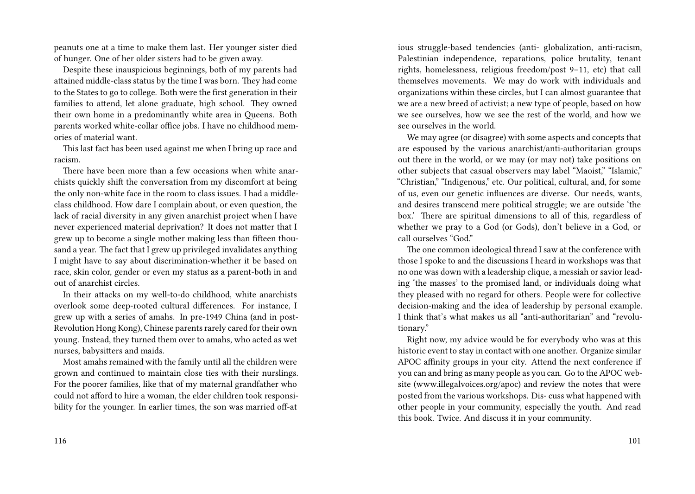peanuts one at a time to make them last. Her younger sister died of hunger. One of her older sisters had to be given away.

Despite these inauspicious beginnings, both of my parents had attained middle-class status by the time I was born. They had come to the States to go to college. Both were the first generation in their families to attend, let alone graduate, high school. They owned their own home in a predominantly white area in Queens. Both parents worked white-collar office jobs. I have no childhood memories of material want.

This last fact has been used against me when I bring up race and racism.

There have been more than a few occasions when white anarchists quickly shift the conversation from my discomfort at being the only non-white face in the room to class issues. I had a middleclass childhood. How dare I complain about, or even question, the lack of racial diversity in any given anarchist project when I have never experienced material deprivation? It does not matter that I grew up to become a single mother making less than fifteen thousand a year. The fact that I grew up privileged invalidates anything I might have to say about discrimination-whether it be based on race, skin color, gender or even my status as a parent-both in and out of anarchist circles.

In their attacks on my well-to-do childhood, white anarchists overlook some deep-rooted cultural differences. For instance, I grew up with a series of amahs. In pre-1949 China (and in post-Revolution Hong Kong), Chinese parents rarely cared for their own young. Instead, they turned them over to amahs, who acted as wet nurses, babysitters and maids.

Most amahs remained with the family until all the children were grown and continued to maintain close ties with their nurslings. For the poorer families, like that of my maternal grandfather who could not afford to hire a woman, the elder children took responsibility for the younger. In earlier times, the son was married off-at ious struggle-based tendencies (anti- globalization, anti-racism, Palestinian independence, reparations, police brutality, tenant rights, homelessness, religious freedom/post 9–11, etc) that call themselves movements. We may do work with individuals and organizations within these circles, but I can almost guarantee that we are a new breed of activist; a new type of people, based on how we see ourselves, how we see the rest of the world, and how we see ourselves in the world.

We may agree (or disagree) with some aspects and concepts that are espoused by the various anarchist/anti-authoritarian groups out there in the world, or we may (or may not) take positions on other subjects that casual observers may label "Maoist," "Islamic," "Christian," "Indigenous," etc. Our political, cultural, and, for some of us, even our genetic influences are diverse. Our needs, wants, and desires transcend mere political struggle; we are outside 'the box.' There are spiritual dimensions to all of this, regardless of whether we pray to a God (or Gods), don't believe in a God, or call ourselves "God."

The one common ideological thread I saw at the conference with those I spoke to and the discussions I heard in workshops was that no one was down with a leadership clique, a messiah or savior leading 'the masses' to the promised land, or individuals doing what they pleased with no regard for others. People were for collective decision-making and the idea of leadership by personal example. I think that's what makes us all "anti-authoritarian" and "revolutionary."

Right now, my advice would be for everybody who was at this historic event to stay in contact with one another. Organize similar APOC affinity groups in your city. Attend the next conference if you can and bring as many people as you can. Go to the APOC website (www.illegalvoices.org/apoc) and review the notes that were posted from the various workshops. Dis- cuss what happened with other people in your community, especially the youth. And read this book. Twice. And discuss it in your community.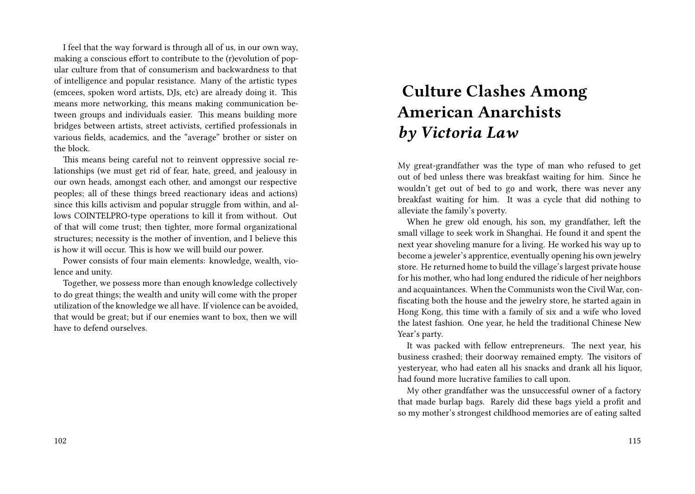I feel that the way forward is through all of us, in our own way, making a conscious effort to contribute to the (r)evolution of popular culture from that of consumerism and backwardness to that of intelligence and popular resistance. Many of the artistic types (emcees, spoken word artists, DJs, etc) are already doing it. This means more networking, this means making communication between groups and individuals easier. This means building more bridges between artists, street activists, certified professionals in various fields, academics, and the "average" brother or sister on the block.

This means being careful not to reinvent oppressive social relationships (we must get rid of fear, hate, greed, and jealousy in our own heads, amongst each other, and amongst our respective peoples; all of these things breed reactionary ideas and actions) since this kills activism and popular struggle from within, and allows COINTELPRO-type operations to kill it from without. Out of that will come trust; then tighter, more formal organizational structures; necessity is the mother of invention, and I believe this is how it will occur. This is how we will build our power.

Power consists of four main elements: knowledge, wealth, violence and unity.

Together, we possess more than enough knowledge collectively to do great things; the wealth and unity will come with the proper utilization of the knowledge we all have. If violence can be avoided, that would be great; but if our enemies want to box, then we will have to defend ourselves.

# **Culture Clashes Among American Anarchists** *by Victoria Law*

My great-grandfather was the type of man who refused to get out of bed unless there was breakfast waiting for him. Since he wouldn't get out of bed to go and work, there was never any breakfast waiting for him. It was a cycle that did nothing to alleviate the family's poverty.

When he grew old enough, his son, my grandfather, left the small village to seek work in Shanghai. He found it and spent the next year shoveling manure for a living. He worked his way up to become a jeweler's apprentice, eventually opening his own jewelry store. He returned home to build the village's largest private house for his mother, who had long endured the ridicule of her neighbors and acquaintances. When the Communists won the Civil War, confiscating both the house and the jewelry store, he started again in Hong Kong, this time with a family of six and a wife who loved the latest fashion. One year, he held the traditional Chinese New Year's party.

It was packed with fellow entrepreneurs. The next year, his business crashed; their doorway remained empty. The visitors of yesteryear, who had eaten all his snacks and drank all his liquor, had found more lucrative families to call upon.

My other grandfather was the unsuccessful owner of a factory that made burlap bags. Rarely did these bags yield a profit and so my mother's strongest childhood memories are of eating salted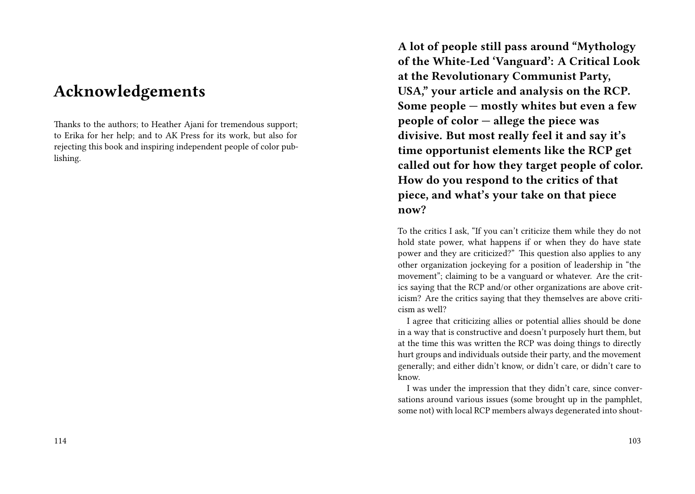# **Acknowledgements**

Thanks to the authors; to Heather Ajani for tremendous support; to Erika for her help; and to AK Press for its work, but also for rejecting this book and inspiring independent people of color publishing.

**A lot of people still pass around "Mythology of the White-Led 'Vanguard': A Critical Look at the Revolutionary Communist Party, USA," your article and analysis on the RCP. Some people — mostly whites but even a few people of color — allege the piece was divisive. But most really feel it and say it's time opportunist elements like the RCP get called out for how they target people of color. How do you respond to the critics of that piece, and what's your take on that piece now?**

To the critics I ask, "If you can't criticize them while they do not hold state power, what happens if or when they do have state power and they are criticized?" This question also applies to any other organization jockeying for a position of leadership in "the movement"; claiming to be a vanguard or whatever. Are the critics saying that the RCP and/or other organizations are above criticism? Are the critics saying that they themselves are above criticism as well?

I agree that criticizing allies or potential allies should be done in a way that is constructive and doesn't purposely hurt them, but at the time this was written the RCP was doing things to directly hurt groups and individuals outside their party, and the movement generally; and either didn't know, or didn't care, or didn't care to know.

I was under the impression that they didn't care, since conversations around various issues (some brought up in the pamphlet, some not) with local RCP members always degenerated into shout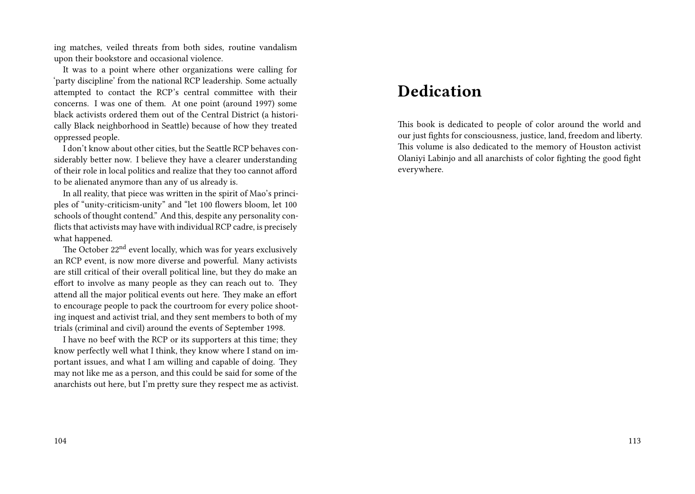ing matches, veiled threats from both sides, routine vandalism upon their bookstore and occasional violence.

It was to a point where other organizations were calling for 'party discipline' from the national RCP leadership. Some actually attempted to contact the RCP's central committee with their concerns. I was one of them. At one point (around 1997) some black activists ordered them out of the Central District (a historically Black neighborhood in Seattle) because of how they treated oppressed people.

I don't know about other cities, but the Seattle RCP behaves considerably better now. I believe they have a clearer understanding of their role in local politics and realize that they too cannot afford to be alienated anymore than any of us already is.

In all reality, that piece was written in the spirit of Mao's principles of "unity-criticism-unity" and "let 100 flowers bloom, let 100 schools of thought contend." And this, despite any personality conflicts that activists may have with individual RCP cadre, is precisely what happened.

The October 22<sup>nd</sup> event locally, which was for years exclusively an RCP event, is now more diverse and powerful. Many activists are still critical of their overall political line, but they do make an effort to involve as many people as they can reach out to. They attend all the major political events out here. They make an effort to encourage people to pack the courtroom for every police shooting inquest and activist trial, and they sent members to both of my trials (criminal and civil) around the events of September 1998.

I have no beef with the RCP or its supporters at this time; they know perfectly well what I think, they know where I stand on important issues, and what I am willing and capable of doing. They may not like me as a person, and this could be said for some of the anarchists out here, but I'm pretty sure they respect me as activist.

# **Dedication**

This book is dedicated to people of color around the world and our just fights for consciousness, justice, land, freedom and liberty. This volume is also dedicated to the memory of Houston activist Olaniyi Labinjo and all anarchists of color fighting the good fight everywhere.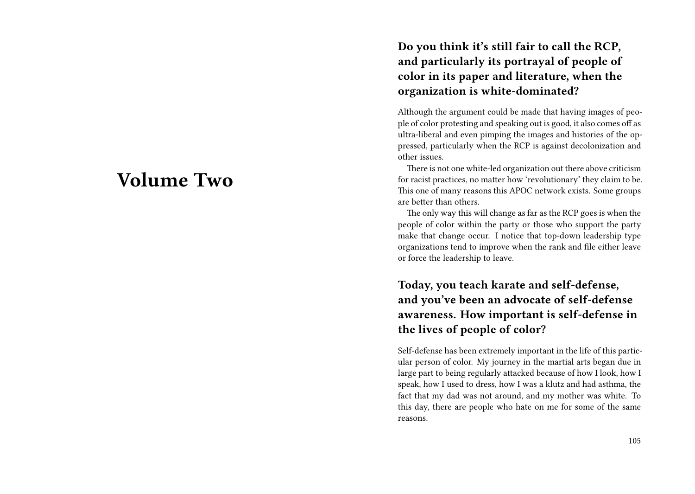# **Volume Two**

### **Do you think it's still fair to call the RCP, and particularly its portrayal of people of color in its paper and literature, when the organization is white-dominated?**

Although the argument could be made that having images of people of color protesting and speaking out is good, it also comes off as ultra-liberal and even pimping the images and histories of the oppressed, particularly when the RCP is against decolonization and other issues.

There is not one white-led organization out there above criticism for racist practices, no matter how 'revolutionary' they claim to be. This one of many reasons this APOC network exists. Some groups are better than others.

The only way this will change as far as the RCP goes is when the people of color within the party or those who support the party make that change occur. I notice that top-down leadership type organizations tend to improve when the rank and file either leave or force the leadership to leave.

### **Today, you teach karate and self-defense, and you've been an advocate of self-defense awareness. How important is self-defense in the lives of people of color?**

Self-defense has been extremely important in the life of this particular person of color. My journey in the martial arts began due in large part to being regularly attacked because of how I look, how I speak, how I used to dress, how I was a klutz and had asthma, the fact that my dad was not around, and my mother was white. To this day, there are people who hate on me for some of the same reasons.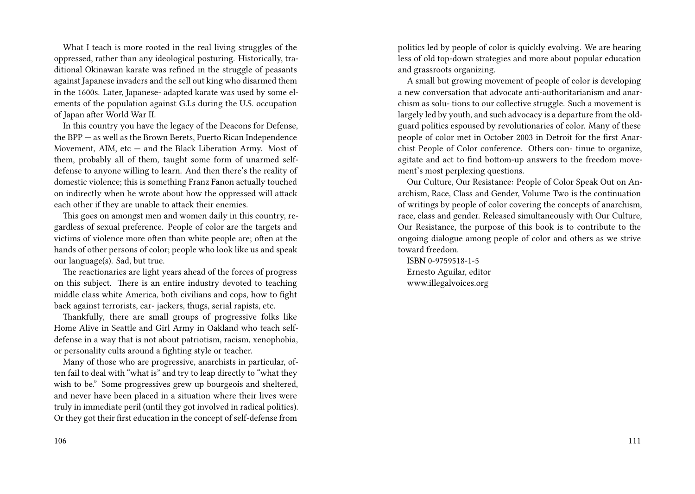What I teach is more rooted in the real living struggles of the oppressed, rather than any ideological posturing. Historically, traditional Okinawan karate was refined in the struggle of peasants against Japanese invaders and the sell out king who disarmed them in the 1600s. Later, Japanese- adapted karate was used by some elements of the population against G.I.s during the U.S. occupation of Japan after World War II.

In this country you have the legacy of the Deacons for Defense, the BPP — as well as the Brown Berets, Puerto Rican Independence Movement, AIM,  $etc -$  and the Black Liberation Army. Most of them, probably all of them, taught some form of unarmed selfdefense to anyone willing to learn. And then there's the reality of domestic violence; this is something Franz Fanon actually touched on indirectly when he wrote about how the oppressed will attack each other if they are unable to attack their enemies.

This goes on amongst men and women daily in this country, regardless of sexual preference. People of color are the targets and victims of violence more often than white people are; often at the hands of other persons of color; people who look like us and speak our language(s). Sad, but true.

The reactionaries are light years ahead of the forces of progress on this subject. There is an entire industry devoted to teaching middle class white America, both civilians and cops, how to fight back against terrorists, car- jackers, thugs, serial rapists, etc.

Thankfully, there are small groups of progressive folks like Home Alive in Seattle and Girl Army in Oakland who teach selfdefense in a way that is not about patriotism, racism, xenophobia, or personality cults around a fighting style or teacher.

Many of those who are progressive, anarchists in particular, often fail to deal with "what is" and try to leap directly to "what they wish to be." Some progressives grew up bourgeois and sheltered, and never have been placed in a situation where their lives were truly in immediate peril (until they got involved in radical politics). Or they got their first education in the concept of self-defense from

106

politics led by people of color is quickly evolving. We are hearing less of old top-down strategies and more about popular education and grassroots organizing.

A small but growing movement of people of color is developing a new conversation that advocate anti-authoritarianism and anarchism as solu- tions to our collective struggle. Such a movement is largely led by youth, and such advocacy is a departure from the oldguard politics espoused by revolutionaries of color. Many of these people of color met in October 2003 in Detroit for the first Anarchist People of Color conference. Others con- tinue to organize, agitate and act to find bottom-up answers to the freedom movement's most perplexing questions.

Our Culture, Our Resistance: People of Color Speak Out on Anarchism, Race, Class and Gender, Volume Two is the continuation of writings by people of color covering the concepts of anarchism, race, class and gender. Released simultaneously with Our Culture, Our Resistance, the purpose of this book is to contribute to the ongoing dialogue among people of color and others as we strive toward freedom.

ISBN 0-9759518-1-5 Ernesto Aguilar, editor www.illegalvoices.org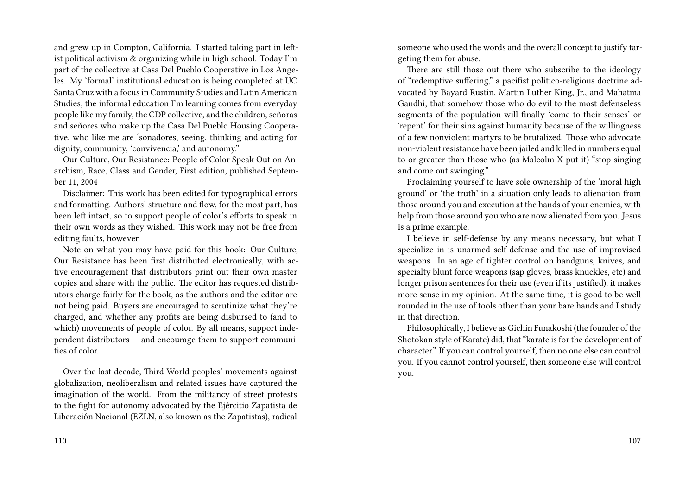and grew up in Compton, California. I started taking part in leftist political activism & organizing while in high school. Today I'm part of the collective at Casa Del Pueblo Cooperative in Los Angeles. My 'formal' institutional education is being completed at UC Santa Cruz with a focus in Community Studies and Latin American Studies; the informal education I'm learning comes from everyday people like my family, the CDP collective, and the children, señoras and señores who make up the Casa Del Pueblo Housing Cooperative, who like me are 'soñadores, seeing, thinking and acting for dignity, community, 'convivencia,' and autonomy."

Our Culture, Our Resistance: People of Color Speak Out on Anarchism, Race, Class and Gender, First edition, published September 11, 2004

Disclaimer: This work has been edited for typographical errors and formatting. Authors' structure and flow, for the most part, has been left intact, so to support people of color's efforts to speak in their own words as they wished. This work may not be free from editing faults, however.

Note on what you may have paid for this book: Our Culture, Our Resistance has been first distributed electronically, with active encouragement that distributors print out their own master copies and share with the public. The editor has requested distributors charge fairly for the book, as the authors and the editor are not being paid. Buyers are encouraged to scrutinize what they're charged, and whether any profits are being disbursed to (and to which) movements of people of color. By all means, support independent distributors — and encourage them to support communities of color.

Over the last decade, Third World peoples' movements against globalization, neoliberalism and related issues have captured the imagination of the world. From the militancy of street protests to the fight for autonomy advocated by the Ejércitio Zapatista de Liberación Nacional (EZLN, also known as the Zapatistas), radical someone who used the words and the overall concept to justify targeting them for abuse.

There are still those out there who subscribe to the ideology of "redemptive suffering," a pacifist politico-religious doctrine advocated by Bayard Rustin, Martin Luther King, Jr., and Mahatma Gandhi; that somehow those who do evil to the most defenseless segments of the population will finally 'come to their senses' or 'repent' for their sins against humanity because of the willingness of a few nonviolent martyrs to be brutalized. Those who advocate non-violent resistance have been jailed and killed in numbers equal to or greater than those who (as Malcolm X put it) "stop singing and come out swinging."

Proclaiming yourself to have sole ownership of the 'moral high ground' or 'the truth' in a situation only leads to alienation from those around you and execution at the hands of your enemies, with help from those around you who are now alienated from you. Jesus is a prime example.

I believe in self-defense by any means necessary, but what I specialize in is unarmed self-defense and the use of improvised weapons. In an age of tighter control on handguns, knives, and specialty blunt force weapons (sap gloves, brass knuckles, etc) and longer prison sentences for their use (even if its justified), it makes more sense in my opinion. At the same time, it is good to be well rounded in the use of tools other than your bare hands and I study in that direction.

Philosophically, I believe as Gichin Funakoshi (the founder of the Shotokan style of Karate) did, that "karate is for the development of character." If you can control yourself, then no one else can control you. If you cannot control yourself, then someone else will control you.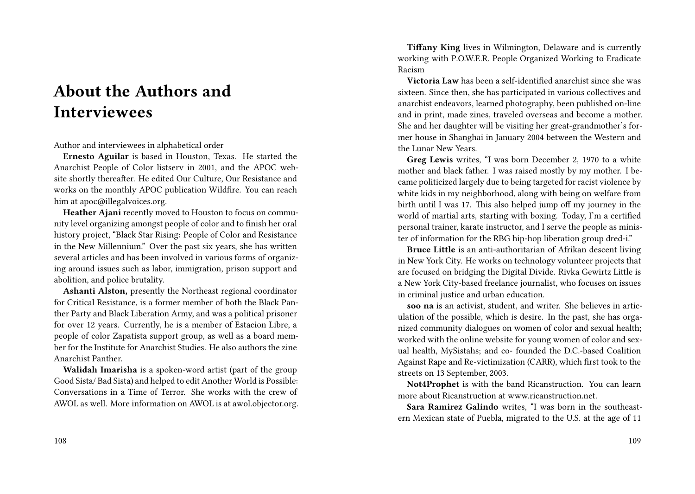# **About the Authors and Interviewees**

#### Author and interviewees in alphabetical order

**Ernesto Aguilar** is based in Houston, Texas. He started the Anarchist People of Color listserv in 2001, and the APOC website shortly thereafter. He edited Our Culture, Our Resistance and works on the monthly APOC publication Wildfire. You can reach him at apoc@illegalvoices.org.

**Heather Ajani** recently moved to Houston to focus on community level organizing amongst people of color and to finish her oral history project, "Black Star Rising: People of Color and Resistance in the New Millennium." Over the past six years, she has written several articles and has been involved in various forms of organizing around issues such as labor, immigration, prison support and abolition, and police brutality.

**Ashanti Alston,** presently the Northeast regional coordinator for Critical Resistance, is a former member of both the Black Panther Party and Black Liberation Army, and was a political prisoner for over 12 years. Currently, he is a member of Estacion Libre, a people of color Zapatista support group, as well as a board member for the Institute for Anarchist Studies. He also authors the zine Anarchist Panther.

**Walidah Imarisha** is a spoken-word artist (part of the group Good Sista/ Bad Sista) and helped to edit Another World is Possible: Conversations in a Time of Terror. She works with the crew of AWOL as well. More information on AWOL is at awol.objector.org.

**Tiffany King** lives in Wilmington, Delaware and is currently working with P.O.W.E.R. People Organized Working to Eradicate Racism

**Victoria Law** has been a self-identified anarchist since she was sixteen. Since then, she has participated in various collectives and anarchist endeavors, learned photography, been published on-line and in print, made zines, traveled overseas and become a mother. She and her daughter will be visiting her great-grandmother's former house in Shanghai in January 2004 between the Western and the Lunar New Years.

**Greg Lewis** writes, "I was born December 2, 1970 to a white mother and black father. I was raised mostly by my mother. I became politicized largely due to being targeted for racist violence by white kids in my neighborhood, along with being on welfare from birth until I was 17. This also helped jump off my journey in the world of martial arts, starting with boxing. Today, I'm a certified personal trainer, karate instructor, and I serve the people as minister of information for the RBG hip-hop liberation group dred-i."

**Bruce Little** is an anti-authoritarian of Afrikan descent living in New York City. He works on technology volunteer projects that are focused on bridging the Digital Divide. Rivka Gewirtz Little is a New York City-based freelance journalist, who focuses on issues in criminal justice and urban education.

**soo na** is an activist, student, and writer. She believes in articulation of the possible, which is desire. In the past, she has organized community dialogues on women of color and sexual health; worked with the online website for young women of color and sexual health, MySistahs; and co- founded the D.C.-based Coalition Against Rape and Re-victimization (CARR), which first took to the streets on 13 September, 2003.

**Not4Prophet** is with the band Ricanstruction. You can learn more about Ricanstruction at www.ricanstruction.net.

**Sara Ramirez Galindo** writes, "I was born in the southeastern Mexican state of Puebla, migrated to the U.S. at the age of 11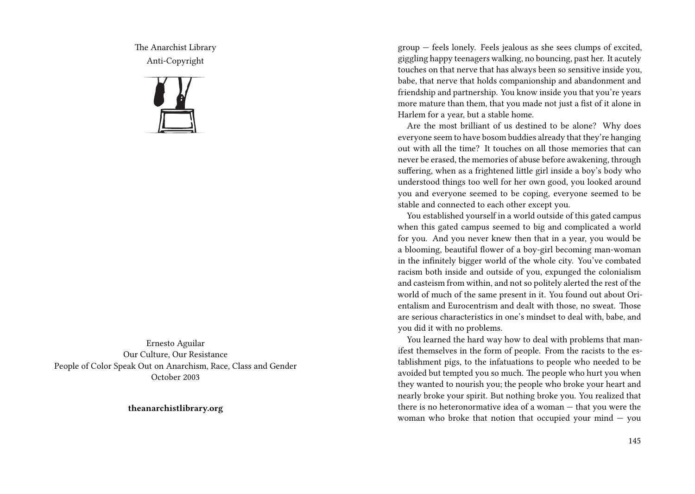The Anarchist Library Anti-Copyright



Ernesto Aguilar Our Culture, Our Resistance People of Color Speak Out on Anarchism, Race, Class and Gender October 2003

**theanarchistlibrary.org**

group — feels lonely. Feels jealous as she sees clumps of excited, giggling happy teenagers walking, no bouncing, past her. It acutely touches on that nerve that has always been so sensitive inside you, babe, that nerve that holds companionship and abandonment and friendship and partnership. You know inside you that you're years more mature than them, that you made not just a fist of it alone in Harlem for a year, but a stable home.

Are the most brilliant of us destined to be alone? Why does everyone seem to have bosom buddies already that they're hanging out with all the time? It touches on all those memories that can never be erased, the memories of abuse before awakening, through suffering, when as a frightened little girl inside a boy's body who understood things too well for her own good, you looked around you and everyone seemed to be coping, everyone seemed to be stable and connected to each other except you.

You established yourself in a world outside of this gated campus when this gated campus seemed to big and complicated a world for you. And you never knew then that in a year, you would be a blooming, beautiful flower of a boy-girl becoming man-woman in the infinitely bigger world of the whole city. You've combated racism both inside and outside of you, expunged the colonialism and casteism from within, and not so politely alerted the rest of the world of much of the same present in it. You found out about Orientalism and Eurocentrism and dealt with those, no sweat. Those are serious characteristics in one's mindset to deal with, babe, and you did it with no problems.

You learned the hard way how to deal with problems that manifest themselves in the form of people. From the racists to the establishment pigs, to the infatuations to people who needed to be avoided but tempted you so much. The people who hurt you when they wanted to nourish you; the people who broke your heart and nearly broke your spirit. But nothing broke you. You realized that there is no heteronormative idea of a woman — that you were the woman who broke that notion that occupied your mind  $-$  you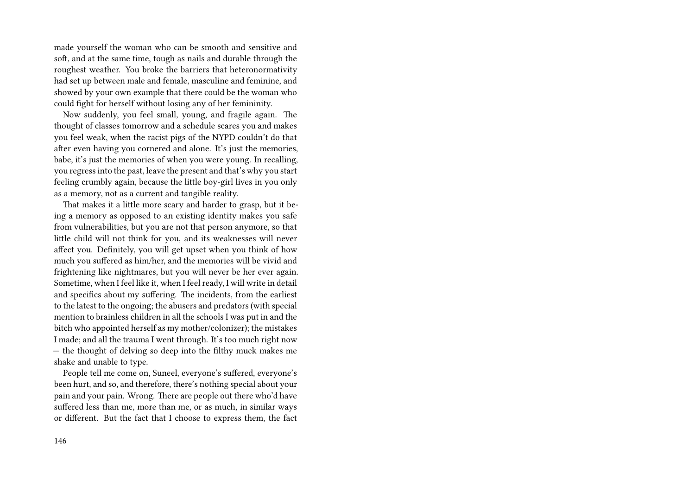made yourself the woman who can be smooth and sensitive and soft, and at the same time, tough as nails and durable through the roughest weather. You broke the barriers that heteronormativity had set up between male and female, masculine and feminine, and showed by your own example that there could be the woman who could fight for herself without losing any of her femininity.

Now suddenly, you feel small, young, and fragile again. The thought of classes tomorrow and a schedule scares you and makes you feel weak, when the racist pigs of the NYPD couldn't do that after even having you cornered and alone. It's just the memories, babe, it's just the memories of when you were young. In recalling, you regress into the past, leave the present and that's why you start feeling crumbly again, because the little boy-girl lives in you only as a memory, not as a current and tangible reality.

That makes it a little more scary and harder to grasp, but it being a memory as opposed to an existing identity makes you safe from vulnerabilities, but you are not that person anymore, so that little child will not think for you, and its weaknesses will never affect you. Definitely, you will get upset when you think of how much you suffered as him/her, and the memories will be vivid and frightening like nightmares, but you will never be her ever again. Sometime, when I feel like it, when I feel ready, I will write in detail and specifics about my suffering. The incidents, from the earliest to the latest to the ongoing; the abusers and predators (with special mention to brainless children in all the schools I was put in and the bitch who appointed herself as my mother/colonizer); the mistakes I made; and all the trauma I went through. It's too much right now — the thought of delving so deep into the filthy muck makes me shake and unable to type.

People tell me come on, Suneel, everyone's suffered, everyone's been hurt, and so, and therefore, there's nothing special about your pain and your pain. Wrong. There are people out there who'd have suffered less than me, more than me, or as much, in similar ways or different. But the fact that I choose to express them, the fact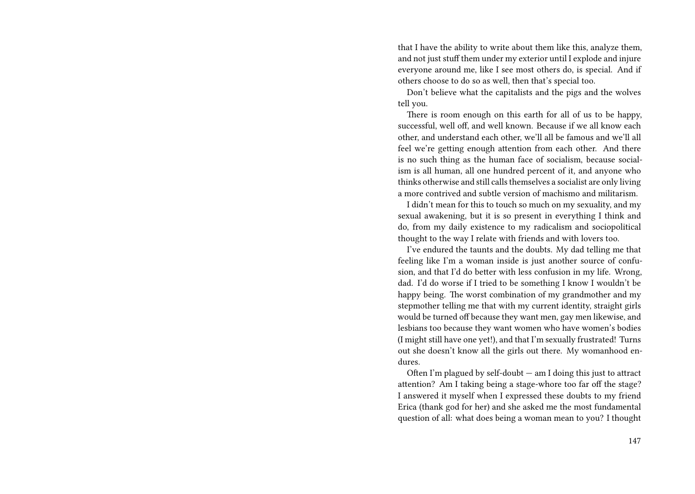that I have the ability to write about them like this, analyze them, and not just stuff them under my exterior until I explode and injure everyone around me, like I see most others do, is special. And if others choose to do so as well, then that's special too.

Don't believe what the capitalists and the pigs and the wolves tell you.

There is room enough on this earth for all of us to be happy, successful, well off, and well known. Because if we all know each other, and understand each other, we'll all be famous and we'll all feel we're getting enough attention from each other. And there is no such thing as the human face of socialism, because socialism is all human, all one hundred percent of it, and anyone who thinks otherwise and still calls themselves a socialist are only living a more contrived and subtle version of machismo and militarism.

I didn't mean for this to touch so much on my sexuality, and my sexual awakening, but it is so present in everything I think and do, from my daily existence to my radicalism and sociopolitical thought to the way I relate with friends and with lovers too.

I've endured the taunts and the doubts. My dad telling me that feeling like I'm a woman inside is just another source of confusion, and that I'd do better with less confusion in my life. Wrong, dad. I'd do worse if I tried to be something I know I wouldn't be happy being. The worst combination of my grandmother and my stepmother telling me that with my current identity, straight girls would be turned off because they want men, gay men likewise, and lesbians too because they want women who have women's bodies (I might still have one yet!), and that I'm sexually frustrated! Turns out she doesn't know all the girls out there. My womanhood endures.

Often I'm plagued by self-doubt  $-$  am I doing this just to attract attention? Am I taking being a stage-whore too far off the stage? I answered it myself when I expressed these doubts to my friend Erica (thank god for her) and she asked me the most fundamental question of all: what does being a woman mean to you? I thought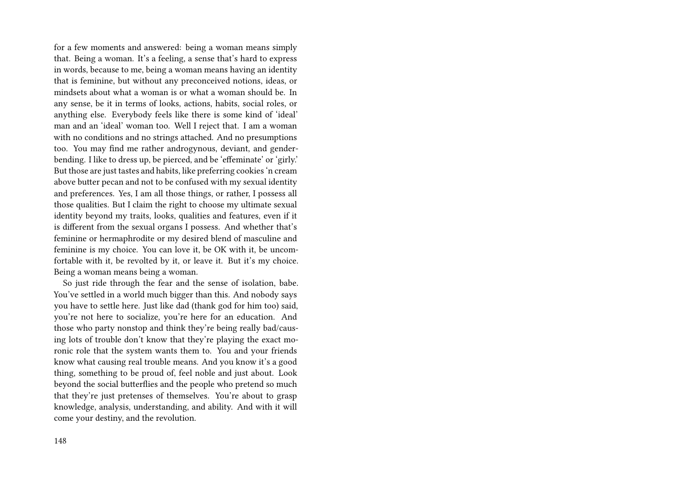for a few moments and answered: being a woman means simply that. Being a woman. It's a feeling, a sense that's hard to express in words, because to me, being a woman means having an identity that is feminine, but without any preconceived notions, ideas, or mindsets about what a woman is or what a woman should be. In any sense, be it in terms of looks, actions, habits, social roles, or anything else. Everybody feels like there is some kind of 'ideal' man and an 'ideal' woman too. Well I reject that. I am a woman with no conditions and no strings attached. And no presumptions too. You may find me rather androgynous, deviant, and genderbending. I like to dress up, be pierced, and be 'effeminate' or 'girly.' But those are just tastes and habits, like preferring cookies 'n cream above butter pecan and not to be confused with my sexual identity and preferences. Yes, I am all those things, or rather, I possess all those qualities. But I claim the right to choose my ultimate sexual identity beyond my traits, looks, qualities and features, even if it is different from the sexual organs I possess. And whether that's feminine or hermaphrodite or my desired blend of masculine and feminine is my choice. You can love it, be OK with it, be uncomfortable with it, be revolted by it, or leave it. But it's my choice. Being a woman means being a woman.

So just ride through the fear and the sense of isolation, babe. You've settled in a world much bigger than this. And nobody says you have to settle here. Just like dad (thank god for him too) said, you're not here to socialize, you're here for an education. And those who party nonstop and think they're being really bad/causing lots of trouble don't know that they're playing the exact moronic role that the system wants them to. You and your friends know what causing real trouble means. And you know it's a good thing, something to be proud of, feel noble and just about. Look beyond the social butterflies and the people who pretend so much that they're just pretenses of themselves. You're about to grasp knowledge, analysis, understanding, and ability. And with it will come your destiny, and the revolution.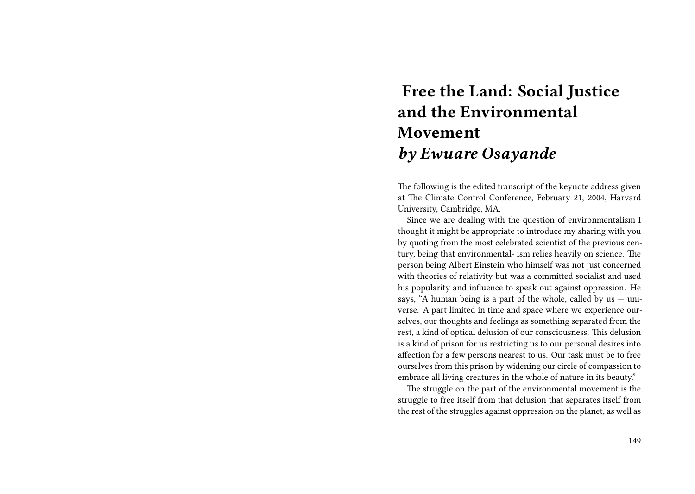# **Free the Land: Social Justice and the Environmental Movement** *by Ewuare Osayande*

The following is the edited transcript of the keynote address given at The Climate Control Conference, February 21, 2004, Harvard University, Cambridge, MA.

Since we are dealing with the question of environmentalism I thought it might be appropriate to introduce my sharing with you by quoting from the most celebrated scientist of the previous century, being that environmental- ism relies heavily on science. The person being Albert Einstein who himself was not just concerned with theories of relativity but was a committed socialist and used his popularity and influence to speak out against oppression. He says, "A human being is a part of the whole, called by  $us - uni$ verse. A part limited in time and space where we experience ourselves, our thoughts and feelings as something separated from the rest, a kind of optical delusion of our consciousness. This delusion is a kind of prison for us restricting us to our personal desires into affection for a few persons nearest to us. Our task must be to free ourselves from this prison by widening our circle of compassion to embrace all living creatures in the whole of nature in its beauty."

The struggle on the part of the environmental movement is the struggle to free itself from that delusion that separates itself from the rest of the struggles against oppression on the planet, as well as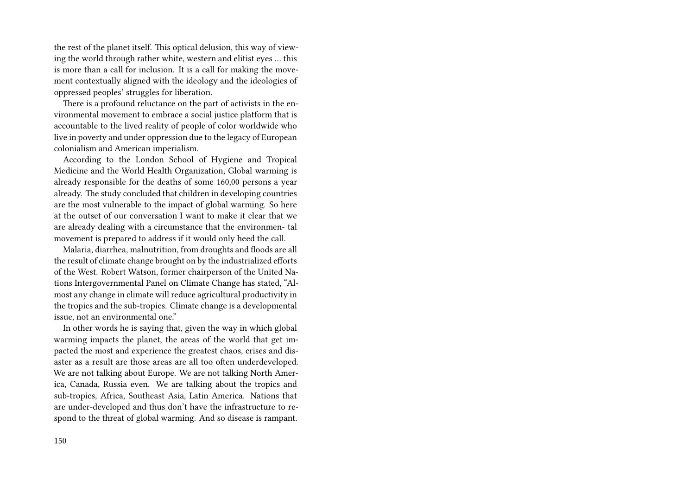the rest of the planet itself. This optical delusion, this way of viewing the world through rather white, western and elitist eyes … this is more than a call for inclusion. It is a call for making the movement contextually aligned with the ideology and the ideologies of oppressed peoples' struggles for liberation.

There is a profound reluctance on the part of activists in the environmental movement to embrace a social justice platform that is accountable to the lived reality of people of color worldwide who live in poverty and under oppression due to the legacy of European colonialism and American imperialism.

According to the London School of Hygiene and Tropical Medicine and the World Health Organization, Global warming is already responsible for the deaths of some 160,00 persons a year already. The study concluded that children in developing countries are the most vulnerable to the impact of global warming. So here at the outset of our conversation I want to make it clear that we are already dealing with a circumstance that the environmen- tal movement is prepared to address if it would only heed the call.

Malaria, diarrhea, malnutrition, from droughts and floods are all the result of climate change brought on by the industrialized efforts of the West. Robert Watson, former chairperson of the United Nations Intergovernmental Panel on Climate Change has stated, "Almost any change in climate will reduce agricultural productivity in the tropics and the sub-tropics. Climate change is a developmental issue, not an environmental one."

In other words he is saying that, given the way in which global warming impacts the planet, the areas of the world that get impacted the most and experience the greatest chaos, crises and disaster as a result are those areas are all too often underdeveloped. We are not talking about Europe. We are not talking North America, Canada, Russia even. We are talking about the tropics and sub-tropics, Africa, Southeast Asia, Latin America. Nations that are under-developed and thus don't have the infrastructure to respond to the threat of global warming. And so disease is rampant.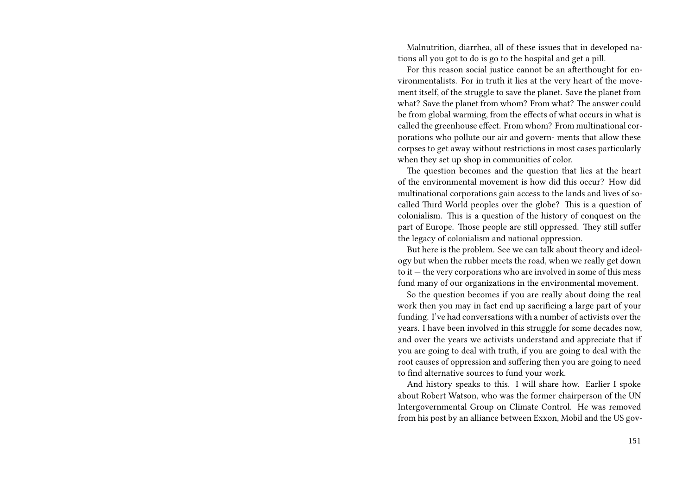Malnutrition, diarrhea, all of these issues that in developed nations all you got to do is go to the hospital and get a pill.

For this reason social justice cannot be an afterthought for environmentalists. For in truth it lies at the very heart of the movement itself, of the struggle to save the planet. Save the planet from what? Save the planet from whom? From what? The answer could be from global warming, from the effects of what occurs in what is called the greenhouse effect. From whom? From multinational corporations who pollute our air and govern- ments that allow these corpses to get away without restrictions in most cases particularly when they set up shop in communities of color.

The question becomes and the question that lies at the heart of the environmental movement is how did this occur? How did multinational corporations gain access to the lands and lives of socalled Third World peoples over the globe? This is a question of colonialism. This is a question of the history of conquest on the part of Europe. Those people are still oppressed. They still suffer the legacy of colonialism and national oppression.

But here is the problem. See we can talk about theory and ideology but when the rubber meets the road, when we really get down to it  $-$  the very corporations who are involved in some of this mess fund many of our organizations in the environmental movement.

So the question becomes if you are really about doing the real work then you may in fact end up sacrificing a large part of your funding. I've had conversations with a number of activists over the years. I have been involved in this struggle for some decades now, and over the years we activists understand and appreciate that if you are going to deal with truth, if you are going to deal with the root causes of oppression and suffering then you are going to need to find alternative sources to fund your work.

And history speaks to this. I will share how. Earlier I spoke about Robert Watson, who was the former chairperson of the UN Intergovernmental Group on Climate Control. He was removed from his post by an alliance between Exxon, Mobil and the US gov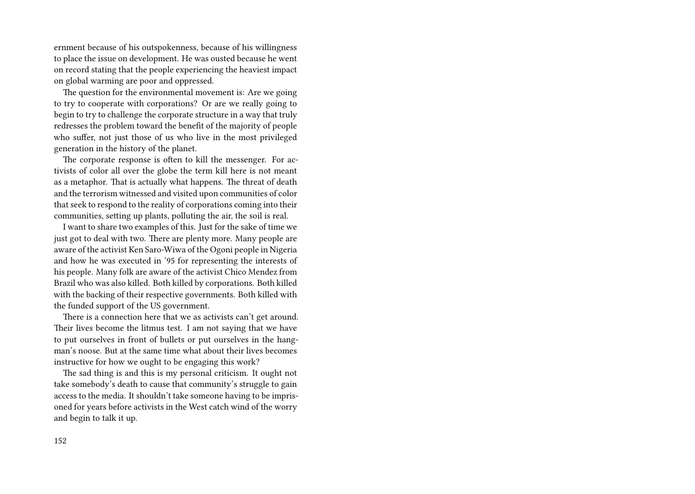ernment because of his outspokenness, because of his willingness to place the issue on development. He was ousted because he went on record stating that the people experiencing the heaviest impact on global warming are poor and oppressed.

The question for the environmental movement is: Are we going to try to cooperate with corporations? Or are we really going to begin to try to challenge the corporate structure in a way that truly redresses the problem toward the benefit of the majority of people who suffer, not just those of us who live in the most privileged generation in the history of the planet.

The corporate response is often to kill the messenger. For activists of color all over the globe the term kill here is not meant as a metaphor. That is actually what happens. The threat of death and the terrorism witnessed and visited upon communities of color that seek to respond to the reality of corporations coming into their communities, setting up plants, polluting the air, the soil is real.

I want to share two examples of this. Just for the sake of time we just got to deal with two. There are plenty more. Many people are aware of the activist Ken Saro-Wiwa of the Ogoni people in Nigeria and how he was executed in '95 for representing the interests of his people. Many folk are aware of the activist Chico Mendez from Brazil who was also killed. Both killed by corporations. Both killed with the backing of their respective governments. Both killed with the funded support of the US government.

There is a connection here that we as activists can't get around. Their lives become the litmus test. I am not saying that we have to put ourselves in front of bullets or put ourselves in the hangman's noose. But at the same time what about their lives becomes instructive for how we ought to be engaging this work?

The sad thing is and this is my personal criticism. It ought not take somebody's death to cause that community's struggle to gain access to the media. It shouldn't take someone having to be imprisoned for years before activists in the West catch wind of the worry and begin to talk it up.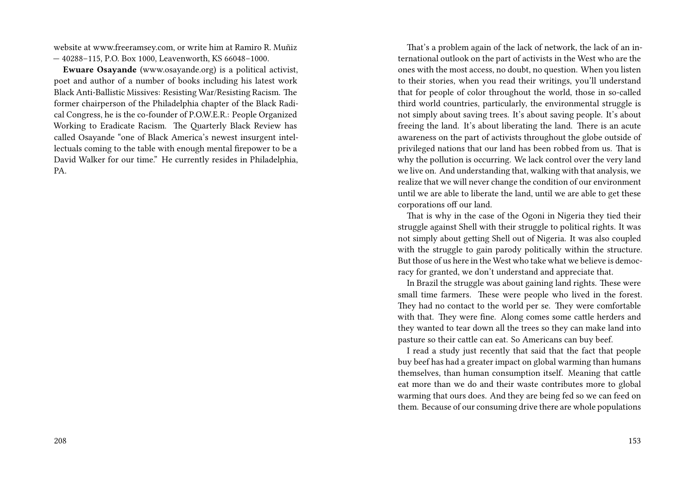website at www.freeramsey.com, or write him at Ramiro R. Muñiz — 40288–115, P.O. Box 1000, Leavenworth, KS 66048–1000.

**Ewuare Osayande** (www.osayande.org) is a political activist, poet and author of a number of books including his latest work Black Anti-Ballistic Missives: Resisting War/Resisting Racism. The former chairperson of the Philadelphia chapter of the Black Radical Congress, he is the co-founder of P.O.W.E.R.: People Organized Working to Eradicate Racism. The Quarterly Black Review has called Osayande "one of Black America's newest insurgent intellectuals coming to the table with enough mental firepower to be a David Walker for our time." He currently resides in Philadelphia, PA.

That's a problem again of the lack of network, the lack of an international outlook on the part of activists in the West who are the ones with the most access, no doubt, no question. When you listen to their stories, when you read their writings, you'll understand that for people of color throughout the world, those in so-called third world countries, particularly, the environmental struggle is not simply about saving trees. It's about saving people. It's about freeing the land. It's about liberating the land. There is an acute awareness on the part of activists throughout the globe outside of privileged nations that our land has been robbed from us. That is why the pollution is occurring. We lack control over the very land we live on. And understanding that, walking with that analysis, we realize that we will never change the condition of our environment until we are able to liberate the land, until we are able to get these corporations off our land.

That is why in the case of the Ogoni in Nigeria they tied their struggle against Shell with their struggle to political rights. It was not simply about getting Shell out of Nigeria. It was also coupled with the struggle to gain parody politically within the structure. But those of us here in the West who take what we believe is democracy for granted, we don't understand and appreciate that.

In Brazil the struggle was about gaining land rights. These were small time farmers. These were people who lived in the forest. They had no contact to the world per se. They were comfortable with that. They were fine. Along comes some cattle herders and they wanted to tear down all the trees so they can make land into pasture so their cattle can eat. So Americans can buy beef.

I read a study just recently that said that the fact that people buy beef has had a greater impact on global warming than humans themselves, than human consumption itself. Meaning that cattle eat more than we do and their waste contributes more to global warming that ours does. And they are being fed so we can feed on them. Because of our consuming drive there are whole populations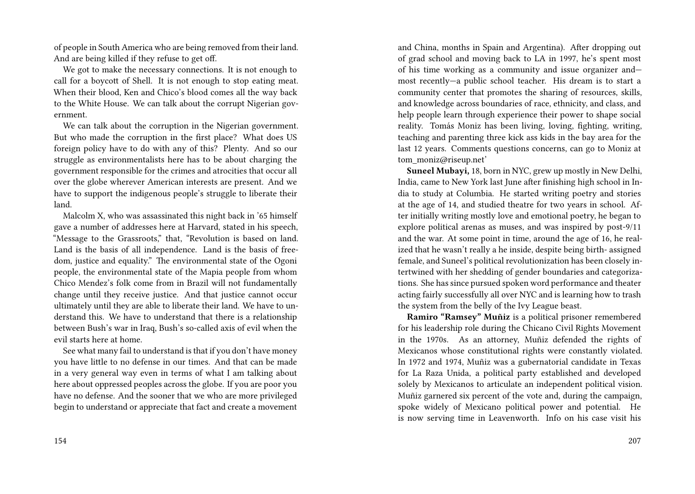of people in South America who are being removed from their land. And are being killed if they refuse to get off.

We got to make the necessary connections. It is not enough to call for a boycott of Shell. It is not enough to stop eating meat. When their blood, Ken and Chico's blood comes all the way back to the White House. We can talk about the corrupt Nigerian government.

We can talk about the corruption in the Nigerian government. But who made the corruption in the first place? What does US foreign policy have to do with any of this? Plenty. And so our struggle as environmentalists here has to be about charging the government responsible for the crimes and atrocities that occur all over the globe wherever American interests are present. And we have to support the indigenous people's struggle to liberate their land.

Malcolm X, who was assassinated this night back in '65 himself gave a number of addresses here at Harvard, stated in his speech, "Message to the Grassroots," that, "Revolution is based on land. Land is the basis of all independence. Land is the basis of freedom, justice and equality." The environmental state of the Ogoni people, the environmental state of the Mapia people from whom Chico Mendez's folk come from in Brazil will not fundamentally change until they receive justice. And that justice cannot occur ultimately until they are able to liberate their land. We have to understand this. We have to understand that there is a relationship between Bush's war in Iraq, Bush's so-called axis of evil when the evil starts here at home.

See what many fail to understand is that if you don't have money you have little to no defense in our times. And that can be made in a very general way even in terms of what I am talking about here about oppressed peoples across the globe. If you are poor you have no defense. And the sooner that we who are more privileged begin to understand or appreciate that fact and create a movement and China, months in Spain and Argentina). After dropping out of grad school and moving back to LA in 1997, he's spent most of his time working as a community and issue organizer and most recently—a public school teacher. His dream is to start a community center that promotes the sharing of resources, skills, and knowledge across boundaries of race, ethnicity, and class, and help people learn through experience their power to shape social reality. Tomás Moniz has been living, loving, fighting, writing, teaching and parenting three kick ass kids in the bay area for the last 12 years. Comments questions concerns, can go to Moniz at tom\_moniz@riseup.net'

**Suneel Mubayi,** 18, born in NYC, grew up mostly in New Delhi, India, came to New York last June after finishing high school in India to study at Columbia. He started writing poetry and stories at the age of 14, and studied theatre for two years in school. After initially writing mostly love and emotional poetry, he began to explore political arenas as muses, and was inspired by post-9/11 and the war. At some point in time, around the age of 16, he realized that he wasn't really a he inside, despite being birth- assigned female, and Suneel's political revolutionization has been closely intertwined with her shedding of gender boundaries and categorizations. She has since pursued spoken word performance and theater acting fairly successfully all over NYC and is learning how to trash the system from the belly of the Ivy League beast.

**Ramiro "Ramsey" Muñiz** is a political prisoner remembered for his leadership role during the Chicano Civil Rights Movement in the 1970s. As an attorney, Muñiz defended the rights of Mexicanos whose constitutional rights were constantly violated. In 1972 and 1974, Muñiz was a gubernatorial candidate in Texas for La Raza Unida, a political party established and developed solely by Mexicanos to articulate an independent political vision. Muñiz garnered six percent of the vote and, during the campaign, spoke widely of Mexicano political power and potential. He is now serving time in Leavenworth. Info on his case visit his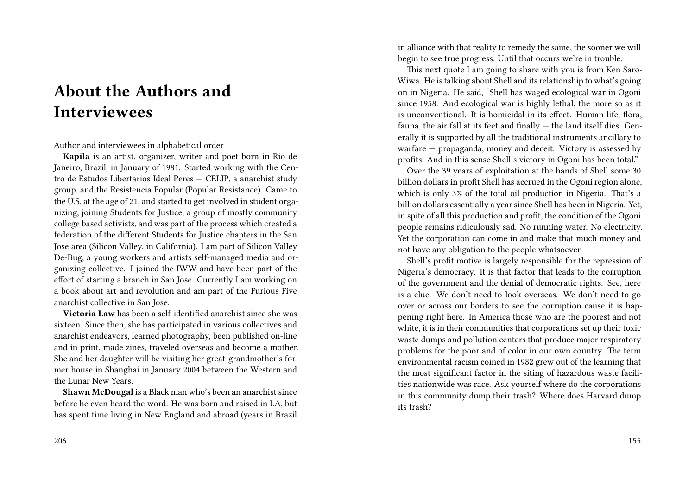## **About the Authors and Interviewees**

Author and interviewees in alphabetical order

**Kapila** is an artist, organizer, writer and poet born in Rio de Janeiro, Brazil, in January of 1981. Started working with the Centro de Estudos Libertarios Ideal Peres — CELIP, a anarchist study group, and the Resistencia Popular (Popular Resistance). Came to the U.S. at the age of 21, and started to get involved in student organizing, joining Students for Justice, a group of mostly community college based activists, and was part of the process which created a federation of the different Students for Justice chapters in the San Jose area (Silicon Valley, in California). I am part of Silicon Valley De-Bug, a young workers and artists self-managed media and organizing collective. I joined the IWW and have been part of the effort of starting a branch in San Jose. Currently I am working on a book about art and revolution and am part of the Furious Five anarchist collective in San Jose.

**Victoria Law** has been a self-identified anarchist since she was sixteen. Since then, she has participated in various collectives and anarchist endeavors, learned photography, been published on-line and in print, made zines, traveled overseas and become a mother. She and her daughter will be visiting her great-grandmother's former house in Shanghai in January 2004 between the Western and the Lunar New Years.

**Shawn McDougal** is a Black man who's been an anarchist since before he even heard the word. He was born and raised in LA, but has spent time living in New England and abroad (years in Brazil

in alliance with that reality to remedy the same, the sooner we will begin to see true progress. Until that occurs we're in trouble.

This next quote I am going to share with you is from Ken Saro-Wiwa. He is talking about Shell and its relationship to what's going on in Nigeria. He said, "Shell has waged ecological war in Ogoni since 1958. And ecological war is highly lethal, the more so as it is unconventional. It is homicidal in its effect. Human life, flora, fauna, the air fall at its feet and finally — the land itself dies. Generally it is supported by all the traditional instruments ancillary to warfare — propaganda, money and deceit. Victory is assessed by profits. And in this sense Shell's victory in Ogoni has been total."

Over the 39 years of exploitation at the hands of Shell some 30 billion dollars in profit Shell has accrued in the Ogoni region alone, which is only 3% of the total oil production in Nigeria. That's a billion dollars essentially a year since Shell has been in Nigeria. Yet, in spite of all this production and profit, the condition of the Ogoni people remains ridiculously sad. No running water. No electricity. Yet the corporation can come in and make that much money and not have any obligation to the people whatsoever.

Shell's profit motive is largely responsible for the repression of Nigeria's democracy. It is that factor that leads to the corruption of the government and the denial of democratic rights. See, here is a clue. We don't need to look overseas. We don't need to go over or across our borders to see the corruption cause it is happening right here. In America those who are the poorest and not white, it is in their communities that corporations set up their toxic waste dumps and pollution centers that produce major respiratory problems for the poor and of color in our own country. The term environmental racism coined in 1982 grew out of the learning that the most significant factor in the siting of hazardous waste facilities nationwide was race. Ask yourself where do the corporations in this community dump their trash? Where does Harvard dump its trash?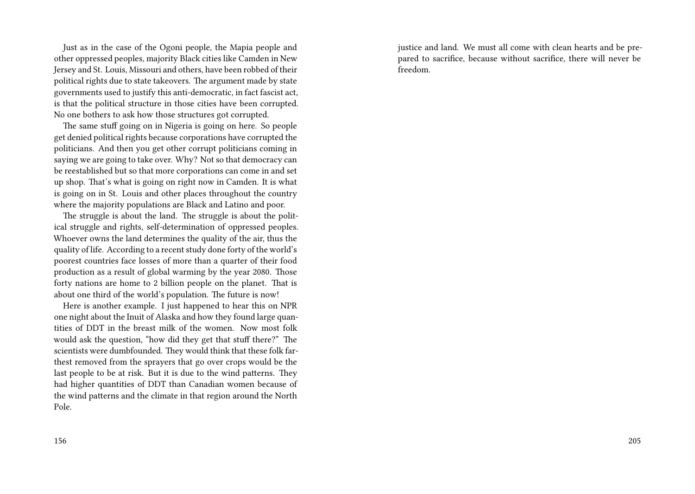Just as in the case of the Ogoni people, the Mapia people and other oppressed peoples, majority Black cities like Camden in New Jersey and St. Louis, Missouri and others, have been robbed of their political rights due to state takeovers. The argument made by state governments used to justify this anti-democratic, in fact fascist act, is that the political structure in those cities have been corrupted. No one bothers to ask how those structures got corrupted.

The same stuff going on in Nigeria is going on here. So people get denied political rights because corporations have corrupted the politicians. And then you get other corrupt politicians coming in saying we are going to take over. Why? Not so that democracy can be reestablished but so that more corporations can come in and set up shop. That's what is going on right now in Camden. It is what is going on in St. Louis and other places throughout the country where the majority populations are Black and Latino and poor.

The struggle is about the land. The struggle is about the political struggle and rights, self-determination of oppressed peoples. Whoever owns the land determines the quality of the air, thus the quality of life. According to a recent study done forty of the world's poorest countries face losses of more than a quarter of their food production as a result of global warming by the year 2080. Those forty nations are home to 2 billion people on the planet. That is about one third of the world's population. The future is now!

Here is another example. I just happened to hear this on NPR one night about the Inuit of Alaska and how they found large quantities of DDT in the breast milk of the women. Now most folk would ask the question, "how did they get that stuff there?" The scientists were dumbfounded. They would think that these folk farthest removed from the sprayers that go over crops would be the last people to be at risk. But it is due to the wind patterns. They had higher quantities of DDT than Canadian women because of the wind patterns and the climate in that region around the North Pole.

156

justice and land. We must all come with clean hearts and be prepared to sacrifice, because without sacrifice, there will never be freedom.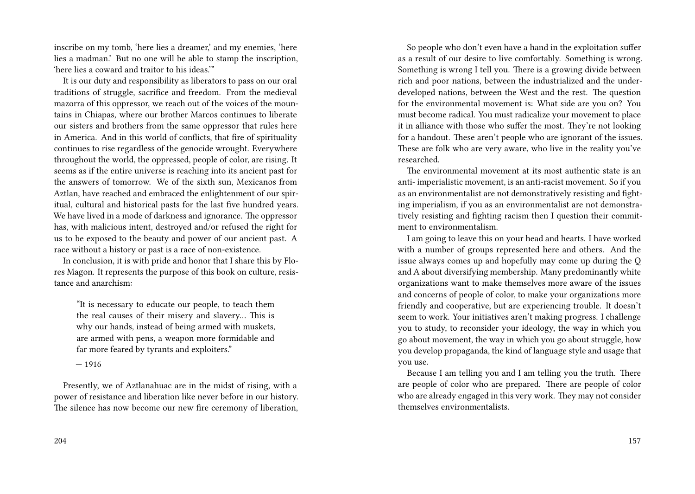inscribe on my tomb, 'here lies a dreamer,' and my enemies, 'here lies a madman.' But no one will be able to stamp the inscription, 'here lies a coward and traitor to his ideas.'"

It is our duty and responsibility as liberators to pass on our oral traditions of struggle, sacrifice and freedom. From the medieval mazorra of this oppressor, we reach out of the voices of the mountains in Chiapas, where our brother Marcos continues to liberate our sisters and brothers from the same oppressor that rules here in America. And in this world of conflicts, that fire of spirituality continues to rise regardless of the genocide wrought. Everywhere throughout the world, the oppressed, people of color, are rising. It seems as if the entire universe is reaching into its ancient past for the answers of tomorrow. We of the sixth sun, Mexicanos from Aztlan, have reached and embraced the enlightenment of our spiritual, cultural and historical pasts for the last five hundred years. We have lived in a mode of darkness and ignorance. The oppressor has, with malicious intent, destroyed and/or refused the right for us to be exposed to the beauty and power of our ancient past. A race without a history or past is a race of non-existence.

In conclusion, it is with pride and honor that I share this by Flores Magon. It represents the purpose of this book on culture, resistance and anarchism:

"It is necessary to educate our people, to teach them the real causes of their misery and slavery… This is why our hands, instead of being armed with muskets, are armed with pens, a weapon more formidable and far more feared by tyrants and exploiters."

— 1916

Presently, we of Aztlanahuac are in the midst of rising, with a power of resistance and liberation like never before in our history. The silence has now become our new fire ceremony of liberation,

So people who don't even have a hand in the exploitation suffer as a result of our desire to live comfortably. Something is wrong. Something is wrong I tell you. There is a growing divide between rich and poor nations, between the industrialized and the underdeveloped nations, between the West and the rest. The question for the environmental movement is: What side are you on? You must become radical. You must radicalize your movement to place it in alliance with those who suffer the most. They're not looking for a handout. These aren't people who are ignorant of the issues. These are folk who are very aware, who live in the reality you've researched.

The environmental movement at its most authentic state is an anti- imperialistic movement, is an anti-racist movement. So if you as an environmentalist are not demonstratively resisting and fighting imperialism, if you as an environmentalist are not demonstratively resisting and fighting racism then I question their commitment to environmentalism.

I am going to leave this on your head and hearts. I have worked with a number of groups represented here and others. And the issue always comes up and hopefully may come up during the Q and A about diversifying membership. Many predominantly white organizations want to make themselves more aware of the issues and concerns of people of color, to make your organizations more friendly and cooperative, but are experiencing trouble. It doesn't seem to work. Your initiatives aren't making progress. I challenge you to study, to reconsider your ideology, the way in which you go about movement, the way in which you go about struggle, how you develop propaganda, the kind of language style and usage that you use.

Because I am telling you and I am telling you the truth. There are people of color who are prepared. There are people of color who are already engaged in this very work. They may not consider themselves environmentalists.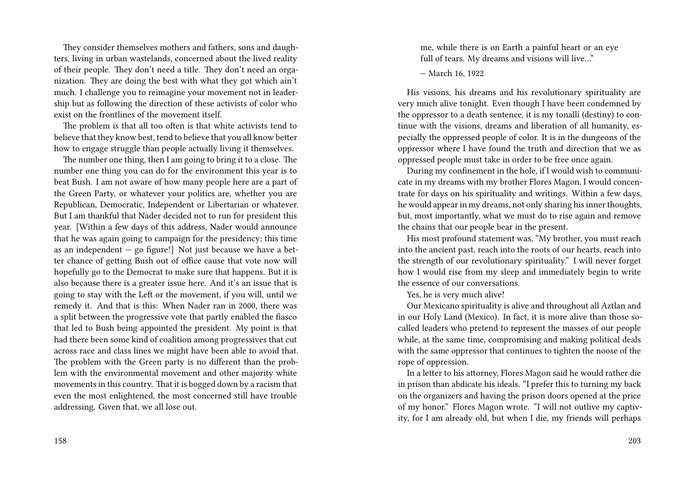They consider themselves mothers and fathers, sons and daughters, living in urban wastelands, concerned about the lived reality of their people. They don't need a title. They don't need an organization. They are doing the best with what they got which ain't much. I challenge you to reimagine your movement not in leadership but as following the direction of these activists of color who exist on the frontlines of the movement itself.

The problem is that all too often is that white activists tend to believe that they know best, tend to believe that you all know better how to engage struggle than people actually living it themselves.

The number one thing, then I am going to bring it to a close. The number one thing you can do for the environment this year is to beat Bush. I am not aware of how many people here are a part of the Green Party, or whatever your politics are, whether you are Republican, Democratic, Independent or Libertarian or whatever. But I am thankful that Nader decided not to run for president this year. [Within a few days of this address, Nader would announce that he was again going to campaign for the presidency; this time as an independent  $-$  go figure!] Not just because we have a better chance of getting Bush out of office cause that vote now will hopefully go to the Democrat to make sure that happens. But it is also because there is a greater issue here. And it's an issue that is going to stay with the Left or the movement, if you will, until we remedy it. And that is this: When Nader ran in 2000, there was a split between the progressive vote that partly enabled the fiasco that led to Bush being appointed the president. My point is that had there been some kind of coalition among progressives that cut across race and class lines we might have been able to avoid that. The problem with the Green party is no different than the problem with the environmental movement and other majority white movements in this country. That it is bogged down by a racism that even the most enlightened, the most concerned still have trouble addressing. Given that, we all lose out.

me, while there is on Earth a painful heart or an eye full of tears. My dreams and visions will live…"

— March 16, 1922

His visions, his dreams and his revolutionary spirituality are very much alive tonight. Even though I have been condemned by the oppressor to a death sentence, it is my tonalli (destiny) to continue with the visions, dreams and liberation of all humanity, especially the oppressed people of color. It is in the dungeons of the oppressor where I have found the truth and direction that we as oppressed people must take in order to be free once again.

During my confinement in the hole, if I would wish to communicate in my dreams with my brother Flores Magon, I would concentrate for days on his spirituality and writings. Within a few days, he would appear in my dreams, not only sharing his inner thoughts, but, most importantly, what we must do to rise again and remove the chains that our people bear in the present.

His most profound statement was, "My brother, you must reach into the ancient past, reach into the roots of our hearts, reach into the strength of our revolutionary spirituality." I will never forget how I would rise from my sleep and immediately begin to write the essence of our conversations.

Yes, he is very much alive!

Our Mexicano spirituality is alive and throughout all Aztlan and in our Holy Land (Mexico). In fact, it is more alive than those socalled leaders who pretend to represent the masses of our people while, at the same time, compromising and making political deals with the same oppressor that continues to tighten the noose of the rope of oppression.

In a letter to his attorney, Flores Magon said he would rather die in prison than abdicate his ideals. "I prefer this to turning my back on the organizers and having the prison doors opened at the price of my honor." Flores Magon wrote. "I will not outlive my captivity, for I am already old, but when I die, my friends will perhaps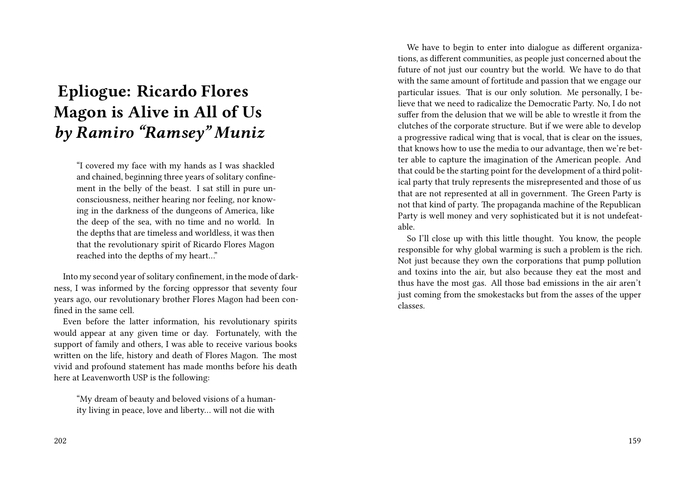# **Epliogue: Ricardo Flores Magon is Alive in All of Us** *by Ramiro "Ramsey" Muniz*

"I covered my face with my hands as I was shackled and chained, beginning three years of solitary confinement in the belly of the beast. I sat still in pure unconsciousness, neither hearing nor feeling, nor knowing in the darkness of the dungeons of America, like the deep of the sea, with no time and no world. In the depths that are timeless and worldless, it was then that the revolutionary spirit of Ricardo Flores Magon reached into the depths of my heart…"

Into my second year of solitary confinement, in the mode of darkness, I was informed by the forcing oppressor that seventy four years ago, our revolutionary brother Flores Magon had been confined in the same cell.

Even before the latter information, his revolutionary spirits would appear at any given time or day. Fortunately, with the support of family and others, I was able to receive various books written on the life, history and death of Flores Magon. The most vivid and profound statement has made months before his death here at Leavenworth USP is the following:

"My dream of beauty and beloved visions of a humanity living in peace, love and liberty… will not die with

We have to begin to enter into dialogue as different organizations, as different communities, as people just concerned about the future of not just our country but the world. We have to do that with the same amount of fortitude and passion that we engage our particular issues. That is our only solution. Me personally, I believe that we need to radicalize the Democratic Party. No, I do not suffer from the delusion that we will be able to wrestle it from the clutches of the corporate structure. But if we were able to develop a progressive radical wing that is vocal, that is clear on the issues, that knows how to use the media to our advantage, then we're better able to capture the imagination of the American people. And that could be the starting point for the development of a third political party that truly represents the misrepresented and those of us that are not represented at all in government. The Green Party is not that kind of party. The propaganda machine of the Republican Party is well money and very sophisticated but it is not undefeatable.

So I'll close up with this little thought. You know, the people responsible for why global warming is such a problem is the rich. Not just because they own the corporations that pump pollution and toxins into the air, but also because they eat the most and thus have the most gas. All those bad emissions in the air aren't just coming from the smokestacks but from the asses of the upper classes.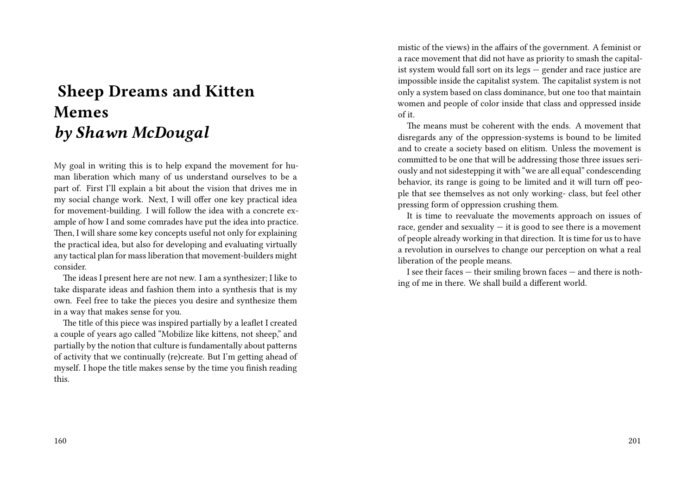# **Sheep Dreams and Kitten Memes** *by Shawn McDougal*

My goal in writing this is to help expand the movement for human liberation which many of us understand ourselves to be a part of. First I'll explain a bit about the vision that drives me in my social change work. Next, I will offer one key practical idea for movement-building. I will follow the idea with a concrete example of how I and some comrades have put the idea into practice. Then, I will share some key concepts useful not only for explaining the practical idea, but also for developing and evaluating virtually any tactical plan for mass liberation that movement-builders might consider.

The ideas I present here are not new. I am a synthesizer; I like to take disparate ideas and fashion them into a synthesis that is my own. Feel free to take the pieces you desire and synthesize them in a way that makes sense for you.

The title of this piece was inspired partially by a leaflet I created a couple of years ago called "Mobilize like kittens, not sheep," and partially by the notion that culture is fundamentally about patterns of activity that we continually (re)create. But I'm getting ahead of myself. I hope the title makes sense by the time you finish reading this.

mistic of the views) in the affairs of the government. A feminist or a race movement that did not have as priority to smash the capitalist system would fall sort on its legs — gender and race justice are impossible inside the capitalist system. The capitalist system is not only a system based on class dominance, but one too that maintain women and people of color inside that class and oppressed inside of it.

The means must be coherent with the ends. A movement that disregards any of the oppression-systems is bound to be limited and to create a society based on elitism. Unless the movement is committed to be one that will be addressing those three issues seriously and not sidestepping it with "we are all equal" condescending behavior, its range is going to be limited and it will turn off people that see themselves as not only working- class, but feel other pressing form of oppression crushing them.

It is time to reevaluate the movements approach on issues of race, gender and sexuality  $-$  it is good to see there is a movement of people already working in that direction. It is time for us to have a revolution in ourselves to change our perception on what a real liberation of the people means.

I see their faces — their smiling brown faces — and there is nothing of me in there. We shall build a different world.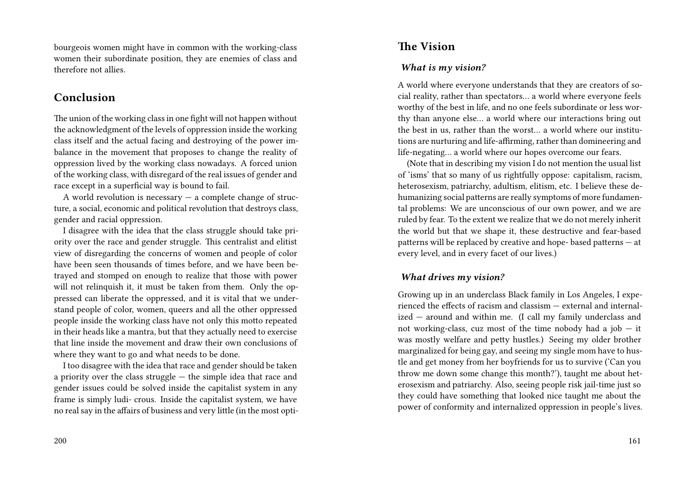bourgeois women might have in common with the working-class women their subordinate position, they are enemies of class and therefore not allies.

## **Conclusion**

The union of the working class in one fight will not happen without the acknowledgment of the levels of oppression inside the working class itself and the actual facing and destroying of the power imbalance in the movement that proposes to change the reality of oppression lived by the working class nowadays. A forced union of the working class, with disregard of the real issues of gender and race except in a superficial way is bound to fail.

A world revolution is necessary  $-$  a complete change of structure, a social, economic and political revolution that destroys class, gender and racial oppression.

I disagree with the idea that the class struggle should take priority over the race and gender struggle. This centralist and elitist view of disregarding the concerns of women and people of color have been seen thousands of times before, and we have been betrayed and stomped on enough to realize that those with power will not relinquish it, it must be taken from them. Only the oppressed can liberate the oppressed, and it is vital that we understand people of color, women, queers and all the other oppressed people inside the working class have not only this motto repeated in their heads like a mantra, but that they actually need to exercise that line inside the movement and draw their own conclusions of where they want to go and what needs to be done.

I too disagree with the idea that race and gender should be taken a priority over the class struggle — the simple idea that race and gender issues could be solved inside the capitalist system in any frame is simply ludi- crous. Inside the capitalist system, we have no real say in the affairs of business and very little (in the most opti-

## **The Vision**

### *What is my vision?*

A world where everyone understands that they are creators of social reality, rather than spectators… a world where everyone feels worthy of the best in life, and no one feels subordinate or less worthy than anyone else… a world where our interactions bring out the best in us, rather than the worst… a world where our institutions are nurturing and life-affirming, rather than domineering and life-negating… a world where our hopes overcome our fears.

(Note that in describing my vision I do not mention the usual list of 'isms' that so many of us rightfully oppose: capitalism, racism, heterosexism, patriarchy, adultism, elitism, etc. I believe these dehumanizing social patterns are really symptoms of more fundamental problems: We are unconscious of our own power, and we are ruled by fear. To the extent we realize that we do not merely inherit the world but that we shape it, these destructive and fear-based patterns will be replaced by creative and hope- based patterns — at every level, and in every facet of our lives.)

### *What drives my vision?*

Growing up in an underclass Black family in Los Angeles, I experienced the effects of racism and classism — external and internalized — around and within me. (I call my family underclass and not working-class, cuz most of the time nobody had a job  $-$  it was mostly welfare and petty hustles.) Seeing my older brother marginalized for being gay, and seeing my single mom have to hustle and get money from her boyfriends for us to survive ('Can you throw me down some change this month?'), taught me about heterosexism and patriarchy. Also, seeing people risk jail-time just so they could have something that looked nice taught me about the power of conformity and internalized oppression in people's lives.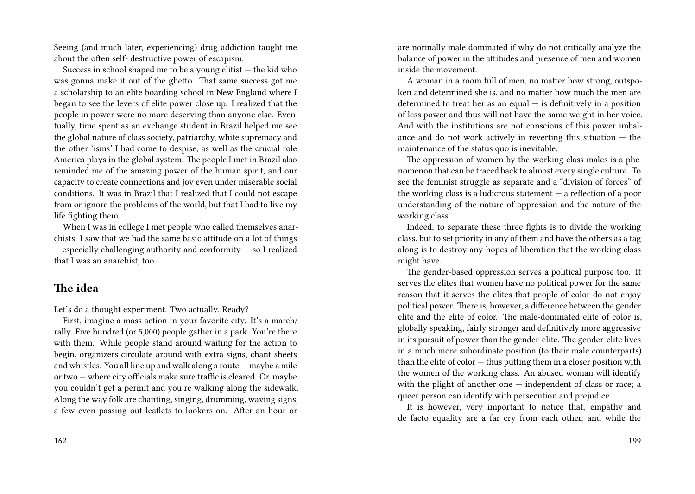Seeing (and much later, experiencing) drug addiction taught me about the often self- destructive power of escapism.

Success in school shaped me to be a young elitist — the kid who was gonna make it out of the ghetto. That same success got me a scholarship to an elite boarding school in New England where I began to see the levers of elite power close up. I realized that the people in power were no more deserving than anyone else. Eventually, time spent as an exchange student in Brazil helped me see the global nature of class society, patriarchy, white supremacy and the other 'isms' I had come to despise, as well as the crucial role America plays in the global system. The people I met in Brazil also reminded me of the amazing power of the human spirit, and our capacity to create connections and joy even under miserable social conditions. It was in Brazil that I realized that I could not escape from or ignore the problems of the world, but that I had to live my life fighting them.

When I was in college I met people who called themselves anarchists. I saw that we had the same basic attitude on a lot of things  $-$  especially challenging authority and conformity  $-$  so I realized that I was an anarchist, too.

## **The idea**

Let's do a thought experiment. Two actually. Ready?

First, imagine a mass action in your favorite city. It's a march/ rally. Five hundred (or 5,000) people gather in a park. You're there with them. While people stand around waiting for the action to begin, organizers circulate around with extra signs, chant sheets and whistles. You all line up and walk along a route — maybe a mile or two — where city officials make sure traffic is cleared. Or, maybe you couldn't get a permit and you're walking along the sidewalk. Along the way folk are chanting, singing, drumming, waving signs, a few even passing out leaflets to lookers-on. After an hour or are normally male dominated if why do not critically analyze the balance of power in the attitudes and presence of men and women inside the movement.

A woman in a room full of men, no matter how strong, outspoken and determined she is, and no matter how much the men are determined to treat her as an equal  $-$  is definitively in a position of less power and thus will not have the same weight in her voice. And with the institutions are not conscious of this power imbalance and do not work actively in reverting this situation — the maintenance of the status quo is inevitable.

The oppression of women by the working class males is a phenomenon that can be traced back to almost every single culture. To see the feminist struggle as separate and a "division of forces" of the working class is a ludicrous statement — a reflection of a poor understanding of the nature of oppression and the nature of the working class.

Indeed, to separate these three fights is to divide the working class, but to set priority in any of them and have the others as a tag along is to destroy any hopes of liberation that the working class might have.

The gender-based oppression serves a political purpose too. It serves the elites that women have no political power for the same reason that it serves the elites that people of color do not enjoy political power. There is, however, a difference between the gender elite and the elite of color. The male-dominated elite of color is, globally speaking, fairly stronger and definitively more aggressive in its pursuit of power than the gender-elite. The gender-elite lives in a much more subordinate position (to their male counterparts) than the elite of  $color -$  thus putting them in a closer position with the women of the working class. An abused woman will identify with the plight of another one — independent of class or race; a queer person can identify with persecution and prejudice.

It is however, very important to notice that, empathy and de facto equality are a far cry from each other, and while the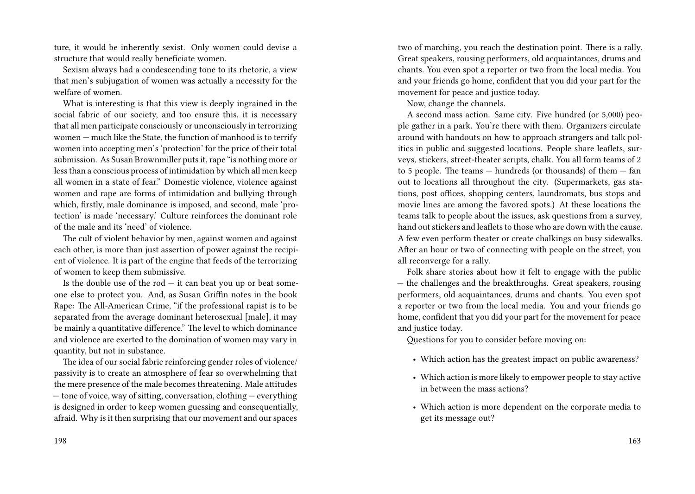ture, it would be inherently sexist. Only women could devise a structure that would really beneficiate women.

Sexism always had a condescending tone to its rhetoric, a view that men's subjugation of women was actually a necessity for the welfare of women.

What is interesting is that this view is deeply ingrained in the social fabric of our society, and too ensure this, it is necessary that all men participate consciously or unconsciously in terrorizing women — much like the State, the function of manhood is to terrify women into accepting men's 'protection' for the price of their total submission. As Susan Brownmiller puts it, rape "is nothing more or less than a conscious process of intimidation by which all men keep all women in a state of fear." Domestic violence, violence against women and rape are forms of intimidation and bullying through which, firstly, male dominance is imposed, and second, male 'protection' is made 'necessary.' Culture reinforces the dominant role of the male and its 'need' of violence.

The cult of violent behavior by men, against women and against each other, is more than just assertion of power against the recipient of violence. It is part of the engine that feeds of the terrorizing of women to keep them submissive.

Is the double use of the rod  $-$  it can beat you up or beat someone else to protect you. And, as Susan Griffin notes in the book Rape: The All-American Crime, "if the professional rapist is to be separated from the average dominant heterosexual [male], it may be mainly a quantitative difference." The level to which dominance and violence are exerted to the domination of women may vary in quantity, but not in substance.

The idea of our social fabric reinforcing gender roles of violence/ passivity is to create an atmosphere of fear so overwhelming that the mere presence of the male becomes threatening. Male attitudes — tone of voice, way of sitting, conversation, clothing — everything is designed in order to keep women guessing and consequentially, afraid. Why is it then surprising that our movement and our spaces

chants. You even spot a reporter or two from the local media. You and your friends go home, confident that you did your part for the movement for peace and justice today. Now, change the channels. A second mass action. Same city. Five hundred (or 5,000) peo-

ple gather in a park. You're there with them. Organizers circulate around with handouts on how to approach strangers and talk politics in public and suggested locations. People share leaflets, surveys, stickers, street-theater scripts, chalk. You all form teams of 2 to 5 people. The teams  $-$  hundreds (or thousands) of them  $-$  fan out to locations all throughout the city. (Supermarkets, gas stations, post offices, shopping centers, laundromats, bus stops and movie lines are among the favored spots.) At these locations the teams talk to people about the issues, ask questions from a survey, hand out stickers and leaflets to those who are down with the cause. A few even perform theater or create chalkings on busy sidewalks. After an hour or two of connecting with people on the street, you all reconverge for a rally.

two of marching, you reach the destination point. There is a rally. Great speakers, rousing performers, old acquaintances, drums and

Folk share stories about how it felt to engage with the public — the challenges and the breakthroughs. Great speakers, rousing performers, old acquaintances, drums and chants. You even spot a reporter or two from the local media. You and your friends go home, confident that you did your part for the movement for peace and justice today.

Questions for you to consider before moving on:

- Which action has the greatest impact on public awareness?
- Which action is more likely to empower people to stay active in between the mass actions?
- Which action is more dependent on the corporate media to get its message out?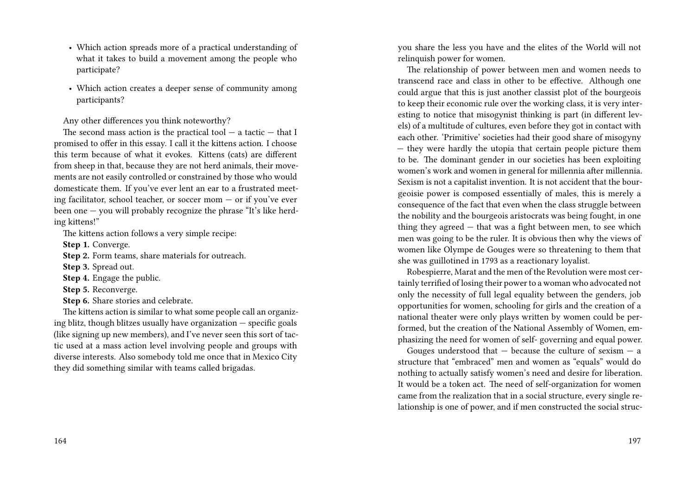- Which action spreads more of a practical understanding of what it takes to build a movement among the people who participate?
- Which action creates a deeper sense of community among participants?

Any other differences you think noteworthy?

The second mass action is the practical tool  $-$  a tactic  $-$  that I promised to offer in this essay. I call it the kittens action. I choose this term because of what it evokes. Kittens (cats) are different from sheep in that, because they are not herd animals, their movements are not easily controlled or constrained by those who would domesticate them. If you've ever lent an ear to a frustrated meeting facilitator, school teacher, or soccer mom — or if you've ever been one — you will probably recognize the phrase "It's like herding kittens!"

The kittens action follows a very simple recipe:

**Step 1.** Converge.

**Step 2.** Form teams, share materials for outreach.

**Step 3.** Spread out.

**Step 4.** Engage the public.

**Step 5.** Reconverge.

**Step 6.** Share stories and celebrate.

The kittens action is similar to what some people call an organizing blitz, though blitzes usually have organization — specific goals (like signing up new members), and I've never seen this sort of tactic used at a mass action level involving people and groups with diverse interests. Also somebody told me once that in Mexico City they did something similar with teams called brigadas.

you share the less you have and the elites of the World will not relinquish power for women.

The relationship of power between men and women needs to transcend race and class in other to be effective. Although one could argue that this is just another classist plot of the bourgeois to keep their economic rule over the working class, it is very interesting to notice that misogynist thinking is part (in different levels) of a multitude of cultures, even before they got in contact with each other. 'Primitive' societies had their good share of misogyny — they were hardly the utopia that certain people picture them to be. The dominant gender in our societies has been exploiting women's work and women in general for millennia after millennia. Sexism is not a capitalist invention. It is not accident that the bourgeoisie power is composed essentially of males, this is merely a consequence of the fact that even when the class struggle between the nobility and the bourgeois aristocrats was being fought, in one thing they agreed  $-$  that was a fight between men, to see which men was going to be the ruler. It is obvious then why the views of women like Olympe de Gouges were so threatening to them that she was guillotined in 1793 as a reactionary loyalist.

Robespierre, Marat and the men of the Revolution were most certainly terrified of losing their power to a woman who advocated not only the necessity of full legal equality between the genders, job opportunities for women, schooling for girls and the creation of a national theater were only plays written by women could be performed, but the creation of the National Assembly of Women, emphasizing the need for women of self- governing and equal power.

Gouges understood that  $-$  because the culture of sexism  $-$  a structure that "embraced" men and women as "equals" would do nothing to actually satisfy women's need and desire for liberation. It would be a token act. The need of self-organization for women came from the realization that in a social structure, every single relationship is one of power, and if men constructed the social struc-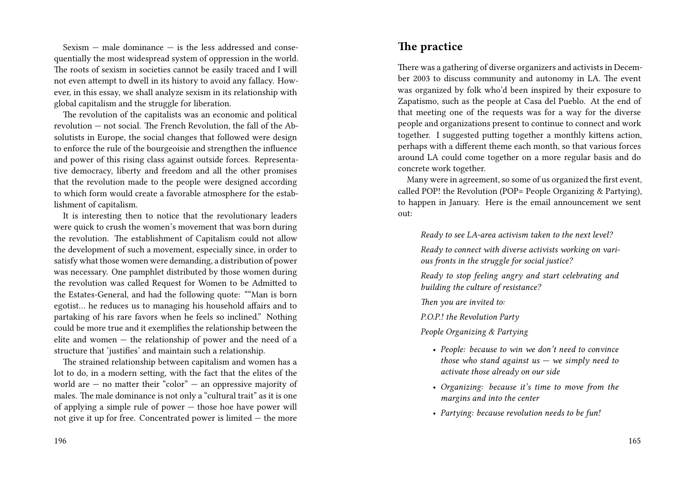Sexism  $-$  male dominance  $-$  is the less addressed and consequentially the most widespread system of oppression in the world. The roots of sexism in societies cannot be easily traced and I will not even attempt to dwell in its history to avoid any fallacy. However, in this essay, we shall analyze sexism in its relationship with global capitalism and the struggle for liberation.

The revolution of the capitalists was an economic and political revolution — not social. The French Revolution, the fall of the Absolutists in Europe, the social changes that followed were design to enforce the rule of the bourgeoisie and strengthen the influence and power of this rising class against outside forces. Representative democracy, liberty and freedom and all the other promises that the revolution made to the people were designed according to which form would create a favorable atmosphere for the establishment of capitalism.

It is interesting then to notice that the revolutionary leaders were quick to crush the women's movement that was born during the revolution. The establishment of Capitalism could not allow the development of such a movement, especially since, in order to satisfy what those women were demanding, a distribution of power was necessary. One pamphlet distributed by those women during the revolution was called Request for Women to be Admitted to the Estates-General, and had the following quote: ""Man is born egotist… he reduces us to managing his household affairs and to partaking of his rare favors when he feels so inclined." Nothing could be more true and it exemplifies the relationship between the elite and women — the relationship of power and the need of a structure that 'justifies' and maintain such a relationship.

The strained relationship between capitalism and women has a lot to do, in a modern setting, with the fact that the elites of the world are  $-$  no matter their "color"  $-$  an oppressive majority of males. The male dominance is not only a "cultural trait" as it is one of applying a simple rule of power — those hoe have power will not give it up for free. Concentrated power is limited — the more

#### 196

### **The practice**

There was a gathering of diverse organizers and activists in December 2003 to discuss community and autonomy in LA. The event was organized by folk who'd been inspired by their exposure to Zapatismo, such as the people at Casa del Pueblo. At the end of that meeting one of the requests was for a way for the diverse people and organizations present to continue to connect and work together. I suggested putting together a monthly kittens action, perhaps with a different theme each month, so that various forces around LA could come together on a more regular basis and do concrete work together.

Many were in agreement, so some of us organized the first event, called POP! the Revolution (POP= People Organizing & Partying), to happen in January. Here is the email announcement we sent out:

*Ready to see LA-area activism taken to the next level?*

*Ready to connect with diverse activists working on various fronts in the struggle for social justice?*

*Ready to stop feeling angry and start celebrating and building the culture of resistance?*

*Then you are invited to:*

*P.O.P.! the Revolution Party*

*People Organizing & Partying*

- *People: because to win we don't need to convince those who stand against us — we simply need to activate those already on our side*
- *Organizing: because it's time to move from the margins and into the center*
- *Partying: because revolution needs to be fun!*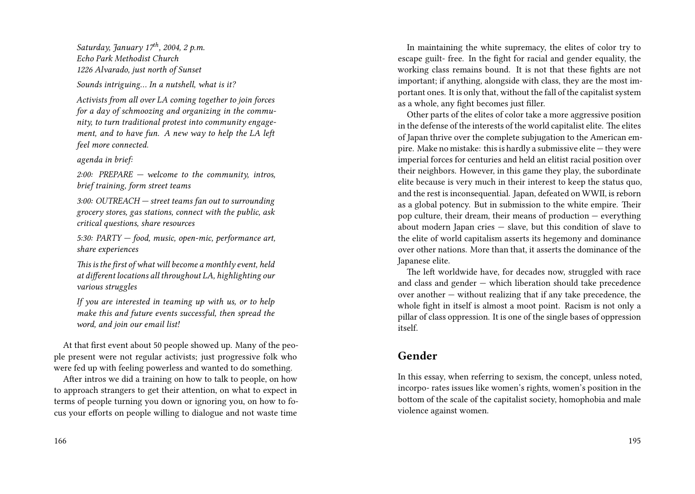*Saturday, January 17th, 2004, 2 p.m. Echo Park Methodist Church 1226 Alvarado, just north of Sunset*

*Sounds intriguing… In a nutshell, what is it?*

*Activists from all over LA coming together to join forces for a day of schmoozing and organizing in the community, to turn traditional protest into community engagement, and to have fun. A new way to help the LA left feel more connected.*

*agenda in brief:*

*2:00: PREPARE — welcome to the community, intros, brief training, form street teams*

*3:00: OUTREACH — street teams fan out to surrounding grocery stores, gas stations, connect with the public, ask critical questions, share resources*

*5:30: PARTY — food, music, open-mic, performance art, share experiences*

*This is the first of what will become a monthly event, held at different locations all throughout LA, highlighting our various struggles*

*If you are interested in teaming up with us, or to help make this and future events successful, then spread the word, and join our email list!*

At that first event about 50 people showed up. Many of the people present were not regular activists; just progressive folk who were fed up with feeling powerless and wanted to do something.

After intros we did a training on how to talk to people, on how to approach strangers to get their attention, on what to expect in terms of people turning you down or ignoring you, on how to focus your efforts on people willing to dialogue and not waste time

In maintaining the white supremacy, the elites of color try to escape guilt- free. In the fight for racial and gender equality, the working class remains bound. It is not that these fights are not important; if anything, alongside with class, they are the most important ones. It is only that, without the fall of the capitalist system as a whole, any fight becomes just filler.

Other parts of the elites of color take a more aggressive position in the defense of the interests of the world capitalist elite. The elites of Japan thrive over the complete subjugation to the American empire. Make no mistake: this is hardly a submissive elite — they were imperial forces for centuries and held an elitist racial position over their neighbors. However, in this game they play, the subordinate elite because is very much in their interest to keep the status quo, and the rest is inconsequential. Japan, defeated on WWII, is reborn as a global potency. But in submission to the white empire. Their pop culture, their dream, their means of production  $-$  everything about modern Japan cries — slave, but this condition of slave to the elite of world capitalism asserts its hegemony and dominance over other nations. More than that, it asserts the dominance of the Japanese elite.

The left worldwide have, for decades now, struggled with race and class and gender — which liberation should take precedence over another — without realizing that if any take precedence, the whole fight in itself is almost a moot point. Racism is not only a pillar of class oppression. It is one of the single bases of oppression itself.

## **Gender**

In this essay, when referring to sexism, the concept, unless noted, incorpo- rates issues like women's rights, women's position in the bottom of the scale of the capitalist society, homophobia and male violence against women.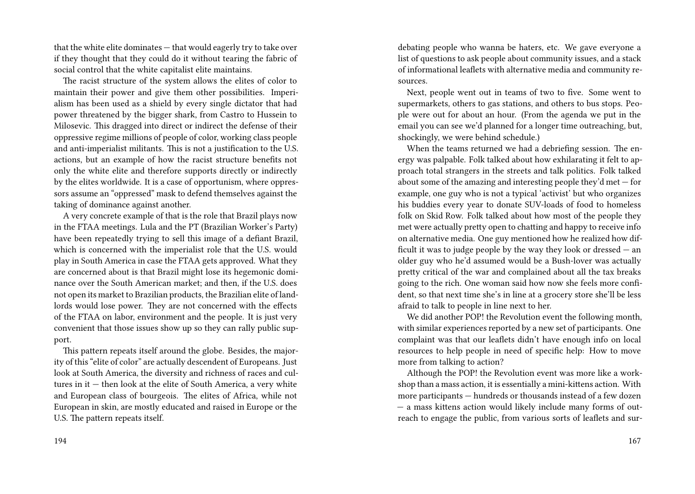that the white elite dominates — that would eagerly try to take over if they thought that they could do it without tearing the fabric of social control that the white capitalist elite maintains.

The racist structure of the system allows the elites of color to maintain their power and give them other possibilities. Imperialism has been used as a shield by every single dictator that had power threatened by the bigger shark, from Castro to Hussein to Milosevic. This dragged into direct or indirect the defense of their oppressive regime millions of people of color, working class people and anti-imperialist militants. This is not a justification to the U.S. actions, but an example of how the racist structure benefits not only the white elite and therefore supports directly or indirectly by the elites worldwide. It is a case of opportunism, where oppressors assume an "oppressed" mask to defend themselves against the taking of dominance against another.

A very concrete example of that is the role that Brazil plays now in the FTAA meetings. Lula and the PT (Brazilian Worker's Party) have been repeatedly trying to sell this image of a defiant Brazil, which is concerned with the imperialist role that the U.S. would play in South America in case the FTAA gets approved. What they are concerned about is that Brazil might lose its hegemonic dominance over the South American market; and then, if the U.S. does not open its market to Brazilian products, the Brazilian elite of landlords would lose power. They are not concerned with the effects of the FTAA on labor, environment and the people. It is just very convenient that those issues show up so they can rally public support.

This pattern repeats itself around the globe. Besides, the majority of this "elite of color" are actually descendent of Europeans. Just look at South America, the diversity and richness of races and cultures in it — then look at the elite of South America, a very white and European class of bourgeois. The elites of Africa, while not European in skin, are mostly educated and raised in Europe or the U.S. The pattern repeats itself.

194

debating people who wanna be haters, etc. We gave everyone a list of questions to ask people about community issues, and a stack of informational leaflets with alternative media and community resources.

Next, people went out in teams of two to five. Some went to supermarkets, others to gas stations, and others to bus stops. People were out for about an hour. (From the agenda we put in the email you can see we'd planned for a longer time outreaching, but, shockingly, we were behind schedule.)

When the teams returned we had a debriefing session. The energy was palpable. Folk talked about how exhilarating it felt to approach total strangers in the streets and talk politics. Folk talked about some of the amazing and interesting people they'd met  $-$  for example, one guy who is not a typical 'activist' but who organizes his buddies every year to donate SUV-loads of food to homeless folk on Skid Row. Folk talked about how most of the people they met were actually pretty open to chatting and happy to receive info on alternative media. One guy mentioned how he realized how difficult it was to judge people by the way they look or dressed  $-$  an older guy who he'd assumed would be a Bush-lover was actually pretty critical of the war and complained about all the tax breaks going to the rich. One woman said how now she feels more confident, so that next time she's in line at a grocery store she'll be less afraid to talk to people in line next to her.

We did another POP! the Revolution event the following month, with similar experiences reported by a new set of participants. One complaint was that our leaflets didn't have enough info on local resources to help people in need of specific help: How to move more from talking to action?

Although the POP! the Revolution event was more like a workshop than a mass action, it is essentially a mini-kittens action. With more participants — hundreds or thousands instead of a few dozen — a mass kittens action would likely include many forms of outreach to engage the public, from various sorts of leaflets and sur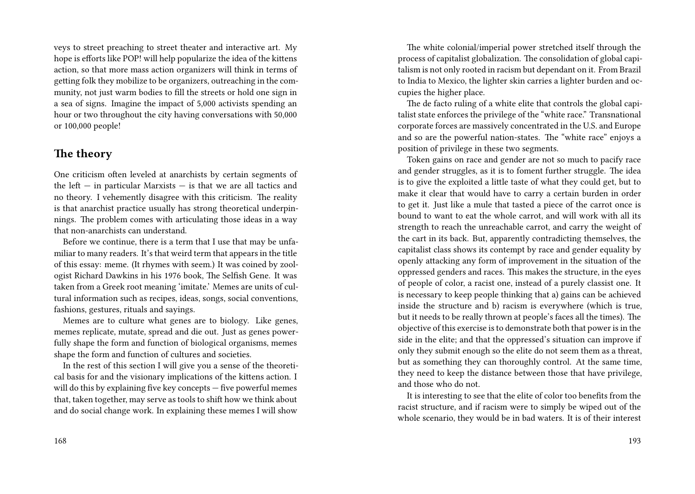veys to street preaching to street theater and interactive art. My hope is efforts like POP! will help popularize the idea of the kittens action, so that more mass action organizers will think in terms of getting folk they mobilize to be organizers, outreaching in the community, not just warm bodies to fill the streets or hold one sign in a sea of signs. Imagine the impact of 5,000 activists spending an hour or two throughout the city having conversations with 50,000 or 100,000 people!

### **The theory**

One criticism often leveled at anarchists by certain segments of the left  $-$  in particular Marxists  $-$  is that we are all tactics and no theory. I vehemently disagree with this criticism. The reality is that anarchist practice usually has strong theoretical underpinnings. The problem comes with articulating those ideas in a way that non-anarchists can understand.

Before we continue, there is a term that I use that may be unfamiliar to many readers. It's that weird term that appears in the title of this essay: meme. (It rhymes with seem.) It was coined by zoologist Richard Dawkins in his 1976 book, The Selfish Gene. It was taken from a Greek root meaning 'imitate.' Memes are units of cultural information such as recipes, ideas, songs, social conventions, fashions, gestures, rituals and sayings.

Memes are to culture what genes are to biology. Like genes, memes replicate, mutate, spread and die out. Just as genes powerfully shape the form and function of biological organisms, memes shape the form and function of cultures and societies.

In the rest of this section I will give you a sense of the theoretical basis for and the visionary implications of the kittens action. I will do this by explaining five key concepts — five powerful memes that, taken together, may serve as tools to shift how we think about and do social change work. In explaining these memes I will show

The white colonial/imperial power stretched itself through the process of capitalist globalization. The consolidation of global capitalism is not only rooted in racism but dependant on it. From Brazil to India to Mexico, the lighter skin carries a lighter burden and occupies the higher place.

The de facto ruling of a white elite that controls the global capitalist state enforces the privilege of the "white race." Transnational corporate forces are massively concentrated in the U.S. and Europe and so are the powerful nation-states. The "white race" enjoys a position of privilege in these two segments.

Token gains on race and gender are not so much to pacify race and gender struggles, as it is to foment further struggle. The idea is to give the exploited a little taste of what they could get, but to make it clear that would have to carry a certain burden in order to get it. Just like a mule that tasted a piece of the carrot once is bound to want to eat the whole carrot, and will work with all its strength to reach the unreachable carrot, and carry the weight of the cart in its back. But, apparently contradicting themselves, the capitalist class shows its contempt by race and gender equality by openly attacking any form of improvement in the situation of the oppressed genders and races. This makes the structure, in the eyes of people of color, a racist one, instead of a purely classist one. It is necessary to keep people thinking that a) gains can be achieved inside the structure and b) racism is everywhere (which is true, but it needs to be really thrown at people's faces all the times). The objective of this exercise is to demonstrate both that power is in the side in the elite; and that the oppressed's situation can improve if only they submit enough so the elite do not seem them as a threat, but as something they can thoroughly control. At the same time, they need to keep the distance between those that have privilege, and those who do not.

It is interesting to see that the elite of color too benefits from the racist structure, and if racism were to simply be wiped out of the whole scenario, they would be in bad waters. It is of their interest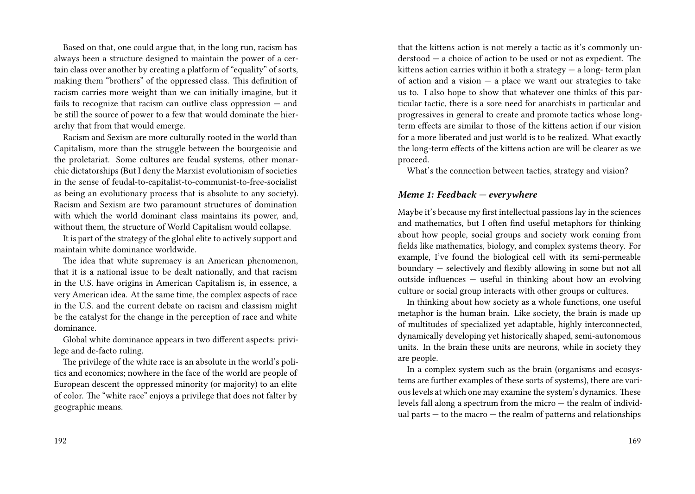Based on that, one could argue that, in the long run, racism has always been a structure designed to maintain the power of a certain class over another by creating a platform of "equality" of sorts, making them "brothers" of the oppressed class. This definition of racism carries more weight than we can initially imagine, but it fails to recognize that racism can outlive class oppression — and be still the source of power to a few that would dominate the hierarchy that from that would emerge.

Racism and Sexism are more culturally rooted in the world than Capitalism, more than the struggle between the bourgeoisie and the proletariat. Some cultures are feudal systems, other monarchic dictatorships (But I deny the Marxist evolutionism of societies in the sense of feudal-to-capitalist-to-communist-to-free-socialist as being an evolutionary process that is absolute to any society). Racism and Sexism are two paramount structures of domination with which the world dominant class maintains its power, and, without them, the structure of World Capitalism would collapse.

It is part of the strategy of the global elite to actively support and maintain white dominance worldwide.

The idea that white supremacy is an American phenomenon, that it is a national issue to be dealt nationally, and that racism in the U.S. have origins in American Capitalism is, in essence, a very American idea. At the same time, the complex aspects of race in the U.S. and the current debate on racism and classism might be the catalyst for the change in the perception of race and white dominance.

Global white dominance appears in two different aspects: privilege and de-facto ruling.

The privilege of the white race is an absolute in the world's politics and economics; nowhere in the face of the world are people of European descent the oppressed minority (or majority) to an elite of color. The "white race" enjoys a privilege that does not falter by geographic means.

192

that the kittens action is not merely a tactic as it's commonly understood — a choice of action to be used or not as expedient. The kittens action carries within it both a strategy  $-$  a long-term plan of action and a vision  $-$  a place we want our strategies to take us to. I also hope to show that whatever one thinks of this particular tactic, there is a sore need for anarchists in particular and progressives in general to create and promote tactics whose longterm effects are similar to those of the kittens action if our vision for a more liberated and just world is to be realized. What exactly the long-term effects of the kittens action are will be clearer as we proceed.

What's the connection between tactics, strategy and vision?

#### *Meme 1: Feedback — everywhere*

Maybe it's because my first intellectual passions lay in the sciences and mathematics, but I often find useful metaphors for thinking about how people, social groups and society work coming from fields like mathematics, biology, and complex systems theory. For example, I've found the biological cell with its semi-permeable boundary — selectively and flexibly allowing in some but not all outside influences — useful in thinking about how an evolving culture or social group interacts with other groups or cultures.

In thinking about how society as a whole functions, one useful metaphor is the human brain. Like society, the brain is made up of multitudes of specialized yet adaptable, highly interconnected, dynamically developing yet historically shaped, semi-autonomous units. In the brain these units are neurons, while in society they are people.

In a complex system such as the brain (organisms and ecosystems are further examples of these sorts of systems), there are various levels at which one may examine the system's dynamics. These levels fall along a spectrum from the micro — the realm of individual parts  $-$  to the macro  $-$  the realm of patterns and relationships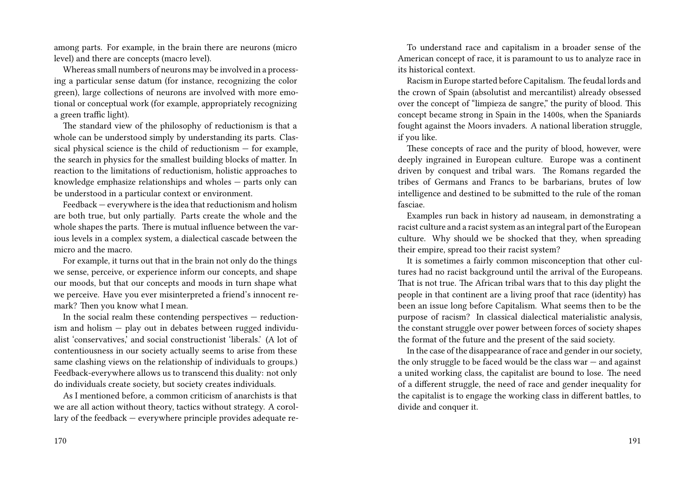among parts. For example, in the brain there are neurons (micro level) and there are concepts (macro level).

Whereas small numbers of neurons may be involved in a processing a particular sense datum (for instance, recognizing the color green), large collections of neurons are involved with more emotional or conceptual work (for example, appropriately recognizing a green traffic light).

The standard view of the philosophy of reductionism is that a whole can be understood simply by understanding its parts. Classical physical science is the child of reductionism  $-$  for example, the search in physics for the smallest building blocks of matter. In reaction to the limitations of reductionism, holistic approaches to knowledge emphasize relationships and wholes — parts only can be understood in a particular context or environment.

Feedback — everywhere is the idea that reductionism and holism are both true, but only partially. Parts create the whole and the whole shapes the parts. There is mutual influence between the various levels in a complex system, a dialectical cascade between the micro and the macro.

For example, it turns out that in the brain not only do the things we sense, perceive, or experience inform our concepts, and shape our moods, but that our concepts and moods in turn shape what we perceive. Have you ever misinterpreted a friend's innocent remark? Then you know what I mean.

In the social realm these contending perspectives — reductionism and holism — play out in debates between rugged individualist 'conservatives,' and social constructionist 'liberals.' (A lot of contentiousness in our society actually seems to arise from these same clashing views on the relationship of individuals to groups.) Feedback-everywhere allows us to transcend this duality: not only do individuals create society, but society creates individuals.

As I mentioned before, a common criticism of anarchists is that we are all action without theory, tactics without strategy. A corollary of the feedback — everywhere principle provides adequate re-

To understand race and capitalism in a broader sense of the American concept of race, it is paramount to us to analyze race in its historical context.

Racism in Europe started before Capitalism. The feudal lords and the crown of Spain (absolutist and mercantilist) already obsessed over the concept of "limpieza de sangre," the purity of blood. This concept became strong in Spain in the 1400s, when the Spaniards fought against the Moors invaders. A national liberation struggle, if you like.

These concepts of race and the purity of blood, however, were deeply ingrained in European culture. Europe was a continent driven by conquest and tribal wars. The Romans regarded the tribes of Germans and Francs to be barbarians, brutes of low intelligence and destined to be submitted to the rule of the roman fasciae.

Examples run back in history ad nauseam, in demonstrating a racist culture and a racist system as an integral part of the European culture. Why should we be shocked that they, when spreading their empire, spread too their racist system?

It is sometimes a fairly common misconception that other cultures had no racist background until the arrival of the Europeans. That is not true. The African tribal wars that to this day plight the people in that continent are a living proof that race (identity) has been an issue long before Capitalism. What seems then to be the purpose of racism? In classical dialectical materialistic analysis, the constant struggle over power between forces of society shapes the format of the future and the present of the said society.

In the case of the disappearance of race and gender in our society, the only struggle to be faced would be the class war  $-$  and against a united working class, the capitalist are bound to lose. The need of a different struggle, the need of race and gender inequality for the capitalist is to engage the working class in different battles, to divide and conquer it.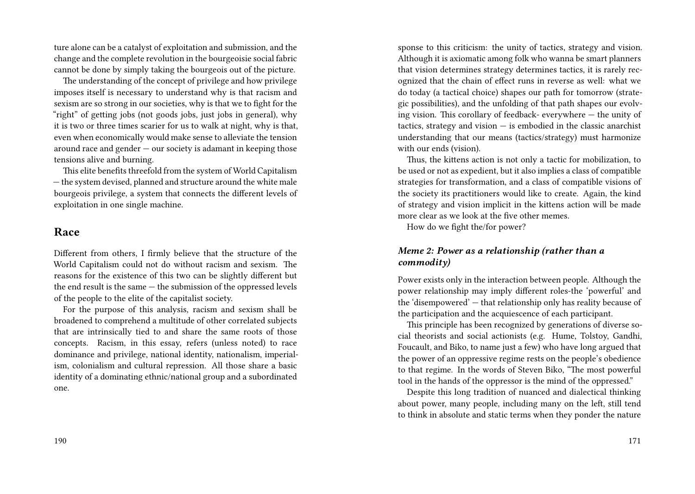ture alone can be a catalyst of exploitation and submission, and the change and the complete revolution in the bourgeoisie social fabric cannot be done by simply taking the bourgeois out of the picture.

The understanding of the concept of privilege and how privilege imposes itself is necessary to understand why is that racism and sexism are so strong in our societies, why is that we to fight for the "right" of getting jobs (not goods jobs, just jobs in general), why it is two or three times scarier for us to walk at night, why is that, even when economically would make sense to alleviate the tension around race and gender  $-$  our society is adamant in keeping those tensions alive and burning.

This elite benefits threefold from the system of World Capitalism — the system devised, planned and structure around the white male bourgeois privilege, a system that connects the different levels of exploitation in one single machine.

### **Race**

Different from others, I firmly believe that the structure of the World Capitalism could not do without racism and sexism. The reasons for the existence of this two can be slightly different but the end result is the same — the submission of the oppressed levels of the people to the elite of the capitalist society.

For the purpose of this analysis, racism and sexism shall be broadened to comprehend a multitude of other correlated subjects that are intrinsically tied to and share the same roots of those concepts. Racism, in this essay, refers (unless noted) to race dominance and privilege, national identity, nationalism, imperialism, colonialism and cultural repression. All those share a basic identity of a dominating ethnic/national group and a subordinated one.

sponse to this criticism: the unity of tactics, strategy and vision. Although it is axiomatic among folk who wanna be smart planners that vision determines strategy determines tactics, it is rarely recognized that the chain of effect runs in reverse as well: what we do today (a tactical choice) shapes our path for tomorrow (strategic possibilities), and the unfolding of that path shapes our evolving vision. This corollary of feedback- everywhere — the unity of tactics, strategy and vision  $-$  is embodied in the classic anarchist understanding that our means (tactics/strategy) must harmonize with our ends (vision).

Thus, the kittens action is not only a tactic for mobilization, to be used or not as expedient, but it also implies a class of compatible strategies for transformation, and a class of compatible visions of the society its practitioners would like to create. Again, the kind of strategy and vision implicit in the kittens action will be made more clear as we look at the five other memes.

How do we fight the/for power?

#### *Meme 2: Power as a relationship (rather than a commodity)*

Power exists only in the interaction between people. Although the power relationship may imply different roles-the 'powerful' and the 'disempowered' — that relationship only has reality because of the participation and the acquiescence of each participant.

This principle has been recognized by generations of diverse social theorists and social actionists (e.g. Hume, Tolstoy, Gandhi, Foucault, and Biko, to name just a few) who have long argued that the power of an oppressive regime rests on the people's obedience to that regime. In the words of Steven Biko, "The most powerful tool in the hands of the oppressor is the mind of the oppressed."

Despite this long tradition of nuanced and dialectical thinking about power, many people, including many on the left, still tend to think in absolute and static terms when they ponder the nature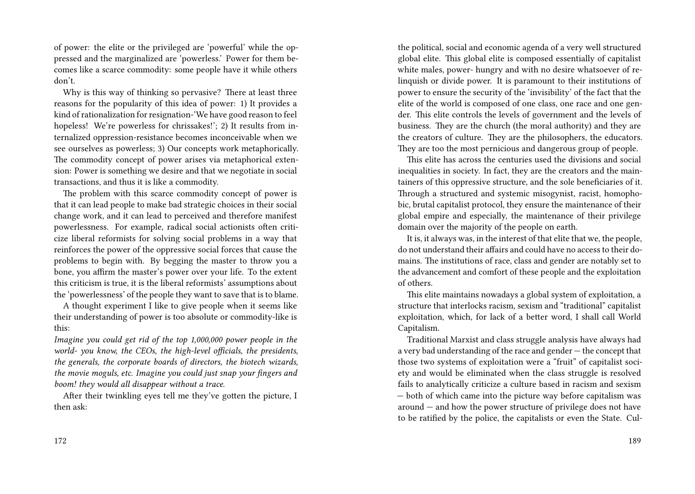of power: the elite or the privileged are 'powerful' while the oppressed and the marginalized are 'powerless.' Power for them becomes like a scarce commodity: some people have it while others don't.

Why is this way of thinking so pervasive? There at least three reasons for the popularity of this idea of power: 1) It provides a kind of rationalization for resignation-'We have good reason to feel hopeless! We're powerless for chrissakes!'; 2) It results from internalized oppression-resistance becomes inconceivable when we see ourselves as powerless; 3) Our concepts work metaphorically. The commodity concept of power arises via metaphorical extension: Power is something we desire and that we negotiate in social transactions, and thus it is like a commodity.

The problem with this scarce commodity concept of power is that it can lead people to make bad strategic choices in their social change work, and it can lead to perceived and therefore manifest powerlessness. For example, radical social actionists often criticize liberal reformists for solving social problems in a way that reinforces the power of the oppressive social forces that cause the problems to begin with. By begging the master to throw you a bone, you affirm the master's power over your life. To the extent this criticism is true, it is the liberal reformists' assumptions about the 'powerlessness' of the people they want to save that is to blame.

A thought experiment I like to give people when it seems like their understanding of power is too absolute or commodity-like is this:

*Imagine you could get rid of the top 1,000,000 power people in the world- you know, the CEOs, the high-level officials, the presidents, the generals, the corporate boards of directors, the biotech wizards, the movie moguls, etc. Imagine you could just snap your fingers and boom! they would all disappear without a trace.*

After their twinkling eyes tell me they've gotten the picture, I then ask:

the political, social and economic agenda of a very well structured global elite. This global elite is composed essentially of capitalist white males, power- hungry and with no desire whatsoever of relinquish or divide power. It is paramount to their institutions of power to ensure the security of the 'invisibility' of the fact that the elite of the world is composed of one class, one race and one gender. This elite controls the levels of government and the levels of business. They are the church (the moral authority) and they are the creators of culture. They are the philosophers, the educators. They are too the most pernicious and dangerous group of people.

This elite has across the centuries used the divisions and social inequalities in society. In fact, they are the creators and the maintainers of this oppressive structure, and the sole beneficiaries of it. Through a structured and systemic misogynist, racist, homophobic, brutal capitalist protocol, they ensure the maintenance of their global empire and especially, the maintenance of their privilege domain over the majority of the people on earth.

It is, it always was, in the interest of that elite that we, the people, do not understand their affairs and could have no access to their domains. The institutions of race, class and gender are notably set to the advancement and comfort of these people and the exploitation of others.

This elite maintains nowadays a global system of exploitation, a structure that interlocks racism, sexism and "traditional" capitalist exploitation, which, for lack of a better word, I shall call World Capitalism.

Traditional Marxist and class struggle analysis have always had a very bad understanding of the race and gender — the concept that those two systems of exploitation were a "fruit" of capitalist society and would be eliminated when the class struggle is resolved fails to analytically criticize a culture based in racism and sexism — both of which came into the picture way before capitalism was around — and how the power structure of privilege does not have to be ratified by the police, the capitalists or even the State. Cul-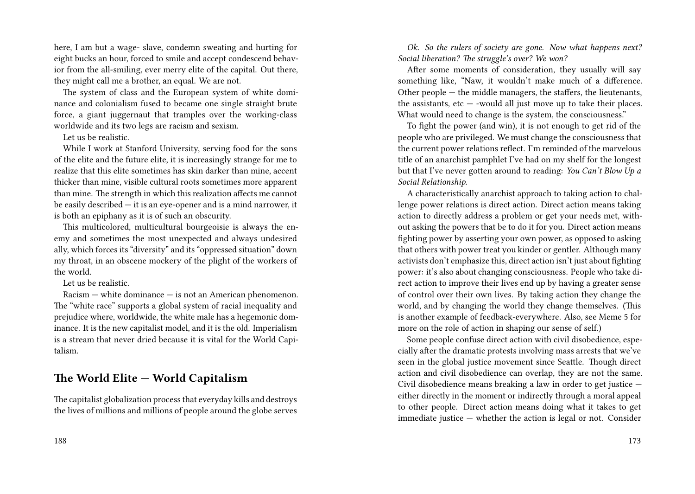here, I am but a wage- slave, condemn sweating and hurting for eight bucks an hour, forced to smile and accept condescend behavior from the all-smiling, ever merry elite of the capital. Out there, they might call me a brother, an equal. We are not.

The system of class and the European system of white dominance and colonialism fused to became one single straight brute force, a giant juggernaut that tramples over the working-class worldwide and its two legs are racism and sexism.

Let us be realistic.

While I work at Stanford University, serving food for the sons of the elite and the future elite, it is increasingly strange for me to realize that this elite sometimes has skin darker than mine, accent thicker than mine, visible cultural roots sometimes more apparent than mine. The strength in which this realization affects me cannot be easily described — it is an eye-opener and is a mind narrower, it is both an epiphany as it is of such an obscurity.

This multicolored, multicultural bourgeoisie is always the enemy and sometimes the most unexpected and always undesired ally, which forces its "diversity" and its "oppressed situation" down my throat, in an obscene mockery of the plight of the workers of the world.

Let us be realistic.

Racism — white dominance — is not an American phenomenon. The "white race" supports a global system of racial inequality and prejudice where, worldwide, the white male has a hegemonic dominance. It is the new capitalist model, and it is the old. Imperialism is a stream that never dried because it is vital for the World Capitalism.

## **The World Elite — World Capitalism**

The capitalist globalization process that everyday kills and destroys the lives of millions and millions of people around the globe serves

*Ok. So the rulers of society are gone. Now what happens next? Social liberation? The struggle's over? We won?*

After some moments of consideration, they usually will say something like, "Naw, it wouldn't make much of a difference. Other people  $-$  the middle managers, the staffers, the lieutenants, the assistants,  $etc -$  -would all just move up to take their places. What would need to change is the system, the consciousness."

To fight the power (and win), it is not enough to get rid of the people who are privileged. We must change the consciousness that the current power relations reflect. I'm reminded of the marvelous title of an anarchist pamphlet I've had on my shelf for the longest but that I've never gotten around to reading: *You Can't Blow Up a Social Relationship.*

A characteristically anarchist approach to taking action to challenge power relations is direct action. Direct action means taking action to directly address a problem or get your needs met, without asking the powers that be to do it for you. Direct action means fighting power by asserting your own power, as opposed to asking that others with power treat you kinder or gentler. Although many activists don't emphasize this, direct action isn't just about fighting power: it's also about changing consciousness. People who take direct action to improve their lives end up by having a greater sense of control over their own lives. By taking action they change the world, and by changing the world they change themselves. (This is another example of feedback-everywhere. Also, see Meme 5 for more on the role of action in shaping our sense of self.)

Some people confuse direct action with civil disobedience, especially after the dramatic protests involving mass arrests that we've seen in the global justice movement since Seattle. Though direct action and civil disobedience can overlap, they are not the same. Civil disobedience means breaking a law in order to get justice either directly in the moment or indirectly through a moral appeal to other people. Direct action means doing what it takes to get immediate justice  $-$  whether the action is legal or not. Consider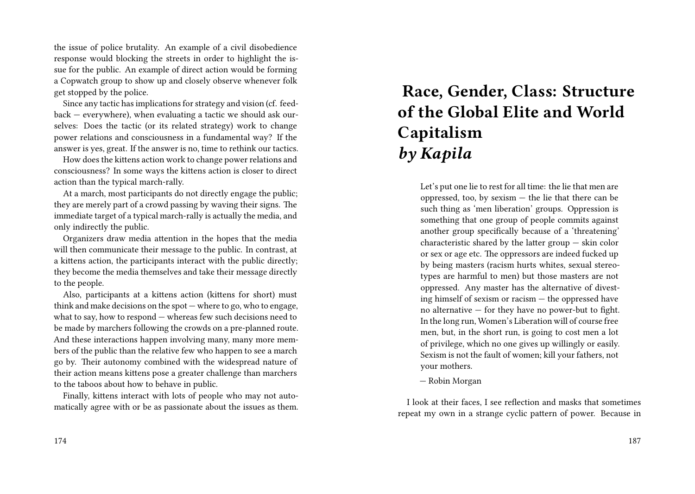the issue of police brutality. An example of a civil disobedience response would blocking the streets in order to highlight the issue for the public. An example of direct action would be forming a Copwatch group to show up and closely observe whenever folk get stopped by the police.

Since any tactic has implications for strategy and vision (cf. feedback — everywhere), when evaluating a tactic we should ask ourselves: Does the tactic (or its related strategy) work to change power relations and consciousness in a fundamental way? If the answer is yes, great. If the answer is no, time to rethink our tactics.

How does the kittens action work to change power relations and consciousness? In some ways the kittens action is closer to direct action than the typical march-rally.

At a march, most participants do not directly engage the public; they are merely part of a crowd passing by waving their signs. The immediate target of a typical march-rally is actually the media, and only indirectly the public.

Organizers draw media attention in the hopes that the media will then communicate their message to the public. In contrast, at a kittens action, the participants interact with the public directly; they become the media themselves and take their message directly to the people.

Also, participants at a kittens action (kittens for short) must think and make decisions on the spot — where to go, who to engage, what to say, how to respond — whereas few such decisions need to be made by marchers following the crowds on a pre-planned route. And these interactions happen involving many, many more members of the public than the relative few who happen to see a march go by. Their autonomy combined with the widespread nature of their action means kittens pose a greater challenge than marchers to the taboos about how to behave in public.

Finally, kittens interact with lots of people who may not automatically agree with or be as passionate about the issues as them.

# **Race, Gender, Class: Structure of the Global Elite and World Capitalism** *by Kapila*

Let's put one lie to rest for all time: the lie that men are oppressed, too, by sexism  $-$  the lie that there can be such thing as 'men liberation' groups. Oppression is something that one group of people commits against another group specifically because of a 'threatening' characteristic shared by the latter group — skin color or sex or age etc. The oppressors are indeed fucked up by being masters (racism hurts whites, sexual stereotypes are harmful to men) but those masters are not oppressed. Any master has the alternative of divesting himself of sexism or racism — the oppressed have no alternative — for they have no power-but to fight. In the long run, Women's Liberation will of course free men, but, in the short run, is going to cost men a lot of privilege, which no one gives up willingly or easily. Sexism is not the fault of women; kill your fathers, not your mothers.

— Robin Morgan

I look at their faces, I see reflection and masks that sometimes repeat my own in a strange cyclic pattern of power. Because in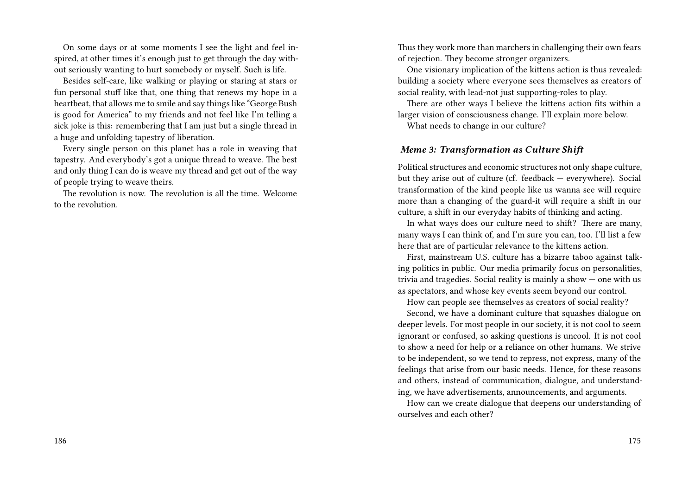On some days or at some moments I see the light and feel inspired, at other times it's enough just to get through the day without seriously wanting to hurt somebody or myself. Such is life.

Besides self-care, like walking or playing or staring at stars or fun personal stuff like that, one thing that renews my hope in a heartbeat, that allows me to smile and say things like "George Bush is good for America" to my friends and not feel like I'm telling a sick joke is this: remembering that I am just but a single thread in a huge and unfolding tapestry of liberation.

Every single person on this planet has a role in weaving that tapestry. And everybody's got a unique thread to weave. The best and only thing I can do is weave my thread and get out of the way of people trying to weave theirs.

The revolution is now. The revolution is all the time. Welcome to the revolution.

Thus they work more than marchers in challenging their own fears of rejection. They become stronger organizers.

One visionary implication of the kittens action is thus revealed: building a society where everyone sees themselves as creators of social reality, with lead-not just supporting-roles to play.

There are other ways I believe the kittens action fits within a larger vision of consciousness change. I'll explain more below.

What needs to change in our culture?

#### *Meme 3: Transformation as Culture Shift*

Political structures and economic structures not only shape culture, but they arise out of culture (cf. feedback — everywhere). Social transformation of the kind people like us wanna see will require more than a changing of the guard-it will require a shift in our culture, a shift in our everyday habits of thinking and acting.

In what ways does our culture need to shift? There are many, many ways I can think of, and I'm sure you can, too. I'll list a few here that are of particular relevance to the kittens action.

First, mainstream U.S. culture has a bizarre taboo against talking politics in public. Our media primarily focus on personalities, trivia and tragedies. Social reality is mainly a show — one with us as spectators, and whose key events seem beyond our control.

How can people see themselves as creators of social reality?

Second, we have a dominant culture that squashes dialogue on deeper levels. For most people in our society, it is not cool to seem ignorant or confused, so asking questions is uncool. It is not cool to show a need for help or a reliance on other humans. We strive to be independent, so we tend to repress, not express, many of the feelings that arise from our basic needs. Hence, for these reasons and others, instead of communication, dialogue, and understanding, we have advertisements, announcements, and arguments.

How can we create dialogue that deepens our understanding of ourselves and each other?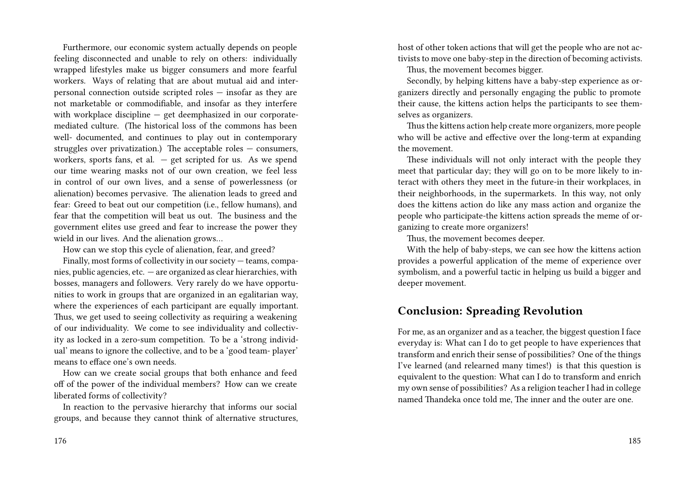Furthermore, our economic system actually depends on people feeling disconnected and unable to rely on others: individually wrapped lifestyles make us bigger consumers and more fearful workers. Ways of relating that are about mutual aid and interpersonal connection outside scripted roles — insofar as they are not marketable or commodifiable, and insofar as they interfere with workplace discipline – get deemphasized in our corporatemediated culture. (The historical loss of the commons has been well- documented, and continues to play out in contemporary struggles over privatization.) The acceptable roles — consumers, workers, sports fans, et al.  $-$  get scripted for us. As we spend our time wearing masks not of our own creation, we feel less in control of our own lives, and a sense of powerlessness (or alienation) becomes pervasive. The alienation leads to greed and fear: Greed to beat out our competition (i.e., fellow humans), and fear that the competition will beat us out. The business and the government elites use greed and fear to increase the power they wield in our lives. And the alienation grows…

How can we stop this cycle of alienation, fear, and greed?

Finally, most forms of collectivity in our society — teams, companies, public agencies, etc. — are organized as clear hierarchies, with bosses, managers and followers. Very rarely do we have opportunities to work in groups that are organized in an egalitarian way, where the experiences of each participant are equally important. Thus, we get used to seeing collectivity as requiring a weakening of our individuality. We come to see individuality and collectivity as locked in a zero-sum competition. To be a 'strong individual' means to ignore the collective, and to be a 'good team- player' means to efface one's own needs.

How can we create social groups that both enhance and feed off of the power of the individual members? How can we create liberated forms of collectivity?

In reaction to the pervasive hierarchy that informs our social groups, and because they cannot think of alternative structures, host of other token actions that will get the people who are not activists to move one baby-step in the direction of becoming activists.

Thus, the movement becomes bigger.

Secondly, by helping kittens have a baby-step experience as organizers directly and personally engaging the public to promote their cause, the kittens action helps the participants to see themselves as organizers.

Thus the kittens action help create more organizers, more people who will be active and effective over the long-term at expanding the movement.

These individuals will not only interact with the people they meet that particular day; they will go on to be more likely to interact with others they meet in the future-in their workplaces, in their neighborhoods, in the supermarkets. In this way, not only does the kittens action do like any mass action and organize the people who participate-the kittens action spreads the meme of organizing to create more organizers!

Thus, the movement becomes deeper.

With the help of baby-steps, we can see how the kittens action provides a powerful application of the meme of experience over symbolism, and a powerful tactic in helping us build a bigger and deeper movement.

## **Conclusion: Spreading Revolution**

For me, as an organizer and as a teacher, the biggest question I face everyday is: What can I do to get people to have experiences that transform and enrich their sense of possibilities? One of the things I've learned (and relearned many times!) is that this question is equivalent to the question: What can I do to transform and enrich my own sense of possibilities? As a religion teacher I had in college named Thandeka once told me, The inner and the outer are one.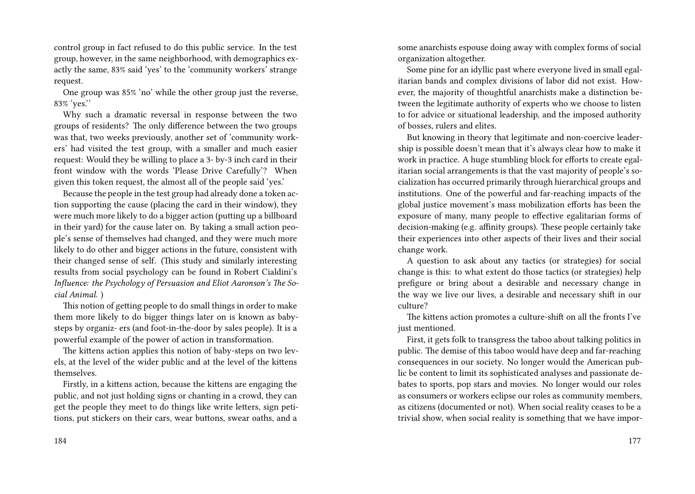control group in fact refused to do this public service. In the test group, however, in the same neighborhood, with demographics exactly the same, 83% said 'yes' to the 'community workers' strange request.

One group was 85% 'no' while the other group just the reverse, 83% 'yes.''

Why such a dramatic reversal in response between the two groups of residents? The only difference between the two groups was that, two weeks previously, another set of 'community workers' had visited the test group, with a smaller and much easier request: Would they be willing to place a 3- by-3 inch card in their front window with the words 'Please Drive Carefully'? When given this token request, the almost all of the people said 'yes.'

Because the people in the test group had already done a token action supporting the cause (placing the card in their window), they were much more likely to do a bigger action (putting up a billboard in their yard) for the cause later on. By taking a small action people's sense of themselves had changed, and they were much more likely to do other and bigger actions in the future, consistent with their changed sense of self. (This study and similarly interesting results from social psychology can be found in Robert Cialdini's *Influence: the Psychology of Persuasion and Eliot Aaronson's The Social Animal.* )

This notion of getting people to do small things in order to make them more likely to do bigger things later on is known as babysteps by organiz- ers (and foot-in-the-door by sales people). It is a powerful example of the power of action in transformation.

The kittens action applies this notion of baby-steps on two levels, at the level of the wider public and at the level of the kittens themselves.

Firstly, in a kittens action, because the kittens are engaging the public, and not just holding signs or chanting in a crowd, they can get the people they meet to do things like write letters, sign petitions, put stickers on their cars, wear buttons, swear oaths, and a

some anarchists espouse doing away with complex forms of social organization altogether.

Some pine for an idyllic past where everyone lived in small egalitarian bands and complex divisions of labor did not exist. However, the majority of thoughtful anarchists make a distinction between the legitimate authority of experts who we choose to listen to for advice or situational leadership, and the imposed authority of bosses, rulers and elites.

But knowing in theory that legitimate and non-coercive leadership is possible doesn't mean that it's always clear how to make it work in practice. A huge stumbling block for efforts to create egalitarian social arrangements is that the vast majority of people's socialization has occurred primarily through hierarchical groups and institutions. One of the powerful and far-reaching impacts of the global justice movement's mass mobilization efforts has been the exposure of many, many people to effective egalitarian forms of decision-making (e.g. affinity groups). These people certainly take their experiences into other aspects of their lives and their social change work.

A question to ask about any tactics (or strategies) for social change is this: to what extent do those tactics (or strategies) help prefigure or bring about a desirable and necessary change in the way we live our lives, a desirable and necessary shift in our culture?

The kittens action promotes a culture-shift on all the fronts I've just mentioned.

First, it gets folk to transgress the taboo about talking politics in public. The demise of this taboo would have deep and far-reaching consequences in our society. No longer would the American public be content to limit its sophisticated analyses and passionate debates to sports, pop stars and movies. No longer would our roles as consumers or workers eclipse our roles as community members, as citizens (documented or not). When social reality ceases to be a trivial show, when social reality is something that we have impor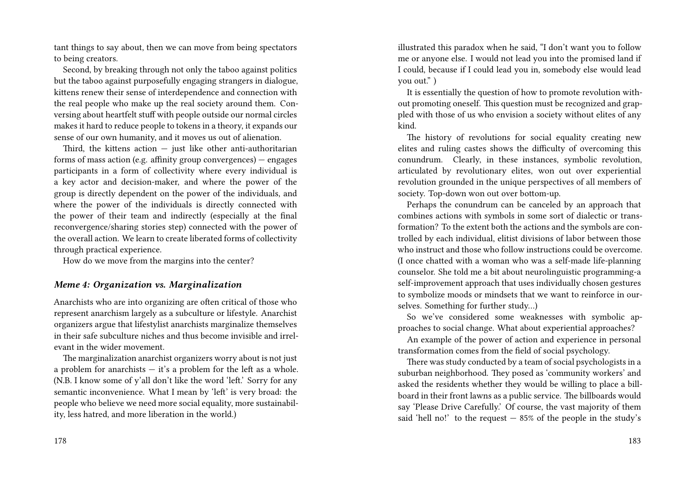tant things to say about, then we can move from being spectators to being creators.

Second, by breaking through not only the taboo against politics but the taboo against purposefully engaging strangers in dialogue, kittens renew their sense of interdependence and connection with the real people who make up the real society around them. Conversing about heartfelt stuff with people outside our normal circles makes it hard to reduce people to tokens in a theory, it expands our sense of our own humanity, and it moves us out of alienation.

Third, the kittens action  $-$  just like other anti-authoritarian forms of mass action (e.g. affinity group convergences) — engages participants in a form of collectivity where every individual is a key actor and decision-maker, and where the power of the group is directly dependent on the power of the individuals, and where the power of the individuals is directly connected with the power of their team and indirectly (especially at the final reconvergence/sharing stories step) connected with the power of the overall action. We learn to create liberated forms of collectivity through practical experience.

How do we move from the margins into the center?

#### *Meme 4: Organization vs. Marginalization*

Anarchists who are into organizing are often critical of those who represent anarchism largely as a subculture or lifestyle. Anarchist organizers argue that lifestylist anarchists marginalize themselves in their safe subculture niches and thus become invisible and irrelevant in the wider movement.

The marginalization anarchist organizers worry about is not just a problem for anarchists  $-$  it's a problem for the left as a whole. (N.B. I know some of y'all don't like the word 'left.' Sorry for any semantic inconvenience. What I mean by 'left' is very broad: the people who believe we need more social equality, more sustainability, less hatred, and more liberation in the world.)

illustrated this paradox when he said, "I don't want you to follow me or anyone else. I would not lead you into the promised land if I could, because if I could lead you in, somebody else would lead you out." )

It is essentially the question of how to promote revolution without promoting oneself. This question must be recognized and grappled with those of us who envision a society without elites of any kind.

The history of revolutions for social equality creating new elites and ruling castes shows the difficulty of overcoming this conundrum. Clearly, in these instances, symbolic revolution, articulated by revolutionary elites, won out over experiential revolution grounded in the unique perspectives of all members of society. Top-down won out over bottom-up.

Perhaps the conundrum can be canceled by an approach that combines actions with symbols in some sort of dialectic or transformation? To the extent both the actions and the symbols are controlled by each individual, elitist divisions of labor between those who instruct and those who follow instructions could be overcome. (I once chatted with a woman who was a self-made life-planning counselor. She told me a bit about neurolinguistic programming-a self-improvement approach that uses individually chosen gestures to symbolize moods or mindsets that we want to reinforce in ourselves. Something for further study…)

So we've considered some weaknesses with symbolic approaches to social change. What about experiential approaches?

An example of the power of action and experience in personal transformation comes from the field of social psychology.

There was study conducted by a team of social psychologists in a suburban neighborhood. They posed as 'community workers' and asked the residents whether they would be willing to place a billboard in their front lawns as a public service. The billboards would say 'Please Drive Carefully.' Of course, the vast majority of them said 'hell no!' to the request  $-85\%$  of the people in the study's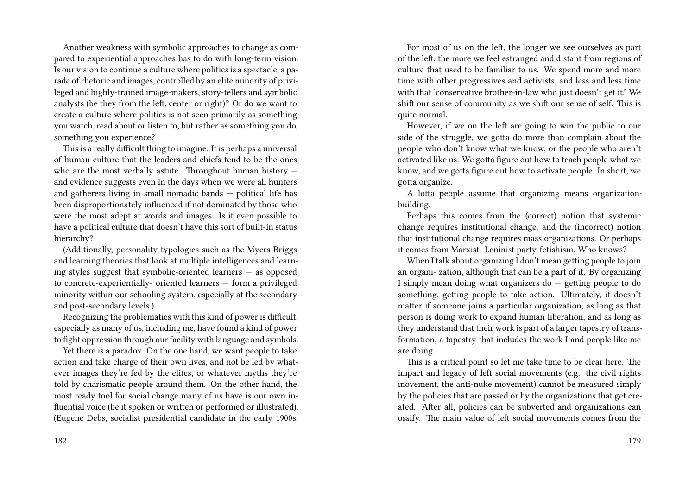Another weakness with symbolic approaches to change as compared to experiential approaches has to do with long-term vision. Is our vision to continue a culture where politics is a spectacle, a parade of rhetoric and images, controlled by an elite minority of privileged and highly-trained image-makers, story-tellers and symbolic analysts (be they from the left, center or right)? Or do we want to create a culture where politics is not seen primarily as something you watch, read about or listen to, but rather as something you do, something you experience?

This is a really difficult thing to imagine. It is perhaps a universal of human culture that the leaders and chiefs tend to be the ones who are the most verbally astute. Throughout human history and evidence suggests even in the days when we were all hunters and gatherers living in small nomadic bands — political life has been disproportionately influenced if not dominated by those who were the most adept at words and images. Is it even possible to have a political culture that doesn't have this sort of built-in status hierarchy?

(Additionally, personality typologies such as the Myers-Briggs and learning theories that look at multiple intelligences and learning styles suggest that symbolic-oriented learners — as opposed to concrete-experientially- oriented learners — form a privileged minority within our schooling system, especially at the secondary and post-secondary levels.)

Recognizing the problematics with this kind of power is difficult, especially as many of us, including me, have found a kind of power to fight oppression through our facility with language and symbols.

Yet there is a paradox. On the one hand, we want people to take action and take charge of their own lives, and not be led by whatever images they're fed by the elites, or whatever myths they're told by charismatic people around them. On the other hand, the most ready tool for social change many of us have is our own influential voice (be it spoken or written or performed or illustrated). (Eugene Debs, socialist presidential candidate in the early 1900s,

For most of us on the left, the longer we see ourselves as part of the left, the more we feel estranged and distant from regions of culture that used to be familiar to us. We spend more and more time with other progressives and activists, and less and less time with that 'conservative brother-in-law who just doesn't get it.' We shift our sense of community as we shift our sense of self. This is quite normal.

However, if we on the left are going to win the public to our side of the struggle, we gotta do more than complain about the people who don't know what we know, or the people who aren't activated like us. We gotta figure out how to teach people what we know, and we gotta figure out how to activate people. In short, we gotta organize.

A lotta people assume that organizing means organizationbuilding.

Perhaps this comes from the (correct) notion that systemic change requires institutional change, and the (incorrect) notion that institutional change requires mass organizations. Or perhaps it comes from Marxist- Leninist party-fetishism. Who knows?

When I talk about organizing I don't mean getting people to join an organi- zation, although that can be a part of it. By organizing I simply mean doing what organizers do — getting people to do something, getting people to take action. Ultimately, it doesn't matter if someone joins a particular organization, as long as that person is doing work to expand human liberation, and as long as they understand that their work is part of a larger tapestry of transformation, a tapestry that includes the work I and people like me are doing.

This is a critical point so let me take time to be clear here. The impact and legacy of left social movements (e.g. the civil rights movement, the anti-nuke movement) cannot be measured simply by the policies that are passed or by the organizations that get created. After all, policies can be subverted and organizations can ossify. The main value of left social movements comes from the